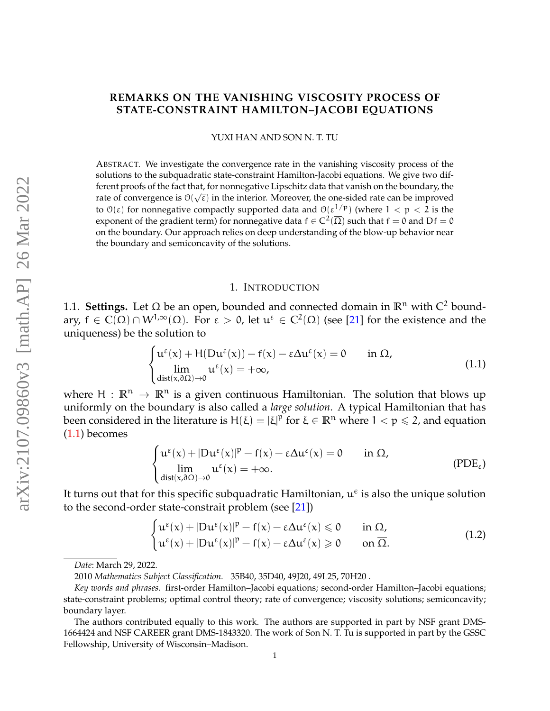# **REMARKS ON THE VANISHING VISCOSITY PROCESS OF STATE-CONSTRAINT HAMILTON–JACOBI EQUATIONS**

YUXI HAN AND SON N. T. TU

ABSTRACT. We investigate the convergence rate in the vanishing viscosity process of the solutions to the subquadratic state-constraint Hamilton-Jacobi equations. We give two different proofs of the fact that, for nonnegative Lipschitz data that vanish on the boundary, the rate of convergence is  $\mathcal{O}(\sqrt{\epsilon})$  in the interior. Moreover, the one-sided rate can be improved to  $\mathcal{O}(\varepsilon)$  for nonnegative compactly supported data and  $\mathcal{O}(\varepsilon^{1/p})$  (where  $1 < p < 2$  is the exponent of the gradient term) for nonnegative data  $f \in C^2(\overline{\Omega})$  such that  $f = 0$  and  $Df = 0$ on the boundary. Our approach relies on deep understanding of the blow-up behavior near the boundary and semiconcavity of the solutions.

#### <span id="page-0-1"></span>1. INTRODUCTION

1.1. **Settings.** Let Ω be an open, bounded and connected domain in  $\mathbb{R}^n$  with  $C^2$  boundary,  $f \in C(\overline{\Omega}) \cap W^{1,\infty}(\Omega)$ . For  $\varepsilon > 0$ , let  $\mathfrak{u}^{\varepsilon} \in C^2(\Omega)$  (see [\[21\]](#page-34-0) for the existence and the uniqueness) be the solution to

<span id="page-0-0"></span>
$$
\begin{cases}\n u^{\varepsilon}(x) + H(Du^{\varepsilon}(x)) - f(x) - \varepsilon \Delta u^{\varepsilon}(x) = 0 & \text{in } \Omega, \\
 \lim_{\text{dist}(x, \partial \Omega) \to 0} u^{\varepsilon}(x) = +\infty,\n\end{cases}
$$
\n(1.1)

where  $H : \mathbb{R}^n \to \mathbb{R}^n$  is a given continuous Hamiltonian. The solution that blows up uniformly on the boundary is also called a *large solution*. A typical Hamiltonian that has been considered in the literature is  $H(\xi) = |\xi|^p$  for  $\xi \in \mathbb{R}^n$  where  $1 < p \leq 2$ , and equation [\(1.1\)](#page-0-0) becomes

<span id="page-0-2"></span>
$$
\begin{cases} u^{\epsilon}(x) + |Du^{\epsilon}(x)|^{p} - f(x) - \epsilon \Delta u^{\epsilon}(x) = 0 & \text{in } \Omega, \\ \lim_{dist(x, \partial \Omega) \to 0} u^{\epsilon}(x) = +\infty. \end{cases}
$$
 (PDE<sub>\epsilon</sub>)

It turns out that for this specific subquadratic Hamiltonian,  $u^{\epsilon}$  is also the unique solution to the second-order state-constrait problem (see [\[21\]](#page-34-0))

$$
\begin{cases} u^{\varepsilon}(x) + |Du^{\varepsilon}(x)|^{p} - f(x) - \varepsilon \Delta u^{\varepsilon}(x) \leq 0 & \text{in } \Omega, \\ u^{\varepsilon}(x) + |Du^{\varepsilon}(x)|^{p} - f(x) - \varepsilon \Delta u^{\varepsilon}(x) \geq 0 & \text{on } \overline{\Omega}. \end{cases}
$$
(1.2)

*Date*: March 29, 2022.

<sup>2010</sup> *Mathematics Subject Classification.* 35B40, 35D40, 49J20, 49L25, 70H20 .

*Key words and phrases.* first-order Hamilton–Jacobi equations; second-order Hamilton–Jacobi equations; state-constraint problems; optimal control theory; rate of convergence; viscosity solutions; semiconcavity; boundary layer.

The authors contributed equally to this work. The authors are supported in part by NSF grant DMS-1664424 and NSF CAREER grant DMS-1843320. The work of Son N. T. Tu is supported in part by the GSSC Fellowship, University of Wisconsin–Madison.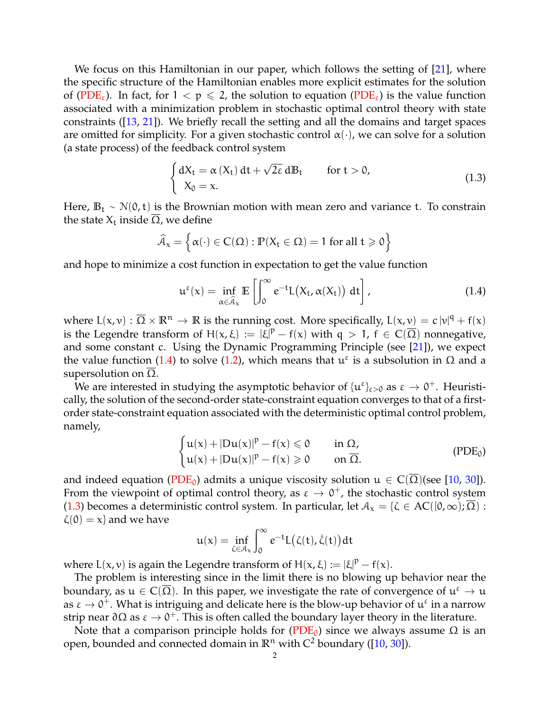We focus on this Hamiltonian in our paper, which follows the setting of [\[21\]](#page-34-0), where the specific structure of the Hamiltonian enables more explicit estimates for the solution of [\(PDE](#page-0-1)<sub>ε</sub>). In fact, for  $1 < p \le 2$ , the solution to equation (PDE<sub>ε</sub>) is the value function associated with a minimization problem in stochastic optimal control theory with state constraints ([\[13,](#page-34-1) [21\]](#page-34-0)). We briefly recall the setting and all the domains and target spaces are omitted for simplicity. For a given stochastic control  $\alpha(\cdot)$ , we can solve for a solution (a state process) of the feedback control system

<span id="page-1-2"></span>
$$
\begin{cases} dX_t = \alpha(X_t) dt + \sqrt{2\epsilon} dB_t & \text{for } t > 0, \\ X_0 = x. \end{cases}
$$
\n(1.3)

Here,  $\mathbb{B}_t \sim \mathcal{N}(0, t)$  is the Brownian motion with mean zero and variance t. To constrain the state  $X_t$  inside  $\Omega$ , we define

$$
\widehat{\mathcal{A}}_x = \left\{ \alpha(\cdot) \in C(\Omega) : \mathbb{P}(X_t \in \Omega) = 1 \text{ for all } t \geqslant 0 \right\}
$$

and hope to minimize a cost function in expectation to get the value function

<span id="page-1-0"></span>
$$
\mathfrak{u}^{\varepsilon}(\mathbf{x}) = \inf_{\alpha \in \widehat{\mathcal{A}}_{\mathbf{x}}} \mathbb{E}\left[\int_0^{\infty} e^{-t} L(X_t, \alpha(X_t)) \, dt\right],\tag{1.4}
$$

where  $L(x, v) : \overline{\Omega} \times \mathbb{R}^n \to \mathbb{R}$  is the running cost. More specifically,  $L(x, v) = c |v|^q + f(x)$ is the Legendre transform of  $H(x,\xi) := |\xi|^p - f(x)$  with  $q > 1$ ,  $f \in C(\overline{\Omega})$  nonnegative, and some constant c. Using the Dynamic Programming Principle (see  $[21]$ ), we expect the value function [\(1.4\)](#page-1-0) to solve [\(1.2\)](#page-0-2), which means that  $u^ε$  is a subsolution in  $Ω$  and a supersolution on  $Ω$ .

We are interested in studying the asymptotic behavior of  $\{u^\varepsilon\}_{\varepsilon>0}$  as  $\varepsilon\to0^+$ . Heuristically, the solution of the second-order state-constraint equation converges to that of a firstorder state-constraint equation associated with the deterministic optimal control problem, namely,

<span id="page-1-3"></span>
$$
\begin{cases} u(x) + |Du(x)|^p - f(x) \leqslant 0 & \text{in } \Omega, \\ u(x) + |Du(x)|^p - f(x) \geqslant 0 & \text{on } \overline{\Omega}. \end{cases}
$$
 (PDE<sub>0</sub>)

and indeed equation [\(PDE](#page-1-1)<sub>0</sub>) admits a unique viscosity solution  $u \in C(\Omega)$ (see [\[10,](#page-34-2) [30\]](#page-35-0)). From the viewpoint of optimal control theory, as  $\varepsilon \to 0^+$ , the stochastic control system [\(1.3\)](#page-1-2) becomes a deterministic control system. In particular, let  $A_x = \{\zeta \in AC([0,\infty);\overline{\Omega}) :$  $\zeta(0) = x$  and we have

<span id="page-1-1"></span>
$$
u(x) = \inf_{\zeta \in \mathcal{A}_x} \int_0^\infty e^{-t} L(\zeta(t), \dot{\zeta}(t)) dt
$$

where  $L(x, v)$  is again the Legendre transform of  $H(x, \xi) := |\xi|^p - f(x)$ .

The problem is interesting since in the limit there is no blowing up behavior near the boundary, as  $\mathfrak{u}\in\mathrm{C}(\overline{\Omega}).$  In this paper, we investigate the rate of convergence of  $\mathfrak{u}^\varepsilon\to\mathfrak{u}$ as  $\varepsilon \to 0^+$ . What is intriguing and delicate here is the blow-up behavior of  $\mathfrak{u}^\varepsilon$  in a narrow strip near ∂Ω as  $\varepsilon \to 0^+$ . This is often called the boundary layer theory in the literature.

Note that a comparison principle holds for [\(PDE](#page-1-1)<sub>0</sub>) since we always assume  $Ω$  is an open, bounded and connected domain in  $\mathbb{R}^n$  with  $C^2$  boundary ([\[10,](#page-34-2) [30\]](#page-35-0)).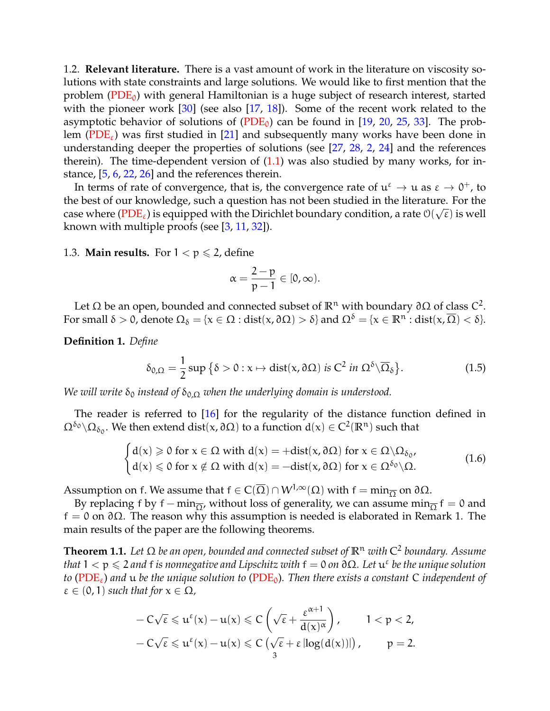1.2. **Relevant literature.** There is a vast amount of work in the literature on viscosity solutions with state constraints and large solutions. We would like to first mention that the problem ( $PDE_0$ ) with general Hamiltonian is a huge subject of research interest, started with the pioneer work [\[30\]](#page-35-0) (see also [\[17,](#page-34-3) [18\]](#page-34-4)). Some of the recent work related to the asymptotic behavior of solutions of  $(PDE_0)$  $(PDE_0)$  can be found in [\[19,](#page-34-5) [20,](#page-34-6) [25,](#page-35-1) [33\]](#page-35-2). The prob-lem [\(PDE](#page-0-1)<sub>ε</sub>) was first studied in [\[21\]](#page-34-0) and subsequently many works have been done in understanding deeper the properties of solutions (see [\[27,](#page-35-3) [28,](#page-35-4) [2,](#page-34-7) [24\]](#page-34-8) and the references therein). The time-dependent version of  $(1.1)$  was also studied by many works, for instance, [\[5,](#page-34-9) [6,](#page-34-10) [22,](#page-34-11) [26\]](#page-35-5) and the references therein.

In terms of rate of convergence, that is, the convergence rate of  $\mathfrak{u}^{\varepsilon} \to \mathfrak{u}$  as  $\varepsilon \to 0^+$ , to the best of our knowledge, such a question has not been studied in the literature. For the case where ( $PDE_{\varepsilon}$ ) is equipped with the Dirichlet boundary condition, a rate  $\mathfrak{O}(\sqrt{\varepsilon})$  is well known with multiple proofs (see [\[3,](#page-34-12) [11,](#page-34-13) [32\]](#page-35-6)).

# 1.3. **Main results.** For  $1 < p \le 2$ , define

$$
\alpha=\frac{2-p}{p-1}\in[0,\infty).
$$

Let Ω be an open, bounded and connected subset of  $\mathbb{R}^n$  with boundary  $\partial\Omega$  of class  $\mathcal{C}^2$ . For small  $\delta > 0$ , denote  $\Omega_{\delta} = \{x \in \Omega : dist(x, \partial \Omega) > \delta\}$  and  $\Omega^{\delta} = \{x \in \mathbb{R}^n : dist(x, \overline{\Omega}) < \delta\}.$ 

**Definition 1.** *Define*

$$
\delta_{0,\Omega} = \frac{1}{2} \sup \big\{ \delta > 0 : x \mapsto \text{dist}(x, \partial \Omega) \text{ is } C^2 \text{ in } \Omega^{\delta} \setminus \overline{\Omega}_{\delta} \big\}. \tag{1.5}
$$

*We will write*  $\delta_0$  *instead of*  $\delta_{0,\Omega}$  *when the underlying domain is understood.* 

The reader is referred to [\[16\]](#page-34-14) for the regularity of the distance function defined in  $\Omega^{\delta_0}\backslash\Omega_{\delta_0}.$  We then extend dist(x,  $\partial\Omega$ ) to a function  $d(x)\in C^2(\mathbb{R}^n)$  such that

$$
\begin{cases}\nd(x) \geqslant 0 \text{ for } x \in \Omega \text{ with } d(x) = +\text{dist}(x, \partial \Omega) \text{ for } x \in \Omega \setminus \Omega_{\delta_0}, \\
d(x) \leqslant 0 \text{ for } x \notin \Omega \text{ with } d(x) = -\text{dist}(x, \partial \Omega) \text{ for } x \in \Omega^{\delta_0} \setminus \Omega.\n\end{cases}
$$
\n(1.6)

Assumption on f. We assume that  $f \in C(\overline{\Omega}) \cap W^{1,\infty}(\Omega)$  with  $f = \min_{\overline{\Omega}}$  on  $\partial \Omega$ .

By replacing f by f – min<sub> $\overline{O}$ </sub>, without loss of generality, we can assume min $\overline{O}$  f = 0 and  $f = 0$  on  $\partial \Omega$ . The reason why this assumption is needed is elaborated in Remark 1. The main results of the paper are the following theorems.

<span id="page-2-0"></span>**Theorem 1.1.** *Let* Ω *be an open, bounded and connected subset of* **R**<sup>n</sup> *with* C 2 *boundary. Assume*  $t$ hat  $1 < p \leqslant 2$  and  $f$  is nonnegative and Lipschitz with  $f = 0$  on  $\partial \Omega$ . Let  $\mathfrak{u}^\varepsilon$  be the unique solution *to* [\(PDE](#page-0-1)ε) *and* u *be the unique solution to* [\(PDE](#page-1-1)0)*. Then there exists a constant* C *independent of*  $\varepsilon \in (0, 1)$  *such that for*  $x \in \Omega$ ,

$$
-C\sqrt{\epsilon} \leqslant u^{\epsilon}(x) - u(x) \leqslant C\left(\sqrt{\epsilon} + \frac{\epsilon^{\alpha+1}}{d(x)^{\alpha}}\right), \qquad 1 < p < 2,
$$
  
-C $\sqrt{\epsilon} \leqslant u^{\epsilon}(x) - u(x) \leqslant C\left(\sqrt{\epsilon} + \epsilon \left|\log(d(x))\right|\right), \qquad p = 2.$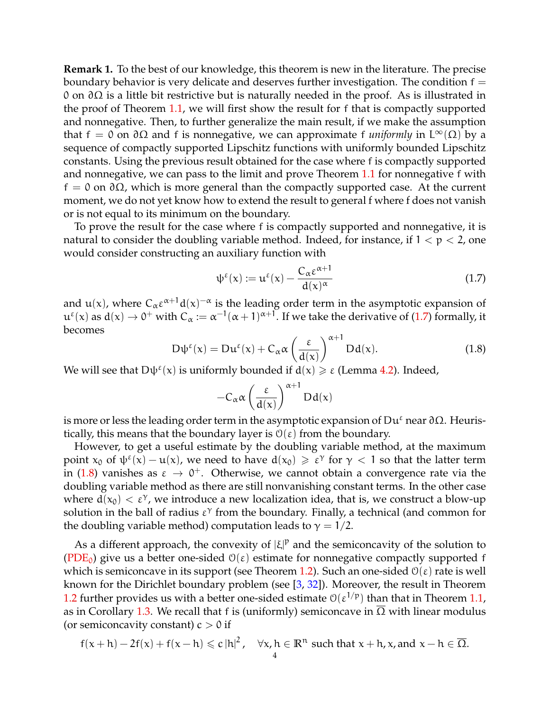**Remark 1.** To the best of our knowledge, this theorem is new in the literature. The precise boundary behavior is very delicate and deserves further investigation. The condition  $f =$ 0 on ∂Ω is a little bit restrictive but is naturally needed in the proof. As is illustrated in the proof of Theorem [1.1,](#page-2-0) we will first show the result for f that is compactly supported and nonnegative. Then, to further generalize the main result, if we make the assumption that f = 0 on  $\partial\Omega$  and f is nonnegative, we can approximate f *uniformly* in  $L^{\infty}(\Omega)$  by a sequence of compactly supported Lipschitz functions with uniformly bounded Lipschitz constants. Using the previous result obtained for the case where f is compactly supported and nonnegative, we can pass to the limit and prove Theorem [1.1](#page-2-0) for nonnegative f with  $f = 0$  on  $\partial \Omega$ , which is more general than the compactly supported case. At the current moment, we do not yet know how to extend the result to general f where f does not vanish or is not equal to its minimum on the boundary.

To prove the result for the case where f is compactly supported and nonnegative, it is natural to consider the doubling variable method. Indeed, for instance, if  $1 < p < 2$ , one would consider constructing an auxiliary function with

<span id="page-3-0"></span>
$$
\psi^{\varepsilon}(x) := \mathfrak{u}^{\varepsilon}(x) - \frac{C_{\alpha} \varepsilon^{\alpha+1}}{d(x)^{\alpha}}
$$
\n(1.7)

and u(x), where  $C_{\alpha} \epsilon^{\alpha+1} d(x)^{-\alpha}$  is the leading order term in the asymptotic expansion of  $u^{\epsilon}(x)$  as  $d(x) \to 0^+$  with  $C_{\alpha} := \alpha^{-1}(\alpha+1)^{\alpha+1}$ . If we take the derivative of [\(1.7\)](#page-3-0) formally, it becomes

<span id="page-3-1"></span>
$$
D\psi^{\varepsilon}(x) = Du^{\varepsilon}(x) + C_{\alpha}\alpha \left(\frac{\varepsilon}{d(x)}\right)^{\alpha+1} Dd(x).
$$
 (1.8)

We will see that  $D\psi^{\varepsilon}(x)$  is uniformly bounded if  $d(x) \geq \varepsilon$  (Lemma [4.2\)](#page-18-0). Indeed,

$$
-C_\alpha\alpha\left(\frac{\epsilon}{d(x)}\right)^{\alpha+1}Dd(x)
$$

is more or less the leading order term in the asymptotic expansion of Du<sup> $ε$ </sup> near ∂Ω. Heuristically, this means that the boundary layer is  $\mathcal{O}(\varepsilon)$  from the boundary.

However, to get a useful estimate by the doubling variable method, at the maximum point  $x_0$  of  $\psi^{\epsilon}(x) - u(x)$ , we need to have  $d(x_0) \geq \epsilon^{\gamma}$  for  $\gamma < 1$  so that the latter term in [\(1.8\)](#page-3-1) vanishes as  $\varepsilon \to 0^+$ . Otherwise, we cannot obtain a convergence rate via the doubling variable method as there are still nonvanishing constant terms. In the other case where  $d(x_0) < \varepsilon^{\gamma}$ , we introduce a new localization idea, that is, we construct a blow-up solution in the ball of radius  $\varepsilon^{\gamma}$  from the boundary. Finally, a technical (and common for the doubling variable method) computation leads to  $\gamma = 1/2$ .

As a different approach, the convexity of  $|\xi|^p$  and the semiconcavity of the solution to [\(PDE](#page-1-1)<sub>0</sub>) give us a better one-sided  $\mathcal{O}(\varepsilon)$  estimate for nonnegative compactly supported f which is semiconcave in its support (see Theorem [1.2\)](#page-4-0). Such an one-sided  $\mathcal{O}(\varepsilon)$  rate is well known for the Dirichlet boundary problem (see [\[3,](#page-34-12) [32\]](#page-35-6)). Moreover, the result in Theorem [1.2](#page-4-0) further provides us with a better one-sided estimate  $O(\epsilon^{1/p})$  than that in Theorem [1.1,](#page-2-0) as in Corollary [1.3.](#page-5-0) We recall that f is (uniformly) semiconcave in  $\overline{\Omega}$  with linear modulus (or semiconcavity constant)  $c > 0$  if

$$
f(x+h) - 2f(x) + f(x-h) \leq c |h|^2
$$
,  $\forall x, h \in \mathbb{R}^n$  such that  $x + h, x$ , and  $x - h \in \overline{\Omega}$ .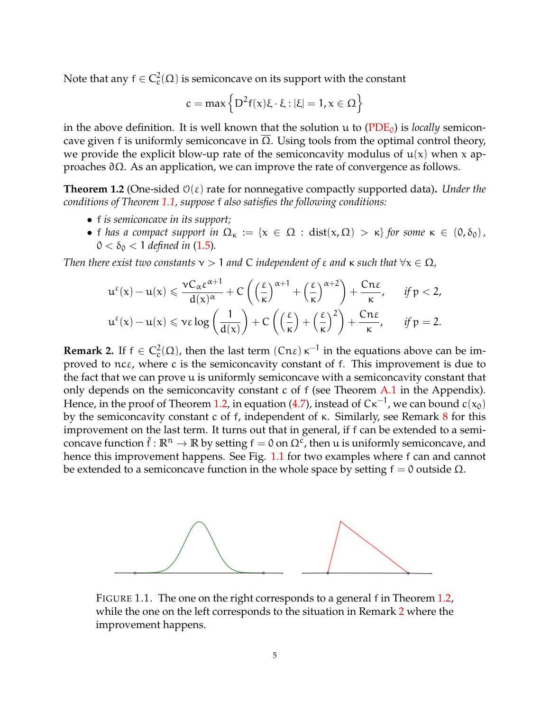Note that any  $\mathsf{f}\in\mathsf{C}^2_\mathrm{c}(\Omega)$  is semiconcave on its support with the constant

$$
c=max\left\{D^2f(x)\xi\cdot\xi:|\xi|=1, x\in\Omega\right\}
$$

in the above definition. It is well known that the solution  $\mu$  to [\(PDE](#page-1-1)<sub>0</sub>) is *locally* semiconcave given f is uniformly semiconcave in  $\overline{\Omega}$ . Using tools from the optimal control theory, we provide the explicit blow-up rate of the semiconcavity modulus of  $u(x)$  when x approaches ∂Ω. As an application, we can improve the rate of convergence as follows.

<span id="page-4-0"></span>**Theorem 1.2** (One-sided O(ε) rate for nonnegative compactly supported data)**.** *Under the conditions of Theorem [1.1,](#page-2-0) suppose* f *also satisfies the following conditions:*

- f *is semiconcave in its support;*
- f *has a compact support in*  $\Omega_{\kappa} := \{x \in \Omega : dist(x, \Omega) > \kappa\}$  *for some*  $\kappa \in (0, \delta_0)$ *,*  $0 < \delta_0 < 1$  *defined in* [\(1.5\)](#page-1-3).

*Then there exist two constants*  $\nu > 1$  *and* C *independent of*  $\varepsilon$  *and*  $\kappa$  *such that*  $\forall x \in \Omega$ *,* 

$$
u^{\epsilon}(x) - u(x) \leqslant \frac{\nu C_{\alpha}\epsilon^{\alpha+1}}{d(x)^{\alpha}} + C\left(\left(\frac{\epsilon}{\kappa}\right)^{\alpha+1} + \left(\frac{\epsilon}{\kappa}\right)^{\alpha+2}\right) + \frac{Cn\epsilon}{\kappa}, \quad \text{ if } p < 2, \\ u^{\epsilon}(x) - u(x) \leqslant \nu\epsilon\log\left(\frac{1}{d(x)}\right) + C\left(\left(\frac{\epsilon}{\kappa}\right) + \left(\frac{\epsilon}{\kappa}\right)^{2}\right) + \frac{Cn\epsilon}{\kappa}, \quad \text{ if } p = 2.
$$

<span id="page-4-2"></span>**Remark 2.** If  $f \in C_c^2(\Omega)$ , then the last term  $(Cn\varepsilon) \kappa^{-1}$  in the equations above can be improved to ncε, where c is the semiconcavity constant of f. This improvement is due to the fact that we can prove u is uniformly semiconcave with a semiconcavity constant that only depends on the semiconcavity constant c of f (see Theorem [A.1](#page-32-0) in the Appendix). Hence, in the proof of Theorem [1.2,](#page-4-0) in equation [\(4.7\)](#page-19-0), instead of C $\kappa^{-1}$ , we can bound  $c(x_0)$ by the semiconcavity constant c of f, independent of  $\kappa$ . Similarly, see Remark [8](#page-20-0) for this improvement on the last term. It turns out that in general, if f can be extended to a semiconcave function  $\tilde{f} : \mathbb{R}^n \to \mathbb{R}$  by setting  $f = 0$  on  $\Omega^c$ , then u is uniformly semiconcave, and hence this improvement happens. See Fig. [1.1](#page-4-1) for two examples where f can and cannot be extended to a semiconcave function in the whole space by setting  $f = 0$  outside  $\Omega$ .

<span id="page-4-1"></span>

FIGURE 1.1. The one on the right corresponds to a general f in Theorem [1.2,](#page-4-0) while the one on the left corresponds to the situation in Remark [2](#page-4-2) where the improvement happens.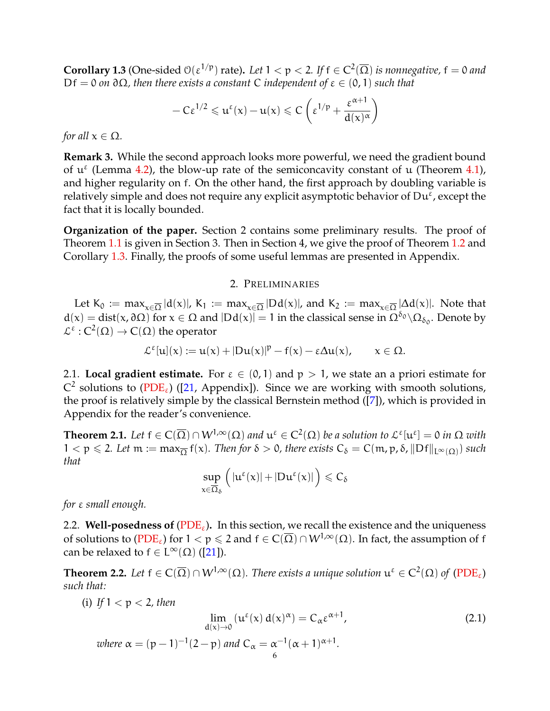<span id="page-5-0"></span>**Corollary 1.3** (One-sided  $O(\epsilon^{1/p})$  rate). Let  $1 < p < 2$ . If  $f \in C^2(\overline{\Omega})$  is nonnegative,  $f = 0$  and Df = 0 *on* ∂Ω*, then there exists a constant* C *independent of* ε ∈ (0, 1) *such that*

$$
-C\epsilon^{1/2} \leqslant u^{\epsilon}(x) - u(x) \leqslant C\left(\epsilon^{1/p} + \frac{\epsilon^{\alpha+1}}{d(x)^\alpha}\right)
$$

*for all*  $x \in \Omega$ *.* 

**Remark 3.** While the second approach looks more powerful, we need the gradient bound of  $u^{\epsilon}$  (Lemma [4.2\)](#page-18-0), the blow-up rate of the semiconcavity constant of u (Theorem [4.1\)](#page-17-0), and higher regularity on f. On the other hand, the first approach by doubling variable is relatively simple and does not require any explicit asymptotic behavior of  $\mathrm{D}\mathrm{u}^{\bar{\varepsilon}}$ , except the fact that it is locally bounded.

**Organization of the paper.** Section 2 contains some preliminary results. The proof of Theorem [1.1](#page-2-0) is given in Section 3. Then in Section 4, we give the proof of Theorem [1.2](#page-4-0) and Corollary [1.3.](#page-5-0) Finally, the proofs of some useful lemmas are presented in Appendix.

#### 2. PRELIMINARIES

Let  $K_0 := \max_{x \in \overline{\Omega}} |d(x)|$ ,  $K_1 := \max_{x \in \overline{\Omega}} |Dd(x)|$ , and  $K_2 := \max_{x \in \overline{\Omega}} |\Delta d(x)|$ . Note that  $d(x) = dist(x, \partial \Omega)$  for  $x \in \Omega$  and  $|Dd(x)| = 1$  in the classical sense in  $\Omega^{\delta_0} \setminus \Omega_{\delta_0}$ . Denote by  $\mathcal{L}^{\varepsilon}: C^2(\Omega) \to C(\Omega)$  the operator

$$
\mathcal{L}^{\epsilon}[u](x):=u(x)+|D u(x)|^p-f(x)-\epsilon \Delta u(x), \qquad x\in \Omega.
$$

2.1. **Local gradient estimate.** For  $\varepsilon \in (0,1)$  and  $p > 1$ , we state an a priori estimate for  $C^2$  solutions to [\(PDE](#page-0-1)<sub>ε</sub>) ([\[21,](#page-34-0) Appendix]). Since we are working with smooth solutions, the proof is relatively simple by the classical Bernstein method ([\[7\]](#page-34-15)), which is provided in Appendix for the reader's convenience.

<span id="page-5-1"></span>**Theorem 2.1.** Let  $f \in C(\overline{\Omega}) \cap W^{1,\infty}(\Omega)$  and  $u^{\varepsilon} \in C^2(\Omega)$  be a solution to  $\mathcal{L}^{\varepsilon}[u^{\varepsilon}] = 0$  in  $\Omega$  with  $1 < p \leqslant 2$ . Let  $m := max_{\overline{\Omega}} f(x)$ . Then for  $\delta > 0$ , there exists  $C_{\delta} = C(m, p, \delta, ||Df||_{L^{\infty}(\Omega)})$  such *that*

$$
\sup_{x\in\overline{\Omega}_\delta}\Big(|u^\epsilon(x)|+|Du^\epsilon(x)|\Big)\leqslant C_\delta
$$

*for* ε *small enough.*

2.2. **Well-posedness of** ( $PDE<sub>\epsilon</sub>$ ). In this section, we recall the existence and the uniqueness of solutions to [\(PDE](#page-0-1)<sub>ε</sub>) for  $1 < p \le 2$  and  $f \in C(\overline{\Omega}) \cap W^{1,\infty}(\Omega)$ . In fact, the assumption of f can be relaxed to  $f \in L^{\infty}(\Omega)$  ([\[21\]](#page-34-0)).

<span id="page-5-2"></span>**Theorem 2.2.** Let  $f \in C(\overline{\Omega}) \cap W^{1,\infty}(\Omega)$ . There exists a unique solution  $\mathfrak{u}^{\varepsilon} \in C^2(\Omega)$  of  $(PDE_{\varepsilon})$  $(PDE_{\varepsilon})$ *such that:*

<span id="page-5-3"></span>(i) If 
$$
1 < p < 2
$$
, then  
\n
$$
\lim_{d(x) \to 0} (u^{\varepsilon}(x) d(x)^{\alpha}) = C_{\alpha} \varepsilon^{\alpha+1},
$$
\n
$$
\text{where } \alpha = (p-1)^{-1} (2-p) \text{ and } C_{\alpha} = \alpha^{-1} (\alpha+1)^{\alpha+1}.
$$
\n(2.1)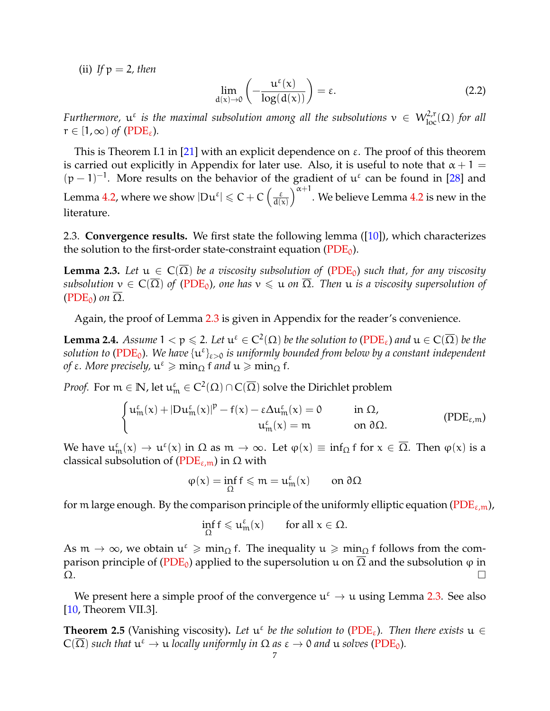(ii) If  $p = 2$ , then

<span id="page-6-3"></span>
$$
\lim_{d(x)\to 0} \left(-\frac{u^{\varepsilon}(x)}{\log(d(x))}\right) = \varepsilon.
$$
\n(2.2)

*Furthermore,*  $u^{\varepsilon}$  *is the maximal subsolution among all the subsolutions*  $v \in W^{2,r}_{loc}(\Omega)$  *for all*  $r \in [1,\infty)$  *of* [\(PDE](#page-0-1)<sub> $\epsilon$ </sub>).

This is Theorem I.1 in [\[21\]](#page-34-0) with an explicit dependence on  $\varepsilon$ . The proof of this theorem is carried out explicitly in Appendix for later use. Also, it is useful to note that  $\alpha + 1 =$  $(p-1)^{-1}$ . More results on the behavior of the gradient of  $u^{\varepsilon}$  can be found in [\[28\]](#page-35-4) and Lemma [4.2,](#page-18-0) where we show  $|Du^{\varepsilon}| \leqslant C + C \left( \frac{\varepsilon}{d \Omega} \right)$  $d(x)$  $\big)^{\alpha+1}.$  We believe Lemma [4.2](#page-18-0) is new in the literature.

2.3. **Convergence results.** We first state the following lemma ([\[10\]](#page-34-2)), which characterizes the solution to the first-order state-constraint equation  $(PDE_0)$  $(PDE_0)$ .

<span id="page-6-0"></span>**Lemma 2.3.** Let  $u \in C(\overline{\Omega})$  be a viscosity subsolution of [\(PDE](#page-1-1)<sub>0</sub>) such that, for any viscosity *subsolution*  $v \in C(\overline{\Omega})$  *of* [\(PDE](#page-1-1)<sub>0</sub>), one has  $v \leq u$  *on*  $\overline{\Omega}$ *. Then*  $u$  *is a viscosity supersolution of*  $(PDE_0)$  $(PDE_0)$  *on*  $\overline{\Omega}$ *.* 

Again, the proof of Lemma [2.3](#page-6-0) is given in Appendix for the reader's convenience.

<span id="page-6-2"></span>**Lemma 2.4.** Assume  $1 < p \le 2$ . Let  $\mathfrak{u}^{\varepsilon} \in C^2(\Omega)$  be the solution to  $(PDE_{\varepsilon})$  $(PDE_{\varepsilon})$  and  $\mathfrak{u} \in C(\overline{\Omega})$  be the  $solution$  to ( $PDE_0$ ). We have  $\{u^\varepsilon\}_{\varepsilon>0}$  is uniformly bounded from below by a constant independent  $\phi$ *f* ε. More precisely,  $\mathfrak{u}^{\varepsilon} \geqslant \min_{\Omega} \mathfrak{f}$  and  $\mathfrak{u} \geqslant \min_{\Omega} \mathfrak{f}$ .

*Proof.* For  $m \in \mathbb{N}$ , let  $\mathfrak{u}_m^{\varepsilon} \in C^2(\Omega) \cap C(\overline{\Omega})$  solve the Dirichlet problem

$$
\begin{cases} u^\epsilon_m(x)+|Du^\epsilon_m(x)|^p-f(x)-\epsilon\Delta u^\epsilon_m(x)=0 \qquad &\text{in }\Omega,\cr u^\epsilon_m(x)=m \qquad &\text{on }\partial\Omega.\end{cases}\qquad \qquad \text{(PDE}_{\epsilon,m})
$$

We have  $u_{m}^{\epsilon}(x) \to u^{\epsilon}(x)$  in  $\Omega$  as  $m \to \infty$ . Let  $\varphi(x) \equiv \inf_{\Omega} f$  for  $x \in \overline{\Omega}$ . Then  $\varphi(x)$  is a closical subset with  $g(\Omega)$   $\Omega$  and  $\Omega$ classical subsolution of ( $PDE_{\varepsilon,m}$ ) in  $\Omega$  with

<span id="page-6-1"></span>
$$
\phi(x)=\inf_\Omega f\leqslant m=u^\epsilon_m(x)\qquad\text{on }\partial\Omega
$$

for m large enough. By the comparison principle of the uniformly elliptic equation [\(PDE](#page-6-1)<sub> $\varepsilon$ ,m),</sub>

$$
\inf_\Omega f\leqslant u_m^\epsilon(x)\qquad\text{for all }x\in\Omega.
$$

As  $m \to \infty$ , we obtain  $u^{\varepsilon} \geq m \text{ in } \Omega$  f. The inequality  $u \geq m \text{ in } \Omega$  f follows from the com-parison principle of [\(PDE](#page-1-1)<sub>0</sub>) applied to the supersolution u on  $\Omega$  and the subsolution φ in .<br>Ω. Π

We present here a simple proof of the convergence  $u^{\epsilon} \to u$  using Lemma [2.3.](#page-6-0) See also [\[10,](#page-34-2) Theorem VII.3].

**Theorem 2.5** (Vanishing viscosity). Let  $u^{\varepsilon}$  be the solution to [\(PDE](#page-0-1)<sub> $\varepsilon$ </sub>). Then there exists  $u \in$  $C(\overline{\Omega})$  *such that*  $\mathfrak{u}^{\varepsilon} \to \mathfrak{u}$  *locally uniformly in*  $\Omega$  *as*  $\varepsilon \to 0$  *and*  $\mathfrak{u}$  *solves* [\(PDE](#page-1-1)<sub>0</sub>).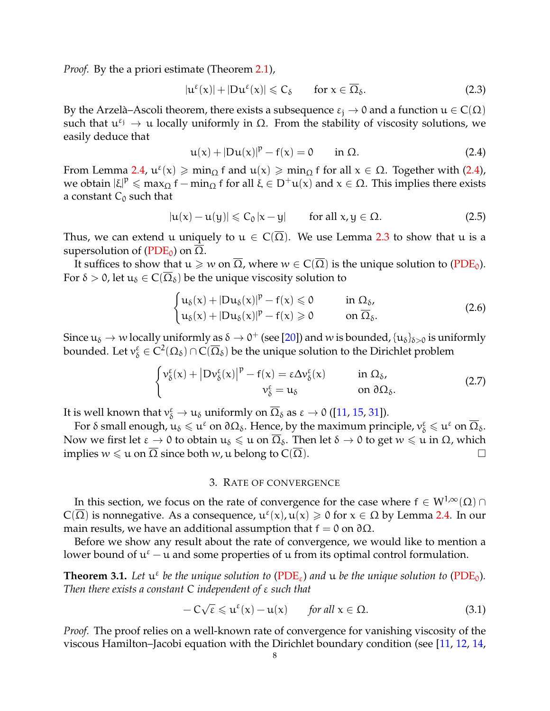*Proof.* By the a priori estimate (Theorem [2.1\)](#page-5-1),

$$
|u^{\varepsilon}(x)|+|Du^{\varepsilon}(x)|\leqslant C_{\delta} \qquad \text{for } x\in\overline{\Omega}_{\delta}.
$$
 (2.3)

By the Arzelà–Ascoli theorem, there exists a subsequence  $\varepsilon_i \to 0$  and a function  $u \in C(\Omega)$ such that  $u^{\epsilon_j} \to u$  locally uniformly in  $\Omega$ . From the stability of viscosity solutions, we easily deduce that

<span id="page-7-0"></span>
$$
u(x) + |Du(x)|^p - f(x) = 0 \quad \text{in } \Omega.
$$
 (2.4)

From Lemma [2.4,](#page-6-2)  $u^{\epsilon}(x) \geqslant \min_{\Omega} f$  and  $u(x) \geqslant \min_{\Omega} f$  for all  $x \in \Omega$ . Together with [\(2.4\)](#page-7-0), we obtain  $|\xi|^p \leq \max_{\Omega} f - \min_{\Omega} f$  for all  $\xi \in D^+u(x)$  and  $x \in \Omega$ . This implies there exists a constant  $C_0$  such that

<span id="page-7-2"></span>
$$
|u(x) - u(y)| \leq C_0 |x - y| \qquad \text{for all } x, y \in \Omega.
$$
 (2.5)

Thus, we can extend u uniquely to  $u \in C(\overline{\Omega})$ . We use Lemma [2.3](#page-6-0) to show that u is a supersolution of ( $PDE_0$ ) on Ω.

It suffices to show that  $u \geq w$  on  $\overline{\Omega}$ , where  $w \in C(\overline{\Omega})$  is the unique solution to [\(PDE](#page-1-1)<sub>0</sub>). For  $\delta > 0$ , let  $u_{\delta} \in C(\overline{\Omega}_{\delta})$  be the unique viscosity solution to

$$
\begin{cases} u_{\delta}(x) + |Du_{\delta}(x)|^{p} - f(x) \leq 0 & \text{in } \Omega_{\delta}, \\ u_{\delta}(x) + |Du_{\delta}(x)|^{p} - f(x) \geq 0 & \text{on } \overline{\Omega}_{\delta}. \end{cases}
$$
(2.6)

Since  $u_\delta\to w$  locally uniformly as  $\delta\to 0^+$  (see [\[20\]](#page-34-6)) and w is bounded,  $\{u_\delta\}_{\delta>0}$  is uniformly bounded. Let  $v_\delta^\varepsilon\in C^2(\Omega_\delta)\cap C(\overline{\Omega}_\delta)$  be the unique solution to the Dirichlet problem

$$
\begin{cases}\n\nu_{\delta}^{\varepsilon}(x) + |D\nu_{\delta}^{\varepsilon}(x)|^{p} - f(x) = \varepsilon \Delta \nu_{\delta}^{\varepsilon}(x) & \text{in } \Omega_{\delta}, \\
\nu_{\delta}^{\varepsilon} = u_{\delta} & \text{on } \partial \Omega_{\delta}.\n\end{cases}
$$
\n(2.7)

It is well known that  $v_{\delta}^{\varepsilon} \to u_{\delta}$  uniformly on  $\overline{\Omega}_{\delta}$  as  $\varepsilon \to 0$  ([\[11,](#page-34-13) [15,](#page-34-16) [31\]](#page-35-7)).

For δ small enough,  $u_\delta\leqslant u^\varepsilon$  on  $\partial\Omega_\delta.$  Hence, by the maximum principle,  $v^\varepsilon_\delta\leqslant u^\varepsilon$  on  $\overline{\Omega}_\delta.$ Now we first let  $\varepsilon \to 0$  to obtain  $u_\delta \leq u$  on  $\overline{\Omega}_\delta$ . Then let  $\delta \to 0$  to get  $w \leq u$  in  $\Omega$ , which implies  $w \leq u$  on Ω since both w, u belong to  $C(Ω)$ .

#### 3. RATE OF CONVERGENCE

In this section, we focus on the rate of convergence for the case where  $f \in W^{1,\infty}(\Omega) \cap$  $C(\overline{\Omega})$  is nonnegative. As a consequence,  $u^{\epsilon}(x)$ ,  $u(x) \geqslant 0$  for  $x \in \Omega$  by Lemma [2.4.](#page-6-2) In our main results, we have an additional assumption that  $f = 0$  on  $\partial \Omega$ .

Before we show any result about the rate of convergence, we would like to mention a lower bound of  $u^{\epsilon}$  – u and some properties of u from its optimal control formulation.

**Theorem 3.1.** Let  $u^{\varepsilon}$  be the unique solution to [\(PDE](#page-1-1)<sub> $\varepsilon$ </sub>) and  $u$  be the unique solution to (PDE<sub>0</sub>). *Then there exists a constant* C *independent of* ε *such that*

<span id="page-7-1"></span>
$$
-C\sqrt{\varepsilon} \leq u^{\varepsilon}(x) - u(x) \qquad \text{for all } x \in \Omega.
$$
 (3.1)

*Proof.* The proof relies on a well-known rate of convergence for vanishing viscosity of the viscous Hamilton–Jacobi equation with the Dirichlet boundary condition (see [\[11,](#page-34-13) [12,](#page-34-17) [14,](#page-34-18)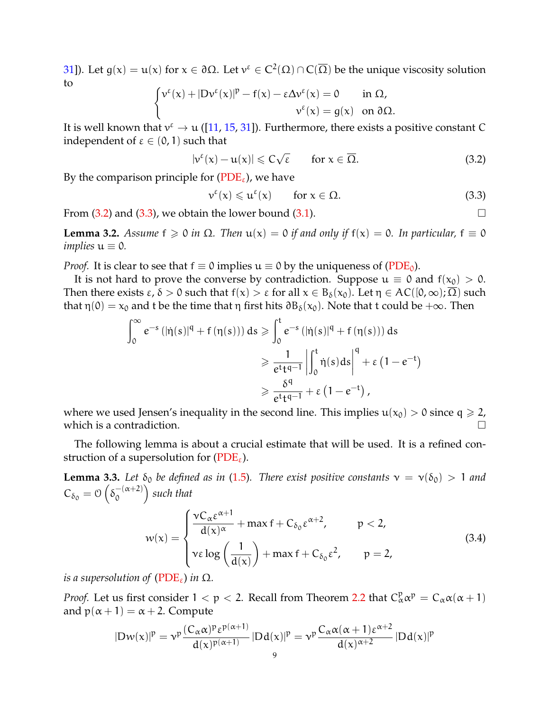[31\]](#page-35-7)). Let g(x) = u(x) for  $x \in \partial \Omega$ . Let  $v^ε ∈ C^2(Ω) ∩ C(Ω)$  be the unique viscosity solution to  $\sqrt{ }$ 

$$
\begin{cases}\nv^{\varepsilon}(x) + |Dv^{\varepsilon}(x)|^p - f(x) - \varepsilon \Delta v^{\varepsilon}(x) = 0 & \text{in } \Omega, \\
v^{\varepsilon}(x) = g(x) & \text{on } \partial\Omega.\n\end{cases}
$$

It is well known that  $v^{\epsilon} \to u$  ([\[11,](#page-34-13) [15,](#page-34-16) [31\]](#page-35-7)). Furthermore, there exists a positive constant C independent of  $\varepsilon \in (0,1)$  such that

<span id="page-8-0"></span>
$$
|\nu^{\varepsilon}(x) - \mathfrak{u}(x)| \leqslant C\sqrt{\varepsilon} \qquad \text{for } x \in \overline{\Omega}.
$$
 (3.2)

By the comparison principle for ( $PDE_{\varepsilon}$ ), we have

<span id="page-8-1"></span>
$$
\nu^{\varepsilon}(x) \leqslant u^{\varepsilon}(x) \qquad \text{for } x \in \Omega. \tag{3.3}
$$

From  $(3.2)$  and  $(3.3)$ , we obtain the lower bound  $(3.1)$ .

<span id="page-8-2"></span>**Lemma 3.2.** *Assume*  $f \ge 0$  *in*  $\Omega$ *. Then*  $u(x) = 0$  *if and only if*  $f(x) = 0$ *. In particular,*  $f \equiv 0$ *implies*  $u \equiv 0$ *.* 

*Proof.* It is clear to see that  $f \equiv 0$  implies  $u \equiv 0$  by the uniqueness of [\(PDE](#page-1-1)<sub>0</sub>).

It is not hard to prove the converse by contradiction. Suppose  $u \equiv 0$  and  $f(x_0) > 0$ . Then there exists  $\varepsilon$ ,  $\delta > 0$  such that  $f(x) > \varepsilon$  for all  $x \in B_{\delta}(x_0)$ . Let  $\eta \in AC([0,\infty); \Omega)$  such that  $\eta(0) = x_0$  and t be the time that  $\eta$  first hits  $\partial B_\delta(x_0)$ . Note that t could be  $+\infty$ . Then

$$
\int_0^\infty e^{-s} \left( |\dot{\eta}(s)|^q + f(\eta(s)) \right) ds \ge \int_0^t e^{-s} \left( |\dot{\eta}(s)|^q + f(\eta(s)) \right) ds
$$
  

$$
\ge \frac{1}{e^t t^{q-1}} \left| \int_0^t \dot{\eta}(s) ds \right|^q + \varepsilon (1 - e^{-t})
$$
  

$$
\ge \frac{\delta^q}{e^t t^{q-1}} + \varepsilon (1 - e^{-t}),
$$

where we used Jensen's inequality in the second line. This implies  $u(x_0) > 0$  since  $q \ge 2$ , which is a contradiction.  $\Box$ 

The following lemma is about a crucial estimate that will be used. It is a refined construction of a supersolution for  $(PDE_{\varepsilon})$  $(PDE_{\varepsilon})$ .

<span id="page-8-3"></span>**Lemma 3.3.** *Let*  $\delta_0$  *be defined as in* [\(1.5\)](#page-1-3)*. There exist positive constants*  $v = v(\delta_0) > 1$  *and*  $C_{\delta_0} = \mathcal{O}\left(\delta_0^{-(\alpha+2)}\right)$  $\mathcal{O}$ *such that*

$$
w(x) = \begin{cases} \frac{\nu C_{\alpha} \epsilon^{\alpha+1}}{d(x)^{\alpha}} + \max f + C_{\delta_0} \epsilon^{\alpha+2}, & p < 2, \\ v \epsilon \log \left( \frac{1}{d(x)} \right) + \max f + C_{\delta_0} \epsilon^2, & p = 2, \end{cases}
$$
(3.4)

*is a supersolution of* ( $PDE_{\varepsilon}$ ) *in*  $\Omega$ *.* 

*Proof.* Let us first consider  $1 < p < 2$ . Recall from Theorem [2.2](#page-5-2) that  $C^p_\alpha \alpha^p = C_\alpha \alpha (\alpha + 1)$ and  $p(\alpha + 1) = \alpha + 2$ . Compute

$$
|Dw(x)|^p = v^p \frac{(C_\alpha \alpha)^p \epsilon^{p(\alpha+1)}}{d(x)^{p(\alpha+1)}} |Dd(x)|^p = v^p \frac{C_\alpha \alpha (\alpha+1) \epsilon^{\alpha+2}}{d(x)^{\alpha+2}} |Dd(x)|^p
$$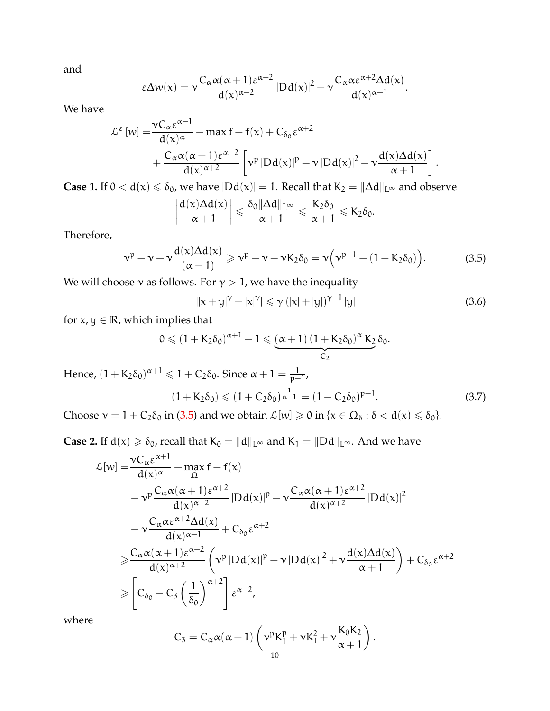and

$$
\epsilon \Delta w(x)=\nu \frac{C_{\alpha}\alpha(\alpha+1)\epsilon^{\alpha+2}}{d(x)^{\alpha+2}}\left\vert Dd(x)\right\vert ^{2}-\nu \frac{C_{\alpha}\alpha\epsilon^{\alpha+2}\Delta d(x)}{d(x)^{\alpha+1}}.
$$

We have

$$
\begin{aligned} \mathcal{L}^{\epsilon}\left[w\right] = & \frac{\nu C_{\alpha}\epsilon^{\alpha+1}}{d(x)^{\alpha}} + \max f - f(x) + C_{\delta_0}\epsilon^{\alpha+2} \\ & + \frac{C_{\alpha}\alpha(\alpha+1)\epsilon^{\alpha+2}}{d(x)^{\alpha+2}}\left[\nu^p\left|Dd(x)\right|^p - \nu\left|Dd(x)\right|^2 + \nu\frac{d(x)\Delta d(x)}{\alpha+1}\right]. \end{aligned}
$$

**Case 1.** If 0 < d(x) ≤ δ<sub>0</sub>, we have  $|Dd(x)| = 1$ . Recall that K<sub>2</sub> =  $||Δd||<sub>L∞</sub>$  and observe

$$
\left|\frac{d(x)\Delta d(x)}{\alpha+1}\right| \leqslant \frac{\delta_0 \|\Delta d\|_{L^\infty}}{\alpha+1} \leqslant \frac{K_2 \delta_0}{\alpha+1} \leqslant K_2 \delta_0.
$$

<span id="page-9-0"></span>Therefore,

$$
\nu^p - \nu + \nu \frac{d(\mathbf{x}) \Delta d(\mathbf{x})}{(\alpha + 1)} \geqslant \nu^p - \nu - \nu \mathbf{K}_2 \delta_0 = \nu \left( \nu^{p-1} - (1 + \mathbf{K}_2 \delta_0) \right). \tag{3.5}
$$

We will choose  $\nu$  as follows. For  $\gamma > 1$ , we have the inequality

 $\bigg\}$  $\overline{\phantom{a}}$  $\overline{\phantom{a}}$  $\begin{array}{c} \hline \end{array}$ 

<span id="page-9-1"></span>
$$
||x + y|^{\gamma} - |x|^{\gamma}| \leq \gamma (|x| + |y|)^{\gamma - 1} |y|
$$
 (3.6)

for  $x, y \in \mathbb{R}$ , which implies that

$$
0 \le (1 + K_2 \delta_0)^{\alpha + 1} - 1 \le \underbrace{(\alpha + 1)(1 + K_2 \delta_0)^{\alpha} K_2}_{C_2} \delta_0.
$$
  
Hence,  $(1 + K_2 \delta_0)^{\alpha + 1} \le 1 + C_2 \delta_0$ . Since  $\alpha + 1 = \frac{1}{p-1}$ ,  
 $(1 + K_2 \delta_0) \le (1 + C_2 \delta_0)^{\frac{1}{\alpha + 1}} = (1 + C_2 \delta_0)^{p-1}$ . (3.7)  
Choose  $\alpha$ ,  $1 + C_2 \delta_0$  in (2.5) and use a  
hain  $C_2 \delta_0$  in (a.6.6.4(a))  $\le 5$ .

Choose  $v = 1 + C_2 \delta_0$  in [\(3.5\)](#page-9-0) and we obtain  $\mathcal{L}[w] \ge 0$  in  $\{x \in \Omega_\delta : \delta < d(x) \le \delta_0\}$ .

**Case 2.** If  $d(x) \ge \delta_0$ , recall that  $K_0 = ||d||_{L^{\infty}}$  and  $K_1 = ||Dd||_{L^{\infty}}$ . And we have

$$
\mathcal{L}[w] = \frac{vC_{\alpha}\epsilon^{\alpha+1}}{d(x)^{\alpha}} + \max_{\Omega} f - f(x)
$$
\n
$$
+ v^p \frac{C_{\alpha}\alpha(\alpha+1)\epsilon^{\alpha+2}}{d(x)^{\alpha+2}} |Dd(x)|^p - v \frac{C_{\alpha}\alpha(\alpha+1)\epsilon^{\alpha+2}}{d(x)^{\alpha+2}} |Dd(x)|^2
$$
\n
$$
+ v \frac{C_{\alpha}\alpha\epsilon^{\alpha+2}\Delta d(x)}{d(x)^{\alpha+1}} + C_{\delta_0}\epsilon^{\alpha+2}
$$
\n
$$
\geq \frac{C_{\alpha}\alpha(\alpha+1)\epsilon^{\alpha+2}}{d(x)^{\alpha+2}} \left( v^p |Dd(x)|^p - v |Dd(x)|^2 + v \frac{d(x)\Delta d(x)}{\alpha+1} \right) + C_{\delta_0}\epsilon^{\alpha+2}
$$
\n
$$
\geq \left[ C_{\delta_0} - C_3 \left( \frac{1}{\delta_0} \right)^{\alpha+2} \right] \epsilon^{\alpha+2},
$$

where

$$
C_3 = C_{\alpha}\alpha(\alpha+1)\left(\nu^p K_1^p + \nu K_1^2 + \nu \frac{K_0 K_2}{\alpha+1}\right).
$$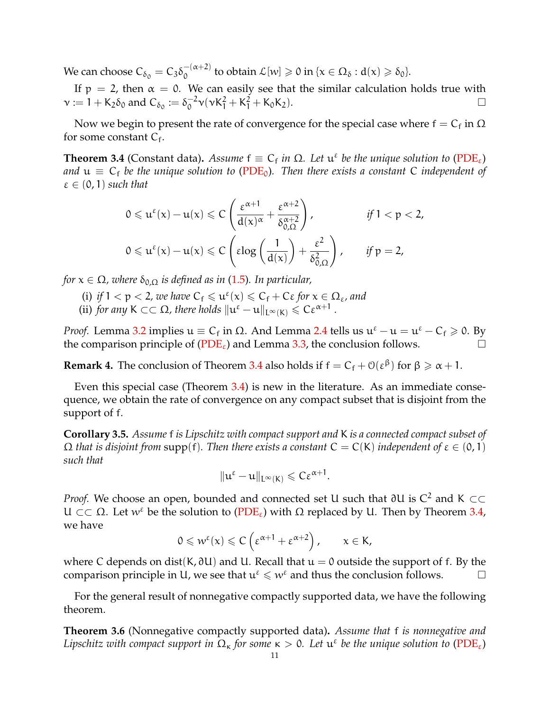We can choose  $C_{\delta_0} = C_3 \delta_0^{-(\alpha+2)}$  $\int_0^{-(\alpha+2)}$  to obtain  $\mathcal{L}[w] \geqslant 0$  in  $\{x \in \Omega_\delta : d(x) \geqslant \delta_0\}.$ 

If  $p = 2$ , then  $\alpha = 0$ . We can easily see that the similar calculation holds true with  $\mathsf{v} := 1 + \mathsf{K}_2 \delta_0$  and  $\mathsf{C}_{\delta_0} := \delta_0^{-2}$  $\int_0^{-2} \nu(\nu K_1^2 + K_1^2 + K_0 K_2).$ 

Now we begin to present the rate of convergence for the special case where  $\mathsf{f}=\mathsf{C}_\mathsf{f}$  in  $\Omega$ for some constant  $C_f$ .

<span id="page-10-0"></span>**Theorem 3.4** (Constant data). Assume  $f \equiv C_f$  in  $\Omega$ . Let  $\mathfrak{u}^{\varepsilon}$  be the unique solution to [\(PDE](#page-0-1)<sub> $\varepsilon$ </sub>) *and*  $u \equiv C_f$  *be the unique solution to* [\(PDE](#page-1-1)<sub>0</sub>). Then there exists a constant C independent of  $\varepsilon \in (0,1)$  *such that* 

$$
0 \leqslant u^{\epsilon}(x) - u(x) \leqslant C \left( \frac{\epsilon^{\alpha+1}}{d(x)^{\alpha}} + \frac{\epsilon^{\alpha+2}}{\delta_{0,\Omega}^{\alpha+2}} \right), \qquad \text{if } 1 < p < 2,
$$
  

$$
0 \leqslant u^{\epsilon}(x) - u(x) \leqslant C \left( \epsilon \log \left( \frac{1}{d(x)} \right) + \frac{\epsilon^2}{\delta_{0,\Omega}^2} \right), \qquad \text{if } p = 2,
$$

*for*  $x \in \Omega$ , where  $\delta_{0,\Omega}$  *is defined as in* [\(1.5\)](#page-1-3). In particular,

- (i) *if*  $1 < p < 2$ , we have  $C_f \leq u^{\varepsilon}(\alpha) \leq C_f + C\varepsilon$  for  $\alpha \in \Omega_{\varepsilon}$ , and
- (ii) *for any*  $K \subset\subset \Omega$ *, there holds*  $\|u^{\varepsilon} u\|_{L^{\infty}(K)} \leqslant C\varepsilon^{\alpha+1}$ .

*Proof.* Lemma [3.2](#page-8-2) implies  $u \equiv C_f$  in Ω. And Lemma [2.4](#page-6-2) tells us  $u^{\varepsilon} - u = u^{\varepsilon} - C_f \ge 0$ . By the comparison principle of  $(PDE_{\varepsilon})$  $(PDE_{\varepsilon})$  and Lemma [3.3,](#page-8-3) the conclusion follows.

**Remark 4.** The conclusion of Theorem [3.4](#page-10-0) also holds if  $f = C_f + O(\epsilon^{\beta})$  for  $\beta \ge \alpha + 1$ .

Even this special case (Theorem [3.4\)](#page-10-0) is new in the literature. As an immediate consequence, we obtain the rate of convergence on any compact subset that is disjoint from the support of f.

**Corollary 3.5.** *Assume* f *is Lipschitz with compact support and* K *is a connected compact subset of*  $\Omega$  *that is disjoint from* supp(f). Then there exists a constant  $C = C(K)$  independent of  $\varepsilon \in (0,1)$ *such that*

$$
\|u^{\epsilon}-u\|_{L^{\infty}(K)}\leqslant C\epsilon^{\alpha+1}.
$$

*Proof.* We choose an open, bounded and connected set U such that ∂U is  $C^2$  and K  $\subset\subset$ U ⊂ ⊂ Ω. Let w<sup>ε</sup> be the solution to [\(PDE](#page-0-1)<sub>ε</sub>) with Ω replaced by U. Then by Theorem [3.4,](#page-10-0) we have

$$
0 \leqslant w^{\varepsilon}(\mathsf{x}) \leqslant C\left(\varepsilon^{\alpha+1} + \varepsilon^{\alpha+2}\right), \qquad \mathsf{x} \in \mathsf{K},
$$

where C depends on dist(K,  $\partial U$ ) and U. Recall that  $u = 0$  outside the support of f. By the comparison principle in U, we see that  $u^{\epsilon} \leq w^{\epsilon}$  and thus the conclusion follows.  $\Box$ 

For the general result of nonnegative compactly supported data, we have the following theorem.

<span id="page-10-1"></span>**Theorem 3.6** (Nonnegative compactly supported data)**.** *Assume that* f *is nonnegative and* Lipschitz with compact support in  $\Omega_{\kappa}$  for some  $\kappa > 0$ . Let  $\mathfrak{u}^{\varepsilon}$  be the unique solution to [\(PDE](#page-0-1)<sub> $\varepsilon$ </sub>)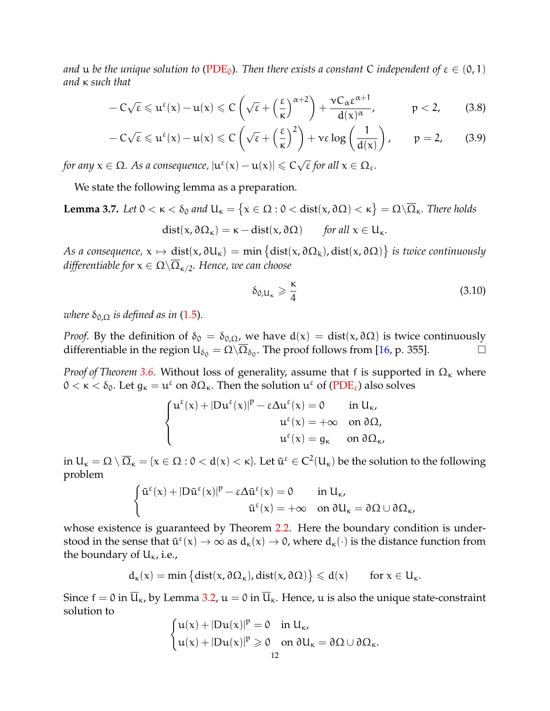*and* **u** *be the unique solution to* [\(PDE](#page-1-1)<sub>0</sub>). Then there exists a constant C independent of  $\varepsilon \in (0,1)$ *and* κ *such that*

$$
-C\sqrt{\epsilon} \leqslant u^{\epsilon}(x)-u(x) \leqslant C\left(\sqrt{\epsilon}+\left(\frac{\epsilon}{\kappa}\right)^{\alpha+2}\right)+\frac{\nu C_{\alpha}\epsilon^{\alpha+1}}{d(x)^{\alpha}}, \hspace{1cm} p<2, \hspace{0.7cm} (3.8)
$$

$$
-C\sqrt{\varepsilon} \leq u^{\varepsilon}(x) - u(x) \leq C\left(\sqrt{\varepsilon} + \left(\frac{\varepsilon}{\kappa}\right)^2\right) + v\varepsilon \log\left(\frac{1}{d(x)}\right), \qquad p = 2, \qquad (3.9)
$$

for any  $x \in \Omega$ . As a consequence,  $|u^{\varepsilon}(x) - u(x)| \leqslant C \sqrt{\varepsilon}$ ε *for all* x ∈ Ωε*.*

We state the following lemma as a preparation.

**Lemma 3.7.** Let  $0 < \kappa < \delta_0$  and  $U_{\kappa} = \{x \in \Omega : 0 < \text{dist}(x, \partial \Omega) < \kappa \} = \Omega \setminus \overline{\Omega}_{\kappa}$ . There holds  $dist(x, \partial \Omega_{\kappa}) = \kappa - dist(x, \partial \Omega)$  *for all*  $x \in U_{\kappa}$ .

*As a consequence,*  $x \mapsto dist(x, \partial U_{\kappa}) = min\left\{dist(x, \partial \Omega_{\kappa}) , dist(x, \partial \Omega)\right\}$  *is twice continuously differentiable for*  $x \in \Omega \setminus \overline{\Omega}_{\kappa/2}$ *. Hence, we can choose* 

<span id="page-11-2"></span><span id="page-11-1"></span><span id="page-11-0"></span>
$$
\delta_{0,\mathsf{u}_{\kappa}} \geqslant \frac{\kappa}{4} \tag{3.10}
$$

*where*  $\delta_{0,\Omega}$  *is defined as in* [\(1.5\)](#page-1-3).

*Proof.* By the definition of  $\delta_0 = \delta_{0,\Omega}$ , we have  $d(x) = dist(x, \partial \Omega)$  is twice continuously differentiable in the region  $U_{\delta_0} = \Omega \setminus \overline{\Omega}_{\delta_0}$ . The proof follows from [\[16,](#page-34-14) p. 355].

*Proof of Theorem [3.6.](#page-10-1)* Without loss of generality, assume that f is supported in  $\Omega_{\kappa}$  where  $0 < \kappa < \delta_0$ . Let  $g_{\kappa} = u^{\varepsilon}$  on  $\partial \Omega_{\kappa}$ . Then the solution  $u^{\varepsilon}$  of [\(PDE](#page-0-1)<sub> $\varepsilon$ </sub>) also solves

$$
\left\{ \begin{aligned} u^\epsilon(x)+|D u^\epsilon(x)|^p-\epsilon \Delta u^\epsilon(x)&=0\qquad \text{in}\ U_\kappa,\\ u^\epsilon(x)&=+\infty\quad \text{on}\ \partial\Omega,\\ u^\epsilon(x)&=g_\kappa\qquad \text{on}\ \partial\Omega_\kappa, \end{aligned} \right.
$$

in  $U_\kappa=\Omega\setminus\overline{\Omega}_\kappa=\{\mathsf{x}\in\Omega:\mathsf{0}<\mathsf{d}(\mathsf{x})<\kappa\}$ . Let  $\tilde{\mathfrak{u}}^\epsilon\in C^2(U_\kappa)$  be the solution to the following problem

$$
\left\{\begin{aligned} \tilde{u}^\epsilon(x)+|D\tilde{u}^\epsilon(x)|^p-\epsilon\Delta\tilde{u}^\epsilon(x)&=0\qquad\text{in }U_\kappa,\\ \tilde{u}^\epsilon(x)&=+\infty\quad\text{on }\partial U_\kappa=\partial\Omega\cup\partial\Omega_\kappa, \end{aligned}\right.
$$

whose existence is guaranteed by Theorem [2.2.](#page-5-2) Here the boundary condition is understood in the sense that  $\tilde{u}^{\epsilon}(x) \to \infty$  as  $d_{\kappa}(x) \to 0$ , where  $d_{\kappa}(\cdot)$  is the distance function from the boundary of  $U_{\kappa}$ , i.e.,

$$
d_{\kappa}(x) = \min \left\{ dist(x, \partial \Omega_{\kappa}), dist(x, \partial \Omega) \right\} \leqslant d(x) \qquad \text{for } x \in U_{\kappa}.
$$

Since  $f = 0$  in  $\overline{U}_{\kappa}$ , by Lemma [3.2,](#page-8-2)  $u = 0$  in  $\overline{U}_{\kappa}$ . Hence, u is also the unique state-constraint solution to

$$
\begin{cases} u(x) + |Du(x)|^p = 0 & \text{in } U_{\kappa}, \\ u(x) + |Du(x)|^p \geqslant 0 & \text{on } \partial U_{\kappa} = \partial \Omega \cup \partial \Omega_{\kappa}. \end{cases}
$$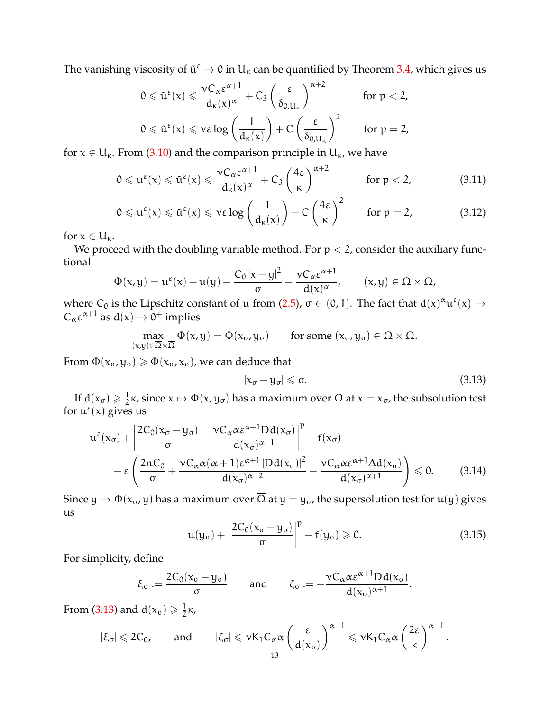The vanishing viscosity of  $\tilde{u}^{\epsilon} \to 0$  in  $U_{\kappa}$  can be quantified by Theorem [3.4,](#page-10-0) which gives us

$$
0 \leq \tilde{u}^{\epsilon}(x) \leq \frac{\nu C_{\alpha} \epsilon^{\alpha+1}}{d_{\kappa}(x)^{\alpha}} + C_{3} \left(\frac{\epsilon}{\delta_{0,U_{\kappa}}}\right)^{\alpha+2} \quad \text{for } p < 2,
$$
  

$$
0 \leq \tilde{u}^{\epsilon}(x) \leq \nu \epsilon \log \left(\frac{1}{d_{\kappa}(x)}\right) + C \left(\frac{\epsilon}{\delta_{0,U_{\kappa}}}\right)^{2} \quad \text{for } p = 2,
$$

for  $x \in U_{\kappa}$ . From [\(3.10\)](#page-11-0) and the comparison principle in  $U_{\kappa}$ , we have

$$
0 \leqslant u^{\varepsilon}(x) \leqslant \tilde{u}^{\varepsilon}(x) \leqslant \frac{\nu C_{\alpha} \varepsilon^{\alpha+1}}{d_{\kappa}(x)^{\alpha}} + C_3 \left(\frac{4\varepsilon}{\kappa}\right)^{\alpha+2} \quad \text{for } p < 2,
$$
 (3.11)

$$
0 \leq u^{\varepsilon}(x) \leq \tilde{u}^{\varepsilon}(x) \leq v \varepsilon \log \left( \frac{1}{d_{\kappa}(x)} \right) + C \left( \frac{4\varepsilon}{\kappa} \right)^2 \quad \text{for } \mathfrak{p} = 2,
$$
 (3.12)

for  $x \in U_{\kappa}$ .

We proceed with the doubling variable method. For  $p < 2$ , consider the auxiliary functional

$$
\Phi(x,y)=u^{\epsilon}(x)-u(y)-\frac{C_0\left|x-y\right|^2}{\sigma}-\frac{\nu C_{\alpha}\epsilon^{\alpha+1}}{d(x)^{\alpha}},\qquad (x,y)\in\overline{\Omega}\times\overline{\Omega},
$$

where C<sub>0</sub> is the Lipschitz constant of u from [\(2.5\)](#page-7-2),  $\sigma \in (0, 1)$ . The fact that  $d(x)^\alpha u^\varepsilon(x) \to$  $C_{\alpha} \varepsilon^{\alpha+1}$  as  $d(x) \to 0^+$  implies

$$
\max_{(x,y)\in\overline{\Omega}\times\overline{\Omega}}\Phi(x,y)=\Phi(x_{\sigma},y_{\sigma})\qquad\text{for some }(x_{\sigma},y_{\sigma})\in\Omega\times\overline{\Omega}.
$$

From  $\Phi(x_{\sigma}, y_{\sigma}) \ge \Phi(x_{\sigma}, x_{\sigma})$ , we can deduce that

<span id="page-12-3"></span><span id="page-12-0"></span>
$$
|x_{\sigma} - y_{\sigma}| \leqslant \sigma. \tag{3.13}
$$

If  $d(x_{\sigma}) \geqslant \frac{1}{2}$  $\frac{1}{2}$ κ, since  $x \mapsto \Phi(x, y_{\sigma})$  has a maximum over  $\Omega$  at  $x = x_{\sigma}$ , the subsolution test for  $u^{\epsilon}(x)$  gives us

$$
u^{\varepsilon}(x_{\sigma}) + \left| \frac{2C_{0}(x_{\sigma} - y_{\sigma})}{\sigma} - \frac{\nu C_{\alpha} \alpha \varepsilon^{\alpha+1} D d(x_{\sigma})}{d(x_{\sigma})^{\alpha+1}} \right|^{p} - f(x_{\sigma})
$$

$$
- \varepsilon \left( \frac{2nC_{0}}{\sigma} + \frac{\nu C_{\alpha} \alpha (\alpha+1) \varepsilon^{\alpha+1} |D d(x_{\sigma})|^{2}}{d(x_{\sigma})^{\alpha+2}} - \frac{\nu C_{\alpha} \alpha \varepsilon^{\alpha+1} \Delta d(x_{\sigma})}{d(x_{\sigma})^{\alpha+1}} \right) \leq 0. \tag{3.14}
$$

<span id="page-12-4"></span><span id="page-12-2"></span><span id="page-12-1"></span> $\overline{ }$ 

Since  $y \mapsto \Phi(x_{\sigma}, y)$  has a maximum over  $\overline{\Omega}$  at  $y = y_{\sigma}$ , the supersolution test for  $u(y)$  gives us

$$
u(y_{\sigma}) + \left| \frac{2C_0(x_{\sigma} - y_{\sigma})}{\sigma} \right|^p - f(y_{\sigma}) \ge 0.
$$
 (3.15)

For simplicity, define

$$
\xi_{\sigma} := \frac{2C_0(x_{\sigma} - y_{\sigma})}{\sigma} \quad \text{and} \quad \zeta_{\sigma} := -\frac{\nu C_{\alpha} \alpha \epsilon^{\alpha+1} D d(x_{\sigma})}{d(x_{\sigma})^{\alpha+1}}.
$$

From [\(3.13\)](#page-12-0) and  $d(x_{\sigma}) \geqslant \frac{1}{2}$  $\frac{1}{2}$ <sub>K</sub>

$$
|\xi_\sigma| \leqslant 2C_0, \qquad \text{and} \qquad |\zeta_\sigma| \leqslant \nu K_1 C_\alpha \alpha \left( \frac{\epsilon}{d(x_\sigma)} \right)^{\alpha+1} \leqslant \nu K_1 C_\alpha \alpha \left( \frac{2\epsilon}{\kappa} \right)^{\alpha+1}.
$$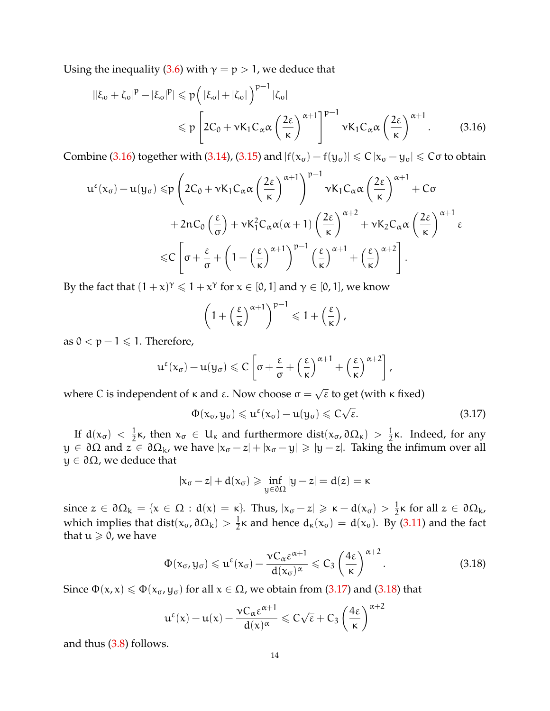Using the inequality [\(3.6\)](#page-9-1) with  $\gamma = p > 1$ , we deduce that

$$
\begin{split} \|\xi_{\sigma} + \zeta_{\sigma}|^{p} - |\xi_{\sigma}|^{p}| &\leqslant p \left( |\xi_{\sigma}| + |\zeta_{\sigma}| \right)^{p-1} |\zeta_{\sigma}| \\ &\leqslant p \left[ 2C_{0} + \nu K_{1} C_{\alpha} \alpha \left( \frac{2\varepsilon}{\kappa} \right)^{\alpha+1} \right]^{p-1} \nu K_{1} C_{\alpha} \alpha \left( \frac{2\varepsilon}{\kappa} \right)^{\alpha+1} . \end{split} \tag{3.16}
$$

Combine [\(3.16\)](#page-13-0) together with [\(3.14\)](#page-12-1), [\(3.15\)](#page-12-2) and  $|f(x_{\sigma}) - f(y_{\sigma})| \leq C |x_{\sigma} - y_{\sigma}| \leq C \sigma$  to obtain

$$
u^{\epsilon}(x_{\sigma}) - u(y_{\sigma}) \leqslant p \left( 2C_{0} + \nu K_{1} C_{\alpha} \alpha \left( \frac{2 \epsilon}{\kappa} \right)^{\alpha+1} \right)^{p-1} \nu K_{1} C_{\alpha} \alpha \left( \frac{2 \epsilon}{\kappa} \right)^{\alpha+1} + C \sigma + 2nC_{0} \left( \frac{\epsilon}{\sigma} \right) + \nu K_{1}^{2} C_{\alpha} \alpha (\alpha+1) \left( \frac{2 \epsilon}{\kappa} \right)^{\alpha+2} + \nu K_{2} C_{\alpha} \alpha \left( \frac{2 \epsilon}{\kappa} \right)^{\alpha+1} \epsilon \leqslant C \left[ \sigma + \frac{\epsilon}{\sigma} + \left( 1 + \left( \frac{\epsilon}{\kappa} \right)^{\alpha+1} \right)^{p-1} \left( \frac{\epsilon}{\kappa} \right)^{\alpha+1} + \left( \frac{\epsilon}{\kappa} \right)^{\alpha+2} \right].
$$

By the fact that  $(1+x)^\gamma \leq 1+x^\gamma$  for  $x \in [0,1]$  and  $\gamma \in [0,1]$ , we know

<span id="page-13-0"></span>
$$
\left(1+\left(\frac{\epsilon}{\kappa}\right)^{\alpha+1}\right)^{p-1}\leqslant 1+\left(\frac{\epsilon}{\kappa}\right),
$$

as 0 <  $p$  − 1 ≤ 1. Therefore,

$$
u^{\varepsilon}(x_{\sigma}) - u(y_{\sigma}) \leqslant C \left[ \sigma + \frac{\varepsilon}{\sigma} + \left( \frac{\varepsilon}{\kappa} \right)^{\alpha+1} + \left( \frac{\varepsilon}{\kappa} \right)^{\alpha+2} \right],
$$

where C is independent of  $\kappa$  and  $\varepsilon$ . Now choose  $\sigma =$  $\overline{\epsilon}$  to get (with  $\kappa$  fixed)

<span id="page-13-1"></span>
$$
\Phi(\mathbf{x}_{\sigma},\mathbf{y}_{\sigma}) \leqslant \mathbf{u}^{\varepsilon}(\mathbf{x}_{\sigma}) - \mathbf{u}(\mathbf{y}_{\sigma}) \leqslant C\sqrt{\varepsilon}.
$$
\n(3.17)

If  $d(x_{\sigma}) < \frac{1}{2}$  $\frac{1}{2}$ κ, then  $x_σ$  ∈ U<sub>κ</sub> and furthermore dist( $x_σ$ , ∂Ω<sub>κ</sub>) >  $\frac{1}{2}$  $\frac{1}{2}$ κ. Indeed, for any  $y \in \partial \Omega$  and  $z \in \partial \Omega_k$ , we have  $|x_{\sigma} - z| + |x_{\sigma} - y| \geq |y - z|$ . Taking the infimum over all  $y \in \partial \Omega$ , we deduce that

<span id="page-13-2"></span>
$$
|x_\sigma-z|+d(x_\sigma)\geqslant \inf_{y\in\partial\Omega}|y-z|=d(z)=\kappa
$$

since  $z \in \partial \Omega_k = \{x \in \Omega : d(x) = \kappa\}$ . Thus,  $|x_{\sigma} - z| \geq \kappa - d(x_{\sigma}) > \frac{1}{2}$  $\frac{1}{2}$ κ for all  $z \in \partial \Omega_k$ , which implies that dist( $x_{\sigma}$ ,  $\partial \Omega_{k}$ ) >  $\frac{1}{2}$  $\frac{1}{2}$ κ and hence  $d_{\kappa}(x_{\sigma}) = d(x_{\sigma})$ . By [\(3.11\)](#page-12-3) and the fact that  $u \ge 0$ , we have

$$
\Phi(\mathbf{x}_{\sigma}, \mathbf{y}_{\sigma}) \leqslant \mathbf{u}^{\varepsilon}(\mathbf{x}_{\sigma}) - \frac{\nu C_{\alpha} \varepsilon^{\alpha+1}}{d(\mathbf{x}_{\sigma})^{\alpha}} \leqslant C_{3} \left(\frac{4\varepsilon}{\kappa}\right)^{\alpha+2}.
$$
\n(3.18)

Since  $\Phi(x, x) \le \Phi(x_{\sigma}, y_{\sigma})$  for all  $x \in \Omega$ , we obtain from [\(3.17\)](#page-13-1) and [\(3.18\)](#page-13-2) that

$$
u^\epsilon(x)-u(x)-\frac{\nu C_\alpha\epsilon^{\alpha+1}}{d(x)^\alpha}\leqslant C\sqrt{\epsilon}+C_3\left(\frac{4\epsilon}{\kappa}\right)^{\alpha+2}
$$

and thus [\(3.8\)](#page-11-1) follows.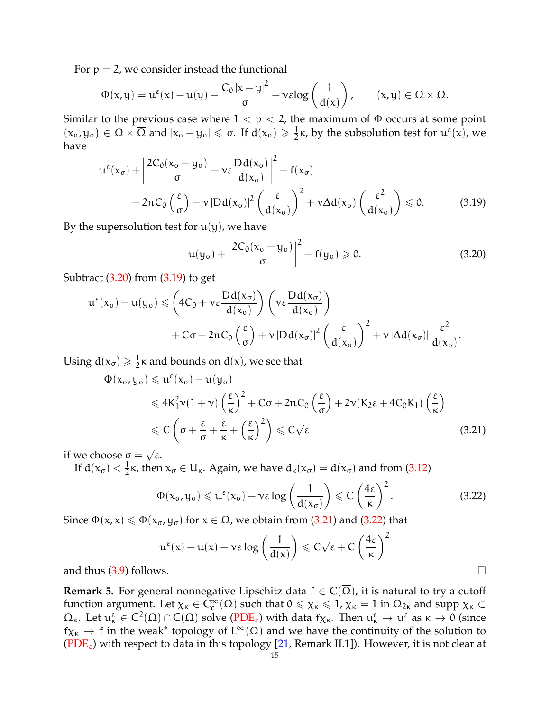For  $p = 2$ , we consider instead the functional

$$
\Phi(x,y)=u^\epsilon(x)-u(y)-\frac{C_0\left|x-y\right|^2}{\sigma}-\nu\epsilon log\left(\frac{1}{d(x)}\right),\qquad (x,y)\in\overline{\Omega}\times\overline{\Omega}.
$$

Similar to the previous case where  $1 < p < 2$ , the maximum of  $\Phi$  occurs at some point  $(x_{\sigma}, y_{\sigma}) \in \Omega \times \overline{\Omega}$  and  $|x_{\sigma} - y_{\sigma}| \leq \sigma$ . If  $d(x_{\sigma}) \geq \frac{1}{2}$  $\frac{1}{2}$ κ, by the subsolution test for  $u^{\varepsilon}(x)$ , we have

$$
u^{\varepsilon}(x_{\sigma}) + \left| \frac{2C_{0}(x_{\sigma} - y_{\sigma})}{\sigma} - \nu \varepsilon \frac{Dd(x_{\sigma})}{d(x_{\sigma})} \right|^{2} - f(x_{\sigma})
$$
  
- 2nC\_{0} \left( \frac{\varepsilon}{\sigma} \right) - \nu |Dd(x\_{\sigma})|^{2} \left( \frac{\varepsilon}{d(x\_{\sigma})} \right)^{2} + \nu \Delta d(x\_{\sigma}) \left( \frac{\varepsilon^{2}}{d(x\_{\sigma})} \right) \leq 0. (3.19)

By the supersolution test for  $u(y)$ , we have

<span id="page-14-1"></span><span id="page-14-0"></span>
$$
u(y_{\sigma}) + \left| \frac{2C_0(x_{\sigma} - y_{\sigma})}{\sigma} \right|^2 - f(y_{\sigma}) \ge 0.
$$
 (3.20)

Subtract [\(3.20\)](#page-14-0) from [\(3.19\)](#page-14-1) to get

$$
u^{\epsilon}(x_{\sigma}) - u(y_{\sigma}) \leqslant \left(4C_{0} + v\epsilon \frac{Dd(x_{\sigma})}{d(x_{\sigma})}\right) \left(v\epsilon \frac{Dd(x_{\sigma})}{d(x_{\sigma})}\right) + C\sigma + 2nC_{0}\left(\frac{\epsilon}{\sigma}\right) + v|Dd(x_{\sigma})|^{2} \left(\frac{\epsilon}{d(x_{\sigma})}\right)^{2} + v|\Delta d(x_{\sigma})| \frac{\epsilon^{2}}{d(x_{\sigma})}.
$$

Using  $d(x_{\sigma}) \geqslant \frac{1}{2}$  $\frac{1}{2}$ κ and bounds on d(x), we see that

$$
\Phi(x_{\sigma}, y_{\sigma}) \leq u^{\epsilon}(x_{\sigma}) - u(y_{\sigma})
$$
\n
$$
\leq 4K_1^2 \nu (1 + \nu) \left(\frac{\epsilon}{\kappa}\right)^2 + C\sigma + 2nC_0 \left(\frac{\epsilon}{\sigma}\right) + 2\nu (K_2 \epsilon + 4C_0 K_1) \left(\frac{\epsilon}{\kappa}\right)
$$
\n
$$
\leq C \left(\sigma + \frac{\epsilon}{\sigma} + \frac{\epsilon}{\kappa} + \left(\frac{\epsilon}{\kappa}\right)^2\right) \leq C\sqrt{\epsilon}
$$
\n(3.21)

if we choose  $\sigma =$ ε.

If  $d(x_{\sigma}) < \frac{1}{2}$  $\frac{1}{2}$ κ, then  $x_{\sigma} \in U_{\kappa}$ . Again, we have  $d_{\kappa}(x_{\sigma}) = d(x_{\sigma})$  and from [\(3.12\)](#page-12-4)

<span id="page-14-3"></span><span id="page-14-2"></span>
$$
\Phi(x_{\sigma}, y_{\sigma}) \leqslant u^{\epsilon}(x_{\sigma}) - \nu \epsilon \log \left( \frac{1}{d(x_{\sigma})} \right) \leqslant C \left( \frac{4\epsilon}{\kappa} \right)^{2}.
$$
\n(3.22)

Since  $\Phi(x, x) \le \Phi(x_{\sigma}, y_{\sigma})$  for  $x \in \Omega$ , we obtain from [\(3.21\)](#page-14-2) and [\(3.22\)](#page-14-3) that

$$
u^{\epsilon}(x) - u(x) - v\epsilon \log\left(\frac{1}{d(x)}\right) \leqslant C\sqrt{\epsilon} + C\left(\frac{4\epsilon}{\kappa}\right)^2
$$

and thus  $(3.9)$  follows.

**Remark 5.** For general nonnegative Lipschitz data  $f \in C(\overline{\Omega})$ , it is natural to try a cutoff function argument. Let  $\chi_{\kappa} \in \tilde{C}_c^{\infty}(\Omega)$  such that  $0 \leq \chi_{\kappa} \leq 1$ ,  $\chi_{\kappa} = 1$  in  $\Omega_{2\kappa}$  and supp  $\chi_{\kappa} \subset$  $Ω_κ$ . Let  $u_κ^ε ∈ C^2(Ω) ∩ C(Ω)$  solve [\(PDE](#page-0-1)<sub>ε</sub>) with data f<sub>Xκ</sub>. Then  $u_κ^ε → u^ε$  as  $κ → 0$  (since  $f\chi_{\kappa} \to f$  in the weak\* topology of  $L^{\infty}(\Omega)$  and we have the continuity of the solution to [\(PDE](#page-0-1)<sub>ε</sub>) with respect to data in this topology [\[21,](#page-34-0) Remark II.1]). However, it is not clear at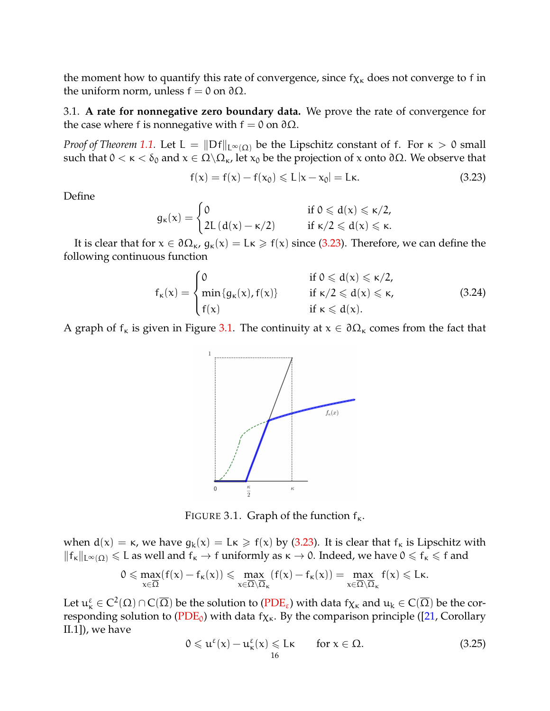the moment how to quantify this rate of convergence, since  $f_{\chi_K}$  does not converge to f in the uniform norm, unless  $f = 0$  on  $\partial \Omega$ .

3.1. **A rate for nonnegative zero boundary data.** We prove the rate of convergence for the case where f is nonnegative with  $f = 0$  on  $\partial \Omega$ .

*Proof of Theorem* [1.1.](#page-2-0) Let L =  $\|Df\|_{L^{\infty}(\Omega)}$  be the Lipschitz constant of f. For  $\kappa > 0$  small such that  $0 < \kappa < \delta_0$  and  $x \in \Omega \backslash \Omega_{\kappa}$ , let  $x_0$  be the projection of x onto  $\partial \Omega$ . We observe that

<span id="page-15-0"></span>
$$
f(x) = f(x) - f(x_0) \leq L |x - x_0| = L \kappa.
$$
 (3.23)

Define

$$
g_{\kappa}(x) = \begin{cases} 0 & \text{ if } 0 \leqslant d(x) \leqslant \kappa/2, \\ 2L\left(d(x) - \kappa/2\right) & \text{ if } \kappa/2 \leqslant d(x) \leqslant \kappa. \end{cases}
$$

It is clear that for  $x \in \partial \Omega_{\kappa}$ ,  $g_{\kappa}(x) = L\kappa \geq f(x)$  since [\(3.23\)](#page-15-0). Therefore, we can define the following continuous function

$$
f_{\kappa}(x) = \begin{cases} 0 & \text{if } 0 \leqslant d(x) \leqslant \kappa/2, \\ \min\{g_{\kappa}(x), f(x)\} & \text{if } \kappa/2 \leqslant d(x) \leqslant \kappa, \\ f(x) & \text{if } \kappa \leqslant d(x). \end{cases}
$$
(3.24)

<span id="page-15-1"></span>A graph of  $f_k$  is given in Figure [3.1.](#page-15-1) The continuity at  $x \in \partial \Omega_k$  comes from the fact that



FIGURE 3.1. Graph of the function  $f_{\kappa}$ .

when  $d(x) = \kappa$ , we have  $g_k(x) = L\kappa \geq f(x)$  by [\(3.23\)](#page-15-0). It is clear that  $f_k$  is Lipschitz with  $||f_{\kappa}||_{L^{\infty}(\Omega)} \leq 1$  as well and  $f_{\kappa} \to f$  uniformly as  $\kappa \to 0$ . Indeed, we have  $0 \leq f_{\kappa} \leq f$  and

$$
0\leqslant \max_{x\in \overline{\Omega}}(f(x)-f_{\kappa}(x))\leqslant \max_{x\in \overline{\Omega}\setminus \overline{\Omega}_{\kappa}}(f(x)-f_{\kappa}(x))=\max_{x\in \overline{\Omega}\setminus \overline{\Omega}_{\kappa}}f(x)\leqslant L\kappa.
$$

Let  $\mathfrak{u}_\kappa^\epsilon\in C^2(\Omega)\cap C(\overline{\Omega})$  be the solution to [\(PDE](#page-0-1)<sub> $\epsilon$ </sub>) with data f $\chi_\kappa$  and  $\mathfrak{u}_\kappa\in C(\overline{\Omega})$  be the cor-responding solution to [\(PDE](#page-1-1)<sub>0</sub>) with data f<sub>X<sup>k</sub></sub>. By the comparison principle ([\[21,](#page-34-0) Corollary</sub></sup> II.1]), we have

<span id="page-15-2"></span>
$$
0 \leqslant u^{\varepsilon}(x) - u^{\varepsilon}_{\kappa}(x) \leqslant L\kappa \quad \text{for } x \in \Omega.
$$
 (3.25)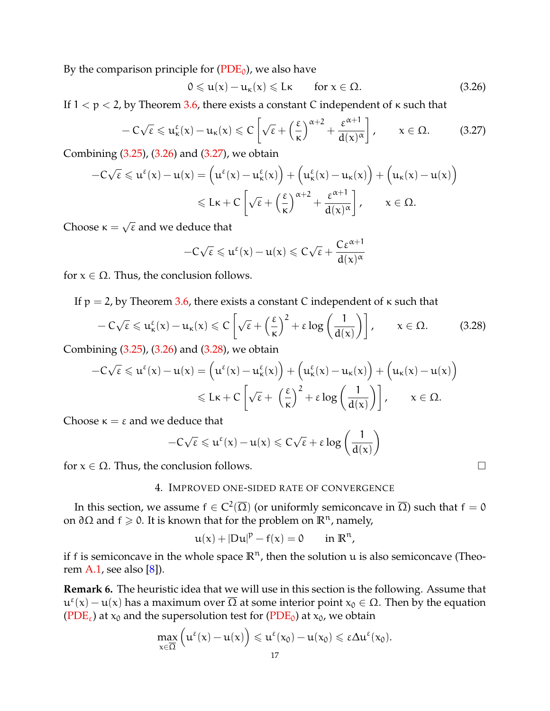By the comparison principle for  $(PDE_0)$  $(PDE_0)$ , we also have

<span id="page-16-0"></span>
$$
0 \leqslant u(x) - u_{\kappa}(x) \leqslant L\kappa \qquad \text{for } x \in \Omega. \tag{3.26}
$$

If  $1 < p < 2$ , by Theorem [3.6,](#page-10-1) there exists a constant C independent of  $\kappa$  such that

<span id="page-16-1"></span>
$$
-C\sqrt{\epsilon} \leq u_{\kappa}^{\epsilon}(x) - u_{\kappa}(x) \leq C\left[\sqrt{\epsilon} + \left(\frac{\epsilon}{\kappa}\right)^{\alpha+2} + \frac{\epsilon^{\alpha+1}}{d(x)^{\alpha}}\right], \qquad x \in \Omega. \tag{3.27}
$$

Combining [\(3.25\)](#page-15-2), [\(3.26\)](#page-16-0) and [\(3.27\)](#page-16-1), we obtain

$$
-C\sqrt{\epsilon} \leqslant u^{\epsilon}(x) - u(x) = \left(u^{\epsilon}(x) - u^{\epsilon}_{\kappa}(x)\right) + \left(u^{\epsilon}_{\kappa}(x) - u_{\kappa}(x)\right) + \left(u_{\kappa}(x) - u(x)\right)
$$

$$
\leqslant L\kappa + C\left[\sqrt{\epsilon} + \left(\frac{\epsilon}{\kappa}\right)^{\alpha+2} + \frac{\epsilon^{\alpha+1}}{d(x)^{\alpha}}\right], \qquad x \in \Omega.
$$

Choose  $\kappa =$  $\overline{\epsilon}$  and we deduce that

$$
-C\sqrt{\epsilon} \leqslant u^{\epsilon}(x) - u(x) \leqslant C\sqrt{\epsilon} + \frac{C\epsilon^{\alpha+1}}{d(x)^{\alpha}}
$$

for  $x \in \Omega$ . Thus, the conclusion follows.

If  $p = 2$ , by Theorem [3.6,](#page-10-1) there exists a constant C independent of  $\kappa$  such that

<span id="page-16-2"></span>
$$
-C\sqrt{\epsilon} \leq u_{\kappa}^{\epsilon}(x) - u_{\kappa}(x) \leqslant C\left[\sqrt{\epsilon} + \left(\frac{\epsilon}{\kappa}\right)^{2} + \epsilon \log\left(\frac{1}{d(x)}\right)\right], \qquad x \in \Omega. \tag{3.28}
$$

Combining [\(3.25\)](#page-15-2), [\(3.26\)](#page-16-0) and [\(3.28\)](#page-16-2), we obtain

$$
-C\sqrt{\epsilon} \leqslant u^{\epsilon}(x) - u(x) = \left(u^{\epsilon}(x) - u^{\epsilon}_{\kappa}(x)\right) + \left(u^{\epsilon}_{\kappa}(x) - u_{\kappa}(x)\right) + \left(u_{\kappa}(x) - u(x)\right) \\ \leqslant L\kappa + C\left[\sqrt{\epsilon} + \left(\frac{\epsilon}{\kappa}\right)^{2} + \epsilon\log\left(\frac{1}{d(x)}\right)\right], \qquad x \in \Omega.
$$

Choose  $\kappa = \varepsilon$  and we deduce that

$$
-C\sqrt{\epsilon} \leqslant u^{\epsilon}(x)-u(x) \leqslant C\sqrt{\epsilon}+\epsilon\log\left(\frac{1}{d(x)}\right)
$$

for  $x \in \Omega$ . Thus, the conclusion follows.

# 4. IMPROVED ONE-SIDED RATE OF CONVERGENCE

In this section, we assume  $f \in C^2(\overline{\Omega})$  (or uniformly semiconcave in  $\overline{\Omega}$ ) such that  $f=0$ on ∂Ω and f > 0. It is known that for the problem on **R**n, namely,

$$
u(x) + |Du|^p - f(x) = 0 \quad \text{in } \mathbb{R}^n,
$$

if f is semiconcave in the whole space  $\mathbb{R}^n$ , then the solution u is also semiconcave (Theo-rem [A.1,](#page-32-0) see also  $[8]$ ).

**Remark 6.** The heuristic idea that we will use in this section is the following. Assume that  $u^{\epsilon}(x) - u(x)$  has a maximum over  $\overline{\Omega}$  at some interior point  $x_0 \in \Omega$ . Then by the equation [\(PDE](#page-1-1)<sub>ε</sub>) at  $x_0$  and the supersolution test for (PDE<sub>0</sub>) at  $x_0$ , we obtain

$$
\max_{x \in \overline{\Omega}} \left( u^{\epsilon}(x) - u(x) \right) \leqslant u^{\epsilon}(x_0) - u(x_0) \leqslant \epsilon \Delta u^{\epsilon}(x_0).
$$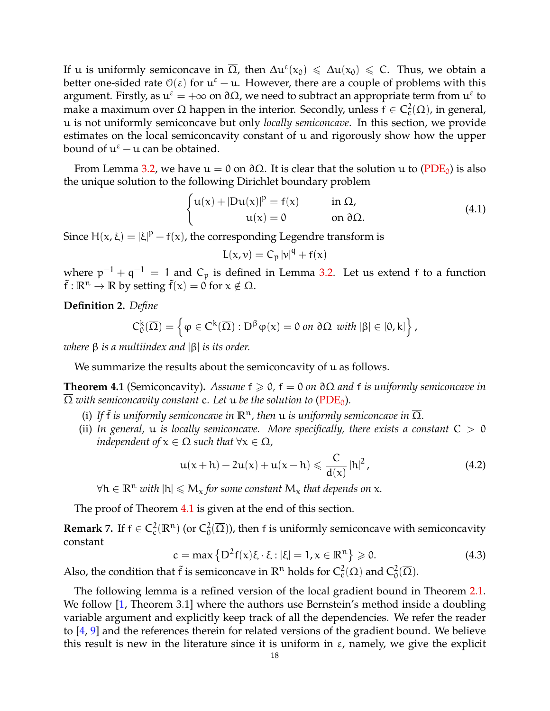If u is uniformly semiconcave in  $\overline{\Omega}$ , then  $\Delta u^{\epsilon}(x_0) \leq \Delta u(x_0) \leq C$ . Thus, we obtain a better one-sided rate  $\mathcal{O}(\varepsilon)$  for  $\mathfrak{u}^{\varepsilon} - \mathfrak{u}$ . However, there are a couple of problems with this argument. Firstly, as  $u^{\epsilon} = +\infty$  on  $\partial \Omega$ , we need to subtract an appropriate term from  $u^{\epsilon}$  to make a maximum over  $\overline{\Omega}$  happen in the interior. Secondly, unless  $\mathsf{f}\in C^2_\mathrm{c}(\Omega)$ , in general, u is not uniformly semiconcave but only *locally semiconcave*. In this section, we provide estimates on the local semiconcavity constant of u and rigorously show how the upper bound of  $u^{\epsilon}$  – u can be obtained.

From Lemma [3.2,](#page-8-2) we have  $u = 0$  on  $\partial \Omega$ . It is clear that the solution u to [\(PDE](#page-1-1)<sub>0</sub>) is also the unique solution to the following Dirichlet boundary problem

$$
\begin{cases} u(x) + |Du(x)|^p = f(x) & \text{in } \Omega, \\ u(x) = 0 & \text{on } \partial\Omega. \end{cases}
$$
 (4.1)

Since  $H(x, \xi) = |\xi|^p - f(x)$ , the corresponding Legendre transform is

$$
L(x,v) = C_p |v|^q + f(x)
$$

where  $p^{-1} + q^{-1} = 1$  and  $C_p$  is defined in Lemma [3.2.](#page-8-2) Let us extend f to a function  $\tilde{f}: \mathbb{R}^n \to \mathbb{R}$  by setting  $\tilde{f}(x) = 0$  for  $x \notin \Omega$ .

**Definition 2.** *Define*

$$
C^k_0(\overline{\Omega})=\left\{\phi\in C^k(\overline{\Omega}): D^\beta\phi(x)=0 \text{ on }\partial\Omega \text{ with } |\beta|\in [0,k]\right\},
$$

*where* β *is a multiindex and* |β| *is its order.*

We summarize the results about the semiconcavity of u as follows.

<span id="page-17-0"></span>**Theorem 4.1** (Semiconcavity). *Assume*  $f \ge 0$ ,  $f = 0$  *on*  $\partial\Omega$  *and*  $f$  *is uniformly semiconcave in*  $\overline{\Omega}$  with semiconcavity constant c. Let u be the solution to [\(PDE](#page-1-1)<sub>0</sub>).

- (i) If  $\tilde{f}$  *is uniformly semiconcave in*  $\mathbb{R}^n$ , then  $u$  *is uniformly semiconcave in*  $\overline{\Omega}$ *.*
- (ii) In general,  $u$  is locally semiconcave. More specifically, there exists a constant  $C > 0$ *independent of*  $x \in \Omega$  *such that*  $\forall x \in \Omega$ *,*

$$
u(x+h) - 2u(x) + u(x-h) \leq \frac{C}{d(x)} |h|^2,
$$
 (4.2)

 $∀h ∈ ℝ<sup>n</sup>$  *with*  $|h| ≤ M<sub>x</sub>$  *for some constant*  $M<sub>x</sub>$  *that depends on x*.

The proof of Theorem [4.1](#page-17-0) is given at the end of this section.

**Remark 7.** If  $f \in C_c^2(\mathbb{R}^n)$  (or  $C_0^2(\overline{\Omega})$ ), then f is uniformly semiconcave with semiconcavity constant

$$
c = \max \left\{ D^2 f(x) \xi \cdot \xi : |\xi| = 1, x \in \mathbb{R}^n \right\} \ge 0.
$$
 (4.3)

Also, the condition that  $\tilde{f}$  is semiconcave in  $\mathbb{R}^n$  holds for  $C_c^2(\Omega)$  and  $C_0^2(\overline{\Omega})$ .

The following lemma is a refined version of the local gradient bound in Theorem [2.1.](#page-5-1) We follow [\[1,](#page-34-20) Theorem 3.1] where the authors use Bernstein's method inside a doubling variable argument and explicitly keep track of all the dependencies. We refer the reader to [\[4,](#page-34-21) [9\]](#page-34-22) and the references therein for related versions of the gradient bound. We believe this result is new in the literature since it is uniform in  $\varepsilon$ , namely, we give the explicit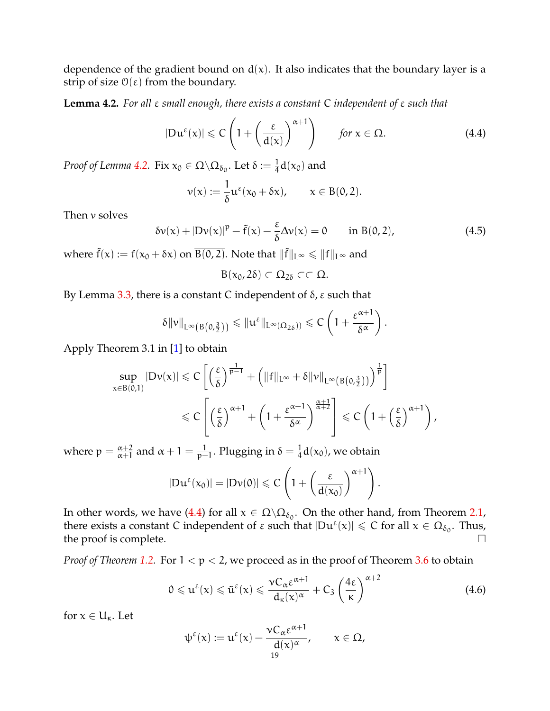dependence of the gradient bound on  $d(x)$ . It also indicates that the boundary layer is a strip of size  $\mathcal{O}(\varepsilon)$  from the boundary.

<span id="page-18-0"></span>**Lemma 4.2.** *For all* ε *small enough, there exists a constant* C *independent of* ε *such that*

<span id="page-18-1"></span>
$$
|\mathrm{D}\mathrm{u}^{\varepsilon}(\mathrm{x})| \leqslant C\left(1 + \left(\frac{\varepsilon}{\mathrm{d}(\mathrm{x})}\right)^{\alpha+1}\right) \qquad \text{for } \mathrm{x} \in \Omega. \tag{4.4}
$$

*Proof of Lemma* [4.2.](#page-18-0) Fix  $x_0 \in \Omega \backslash \Omega_{\delta_0}$ . Let  $\delta := \frac{1}{4} d(x_0)$  and

$$
\nu(x) := \frac{1}{\delta} u^{\varepsilon}(x_0 + \delta x), \qquad x \in B(0, 2).
$$

Then v solves

$$
\delta v(x) + |Dv(x)|^p - \tilde{f}(x) - \frac{\varepsilon}{\delta} \Delta v(x) = 0 \quad \text{in } B(0, 2), \tag{4.5}
$$

where  $\tilde{f}(x) := f(x_0 + \delta x)$  on  $\overline{B(0, 2)}$ . Note that  $\|\tilde{f}\|_{L^{\infty}} \le \|f\|_{L^{\infty}}$  and

$$
B(x_0, 2\delta) \subset \Omega_{2\delta} \subset\subset \Omega.
$$

By Lemma [3.3,](#page-8-3) there is a constant C independent of  $δ$ , ε such that

$$
\delta \|\nu\|_{L^\infty\left(B\left(0,\frac{3}{2}\right)\right)} \leqslant \|\mathfrak{u}^\epsilon\|_{L^\infty(\Omega_{2\delta}))} \leqslant C\left(1+\frac{\epsilon^{\alpha+1}}{\delta^\alpha}\right).
$$

Apply Theorem 3.1 in [\[1\]](#page-34-20) to obtain

$$
\sup_{x \in B(0,1)} |D\nu(x)| \leqslant C \left[ \left( \frac{\epsilon}{\delta} \right)^{\frac{1}{p-1}} + \left( \|f\|_{L^{\infty}} + \delta \|v\|_{L^{\infty}\left(B(0,\frac{3}{2})\right)} \right)^{\frac{1}{p}} \right]
$$
  

$$
\leqslant C \left[ \left( \frac{\epsilon}{\delta} \right)^{\alpha+1} + \left( 1 + \frac{\epsilon^{\alpha+1}}{\delta^{\alpha}} \right)^{\frac{\alpha+1}{\alpha+2}} \right] \leqslant C \left( 1 + \left( \frac{\epsilon}{\delta} \right)^{\alpha+1} \right),
$$

where  $p = \frac{\alpha+2}{\alpha+1}$  $\frac{\alpha+2}{\alpha+1}$  and  $\alpha+1=\frac{1}{p-1}$  $\frac{1}{p−1}$ . Plugging in  $\delta = \frac{1}{4}$  $\frac{1}{4}d(x_0)$ , we obtain

$$
|\mathrm{D}\mathrm{u}^{\varepsilon}(\mathrm{x}_0)|=|\mathrm{D}\mathrm{v}(0)|\leqslant C\left(1+\left(\frac{\varepsilon}{d(\mathrm{x}_0)}\right)^{\alpha+1}\right).
$$

In other words, we have [\(4.4\)](#page-18-1) for all  $x \in \Omega \backslash \Omega_{\delta_0}$ . On the other hand, from Theorem [2.1,](#page-5-1) there exists a constant C independent of  $\varepsilon$  such that  $|Du^{\varepsilon}(x)| \leqslant C$  for all  $x \in \Omega_{\delta_0}$ . Thus, the proof is complete.  $\Box$ 

*Proof of Theorem [1.2.](#page-4-0)* For  $1 < p < 2$ , we proceed as in the proof of Theorem [3.6](#page-10-1) to obtain

$$
0 \leqslant u^{\varepsilon}(x) \leqslant \tilde{u}^{\varepsilon}(x) \leqslant \frac{\nu C_{\alpha} \varepsilon^{\alpha+1}}{d_{\kappa}(x)^{\alpha}} + C_3 \left(\frac{4\varepsilon}{\kappa}\right)^{\alpha+2}
$$
\n(4.6)

for  $x \in U_{\kappa}$ . Let

<span id="page-18-2"></span>
$$
\psi^{\varepsilon}(x) := u^{\varepsilon}(x) - \frac{\nu C_{\alpha} \varepsilon^{\alpha+1}}{d(x)^{\alpha}}, \qquad x \in \Omega,
$$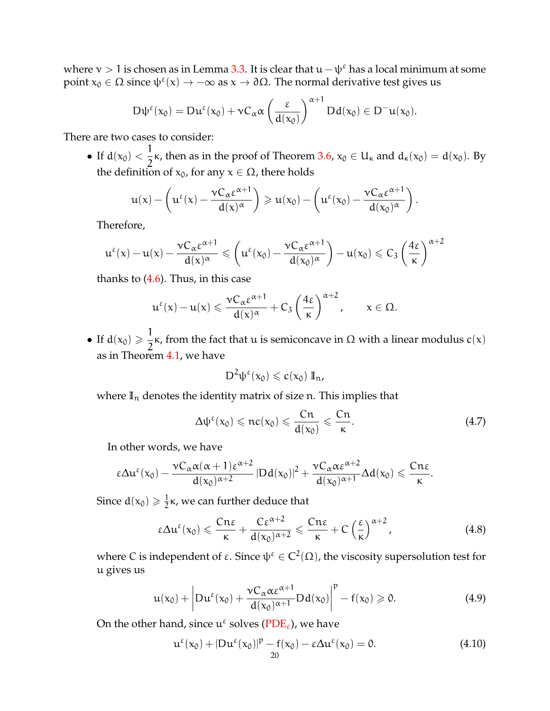where  $v > 1$  is chosen as in Lemma [3.3.](#page-8-3) It is clear that  $u - \psi^{\epsilon}$  has a local minimum at some point  $x_0$  ∈ Ω since  $ψ^ε(x)$  →  $-\infty$  as  $x \to ∂Ω$ . The normal derivative test gives us

$$
D\psi^{\epsilon}(x_0) = Du^{\epsilon}(x_0) + \nu C_{\alpha} \alpha \left(\frac{\epsilon}{d(x_0)}\right)^{\alpha+1} Dd(x_0) \in D^{-}u(x_0).
$$

There are two cases to consider:

• If  $d(x_0) < \frac{1}{2}$  $\frac{1}{2}$ κ, then as in the proof of Theorem [3.6,](#page-10-1)  $x_0 \in U_{\kappa}$  and  $d_{\kappa}(x_0) = d(x_0)$ . By the definition of  $x_0$ , for any  $x \in \Omega$ , there holds

$$
u(x) - \left(u^{\varepsilon}(x) - \frac{\nu C_{\alpha} \varepsilon^{\alpha+1}}{d(x)^{\alpha}}\right) \geqslant u(x_0) - \left(u^{\varepsilon}(x_0) - \frac{\nu C_{\alpha} \varepsilon^{\alpha+1}}{d(x_0)^{\alpha}}\right).
$$

Therefore,

$$
u^\epsilon(x)-u(x)-\frac{\nu C_\alpha \epsilon^{\alpha+1}}{d(x)^\alpha}\leqslant \left(u^\epsilon(x_0)-\frac{\nu C_\alpha \epsilon^{\alpha+1}}{d(x_0)^\alpha}\right)-u(x_0)\leqslant C_3\left(\frac{4\epsilon}{\kappa}\right)^{\alpha+2}
$$

thanks to  $(4.6)$ . Thus, in this case

$$
u^{\varepsilon}(x) - u(x) \leqslant \frac{\nu C_{\alpha} \varepsilon^{\alpha+1}}{d(x)^{\alpha}} + C_3 \left(\frac{4\varepsilon}{\kappa}\right)^{\alpha+2}, \qquad x \in \Omega.
$$

• If  $d(x_0) \geqslant \frac{1}{2}$  $\frac{1}{2}$ κ, from the fact that u is semiconcave in Ω with a linear modulus c(x) as in Theorem [4.1,](#page-17-0) we have

$$
D^2\psi^\epsilon(x_0)\leqslant c(x_0)\;{\rm I\!I}_n,
$$

where  $\mathbb{I}_n$  denotes the identity matrix of size n. This implies that

<span id="page-19-0"></span>
$$
\Delta \psi^{\varepsilon}(x_0) \leqslant n c(x_0) \leqslant \frac{Cn}{d(x_0)} \leqslant \frac{Cn}{\kappa}.
$$
 (4.7)

In other words, we have

$$
\epsilon \Delta u^{\epsilon}(x_0)-\frac{\nu C_{\alpha}\alpha(\alpha+1)\epsilon^{\alpha+2}}{d(x_0)^{\alpha+2}}\left\vert Dd(x_0)\right\vert^2+\frac{\nu C_{\alpha}\alpha\epsilon^{\alpha+2}}{d(x_0)^{\alpha+1}}\Delta d(x_0)\leqslant \frac{Cn\epsilon}{\kappa}.
$$

Since  $d(x_0) \geqslant \frac{1}{2}$  $\frac{1}{2}$ κ, we can further deduce that

<span id="page-19-3"></span>
$$
\epsilon \Delta u^{\epsilon}(x_0) \leqslant \frac{Cn\epsilon}{\kappa} + \frac{C\epsilon^{\alpha+2}}{d(x_0)^{\alpha+2}} \leqslant \frac{Cn\epsilon}{\kappa} + C\left(\frac{\epsilon}{\kappa}\right)^{\alpha+2}, \tag{4.8}
$$

where C is independent of ε. Since  $\psi^\varepsilon\in C^2(\Omega)$ , the viscosity supersolution test for u gives us

<span id="page-19-1"></span>
$$
u(x_0)+\left|Du^{\epsilon}(x_0)+\frac{vC_{\alpha}\alpha\epsilon^{\alpha+1}}{d(x_0)^{\alpha+1}}Dd(x_0)\right|^p-f(x_0)\geqslant 0. \hspace{1.5cm} (4.9)
$$

On the other hand, since  $\mathfrak{u}^{\varepsilon}$  solves [\(PDE](#page-0-1)<sub> $\varepsilon$ ), we have</sub>

<span id="page-19-2"></span>
$$
\mathbf{u}^{\varepsilon}(\mathbf{x}_0) + |\mathbf{D}\mathbf{u}^{\varepsilon}(\mathbf{x}_0)|^{\mathbf{p}} - \mathbf{f}(\mathbf{x}_0) - \varepsilon \Delta \mathbf{u}^{\varepsilon}(\mathbf{x}_0) = 0. \tag{4.10}
$$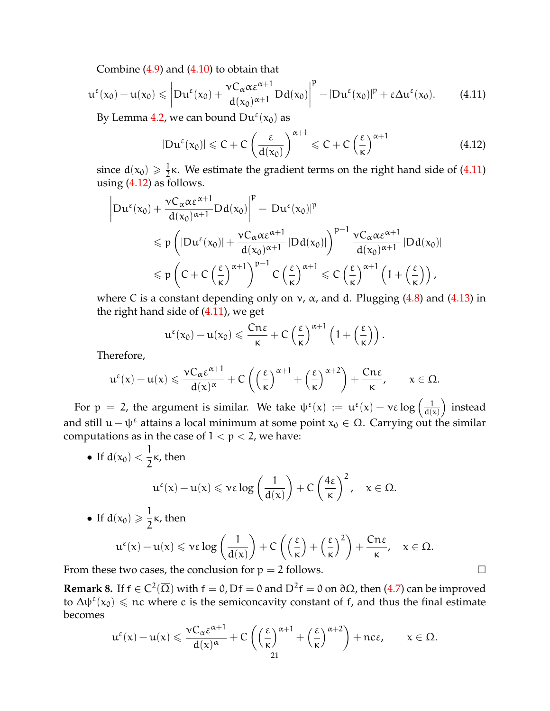Combine [\(4.9\)](#page-19-1) and [\(4.10\)](#page-19-2) to obtain that

<span id="page-20-1"></span>
$$
u^{\epsilon}(x_0)-u(x_0)\leqslant \left|Du^{\epsilon}(x_0)+\frac{\nu C_{\alpha}\alpha\epsilon^{\alpha+1}}{d(x_0)^{\alpha+1}}Dd(x_0)\right|^p-|Du^{\epsilon}(x_0)|^p+\epsilon\Delta u^{\epsilon}(x_0). \hspace{0.7cm} (4.11)
$$

By Lemma [4.2,](#page-18-0) we can bound  $Du^{\varepsilon}(x_0)$  as

<span id="page-20-2"></span>
$$
|\mathrm{D}\mathrm{u}^{\varepsilon}(\mathrm{x}_{0})| \leqslant C + C \left( \frac{\varepsilon}{\mathrm{d}(\mathrm{x}_{0})} \right)^{\alpha+1} \leqslant C + C \left( \frac{\varepsilon}{\mathrm{\kappa}} \right)^{\alpha+1}
$$
(4.12)

since  $d(x_0) \geqslant \frac{1}{2}$  $\frac{1}{2}$ κ. We estimate the gradient terms on the right hand side of [\(4.11\)](#page-20-1) using  $(4.12)$  as follows.

<span id="page-20-3"></span>
$$
\begin{aligned} \left|Du^{\epsilon}(x_0)+\frac{\nu C_{\alpha}\alpha\epsilon^{\alpha+1}}{d(x_0)^{\alpha+1}}Dd(x_0)\right|^p& -|Du^{\epsilon}(x_0)|^p\\ & \quad \leqslant p\left(|Du^{\epsilon}(x_0)|+\frac{\nu C_{\alpha}\alpha\epsilon^{\alpha+1}}{d(x_0)^{\alpha+1}}|Dd(x_0)|\right)^{p-1}\frac{\nu C_{\alpha}\alpha\epsilon^{\alpha+1}}{d(x_0)^{\alpha+1}}\left|Dd(x_0)\right|\\ & \quad \leqslant p\left(C+C\left(\frac{\epsilon}{\kappa}\right)^{\alpha+1}\right)^{p-1}C\left(\frac{\epsilon}{\kappa}\right)^{\alpha+1}\leqslant C\left(\frac{\epsilon}{\kappa}\right)^{\alpha+1}\left(1+\left(\frac{\epsilon}{\kappa}\right)\right), \end{aligned}
$$

where C is a constant depending only on  $v$ ,  $\alpha$ , and d. Plugging [\(4.8\)](#page-19-3) and [\(4.13\)](#page-20-3) in the right hand side of  $(4.11)$ , we get

$$
u^{\epsilon}(x_0)-u(x_0)\leqslant \frac{Cn\epsilon}{\kappa}+C\left(\frac{\epsilon}{\kappa}\right)^{\alpha+1}\left(1+\left(\frac{\epsilon}{\kappa}\right)\right).
$$

Therefore,

$$
u^\epsilon(x)-u(x)\leqslant \frac{\nu C_\alpha \epsilon^{\alpha+1}}{d(x)^\alpha}+C\left(\left(\frac{\epsilon}{\kappa}\right)^{\alpha+1}+\left(\frac{\epsilon}{\kappa}\right)^{\alpha+2}\right)+\frac{Cn\epsilon}{\kappa},\qquad x\in\Omega.
$$

For  $p = 2$ , the argument is similar. We take  $\psi^{\epsilon}(x) := u^{\epsilon}(x) - \nu \epsilon \log \left( \frac{1}{d \Omega} \right)$  $d(x)$  instead and still  $u - \psi^{\varepsilon}$  attains a local minimum at some point  $x_0 \in \Omega$ . Carrying out the similar computations as in the case of  $1 < p < 2$ , we have:

\n- If 
$$
d(x_0) < \frac{1}{2}\kappa
$$
, then  $u^{\varepsilon}(x) - u(x) \leqslant v\epsilon \log\left(\frac{1}{d(x)}\right) + C\left(\frac{4\epsilon}{\kappa}\right)^2$ ,  $x \in \Omega$ .
\n- If  $d(x_0) \geqslant \frac{1}{2}\kappa$ , then  $u^{\varepsilon}(x) - u(x) \leqslant v\epsilon \log\left(\frac{1}{d(x)}\right) + C\left(\left(\frac{\epsilon}{\kappa}\right) + \left(\frac{\epsilon}{\kappa}\right)^2\right) + \frac{Cn\varepsilon}{\kappa}$ ,  $x \in \Omega$ .
\n

From these two cases, the conclusion for  $p = 2$  follows.

<span id="page-20-0"></span>**Remark 8.** If  $f \in C^2(\overline{\Omega})$  with  $f = 0$ , D $f = 0$  and D<sup>2</sup> $f = 0$  on  $\partial\Omega$ , then [\(4.7\)](#page-19-0) can be improved to  $\Delta \psi^{\epsilon}(x_0) \leq \pi c$  where c is the semiconcavity constant of f, and thus the final estimate becomes

$$
u^\epsilon(x)-u(x)\leqslant \frac{\nu C_\alpha \epsilon^{\alpha+1}}{d(x)^\alpha}+C\left(\Big(\frac{\epsilon}{\kappa}\Big)^{\alpha+1}+\Big(\frac{\epsilon}{\kappa}\Big)^{\alpha+2}\right)+nc\epsilon, \qquad x\in \Omega.
$$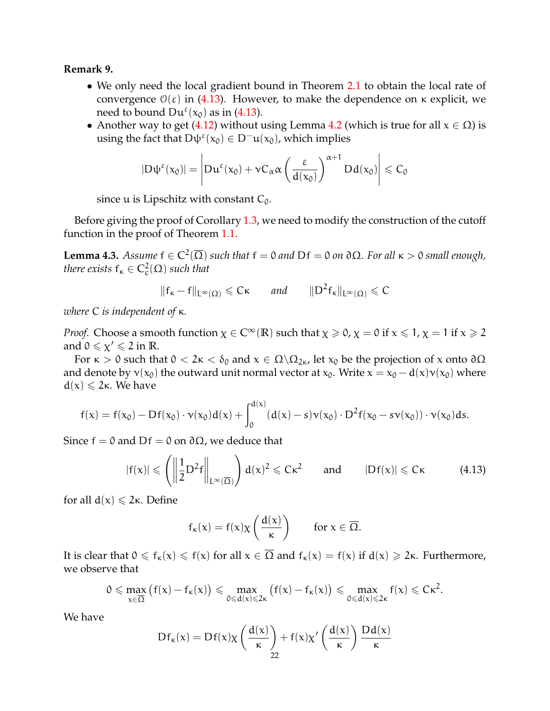# **Remark 9.**

- We only need the local gradient bound in Theorem [2.1](#page-5-1) to obtain the local rate of convergence  $\mathcal{O}(\varepsilon)$  in [\(4.13\)](#page-20-3). However, to make the dependence on κ explicit, we need to bound  $Du^{\varepsilon}(x_0)$  as in [\(4.13\)](#page-20-3).
- Another way to get [\(4.12\)](#page-20-2) without using Lemma [4.2](#page-18-0) (which is true for all  $x \in \Omega$ ) is using the fact that  $D\psi^{\epsilon}(x_0) \in D^{-}u(x_0)$ , which implies

$$
|D\psi^{\epsilon}(x_0)| = \left| Du^{\epsilon}(x_0) + \nu C_{\alpha} \alpha \left( \frac{\epsilon}{d(x_0)} \right)^{\alpha+1} Dd(x_0) \right| \leqslant C_0
$$

since  $u$  is Lipschitz with constant  $C_0$ .

Before giving the proof of Corollary [1.3,](#page-5-0) we need to modify the construction of the cutoff function in the proof of Theorem [1.1.](#page-2-0)

**Lemma 4.3.** *Assume*  $f \in C^2(\overline{\Omega})$  *such that*  $f = 0$  *and* D $f = 0$  *on* ∂Ω*. For all*  $κ > 0$  *small enough, there exists*  $f_k \in C_c^2(\Omega)$  *such that* 

$$
\|f_\kappa-f\|_{L^\infty(\Omega)}\leqslant C\kappa\qquad\text{and}\qquad \|D^2f_\kappa\|_{L^\infty(\Omega)}\leqslant C
$$

*where* C *is independent of* κ*.*

*Proof.* Choose a smooth function  $\chi \in C^{\infty}(\mathbb{R})$  such that  $\chi \ge 0$ ,  $\chi = 0$  if  $x \le 1$ ,  $\chi = 1$  if  $x \ge 2$ and  $0 \le \chi' \le 2$  in R.

For  $\kappa > 0$  such that  $0 < 2\kappa < \delta_0$  and  $x \in \Omega \backslash \Omega_{2\kappa}$ , let  $x_0$  be the projection of x onto  $\partial \Omega$ and denote by  $v(x_0)$  the outward unit normal vector at  $x_0$ . Write  $x = x_0 - d(x)v(x_0)$  where  $d(x) \le 2\kappa$ . We have

$$
f(x) = f(x_0) - Df(x_0) \cdot \nu(x_0) d(x) + \int_0^{d(x)} (d(x) - s) \nu(x_0) \cdot D^2 f(x_0 - s \nu(x_0)) \cdot \nu(x_0) ds.
$$

Since  $f = 0$  and  $Df = 0$  on  $\partial \Omega$ , we deduce that

$$
|f(x)| \leqslant \left( \left\| \frac{1}{2} D^2 f \right\|_{L^{\infty}(\overline{\Omega})} \right) d(x)^2 \leqslant C\kappa^2 \qquad \text{and} \qquad |Df(x)| \leqslant C\kappa \tag{4.13}
$$

for all  $d(x) \leq 2\kappa$ . Define

$$
f_{\kappa}(x) = f(x)\chi\left(\frac{d(x)}{\kappa}\right)
$$
 for  $x \in \overline{\Omega}$ .

It is clear that  $0 \le f_k(x) \le f(x)$  for all  $x \in \overline{\Omega}$  and  $f_k(x) = f(x)$  if  $d(x) \ge 2\kappa$ . Furthermore, we observe that

$$
0 \leqslant \max_{x \in \overline{\Omega}} \big(f(x) - f_{\kappa}(x)\big) \leqslant \max_{0 \leqslant d(x) \leqslant 2\kappa} \big(f(x) - f_{\kappa}(x)\big) \leqslant \max_{0 \leqslant d(x) \leqslant 2\kappa} f(x) \leqslant C\kappa^2.
$$

We have

$$
Df_{\kappa}(x) = Df(x)\chi\left(\frac{d(x)}{\kappa}\right) + f(x)\chi'\left(\frac{d(x)}{\kappa}\right)\frac{Dd(x)}{\kappa}
$$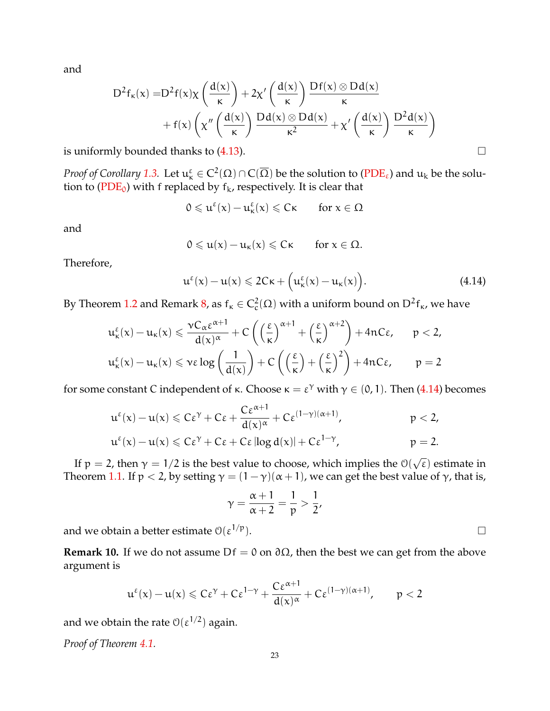and

$$
\begin{aligned} D^2f_\kappa(x)=&D^2f(x)\chi\left(\frac{d(x)}{\kappa}\right)+2\chi'\left(\frac{d(x)}{\kappa}\right)\frac{Df(x)\otimes Dd(x)}{\kappa}\\&+f(x)\left(\chi''\left(\frac{d(x)}{\kappa}\right)\frac{Dd(x)\otimes Dd(x)}{\kappa^2}+\chi'\left(\frac{d(x)}{\kappa}\right)\frac{D^2d(x)}{\kappa}\right) \end{aligned}
$$

is uniformly bounded thanks to  $(4.13)$ .

*Proof of Corollary [1.3.](#page-5-0)* Let  $\mathsf{u}_\kappa^\varepsilon \in C^2(\Omega) \cap C(\overline{\Omega})$  be the solution to  $(PDE_\varepsilon)$  $(PDE_\varepsilon)$  and  $\mathsf{u}_\kappa$  be the solution to ( $PDE_0$ ) with f replaced by  $f_k$ , respectively. It is clear that

$$
0\leqslant u^\epsilon(x)-u^\epsilon_\kappa(x)\leqslant C\kappa\qquad\text{for $x\in\Omega$}
$$

and

$$
0\leqslant u(x)-u_\kappa(x)\leqslant C\kappa\qquad\text{for }x\in\Omega.
$$

Therefore,

<span id="page-22-0"></span>
$$
\mathfrak{u}^{\epsilon}(x) - \mathfrak{u}(x) \leqslant 2C\kappa + \Big(\mathfrak{u}^{\epsilon}_{\kappa}(x) - \mathfrak{u}_{\kappa}(x)\Big). \tag{4.14}
$$

By Theorem [1.2](#page-4-0) and Remark [8,](#page-20-0) as  $f_k \in C_c^2(\Omega)$  with a uniform bound on  $D^2f_k$ , we have

$$
u_{\kappa}^{\epsilon}(x) - u_{\kappa}(x) \leqslant \frac{\nu C_{\alpha} \epsilon^{\alpha+1}}{d(x)^{\alpha}} + C\left(\left(\frac{\epsilon}{\kappa}\right)^{\alpha+1} + \left(\frac{\epsilon}{\kappa}\right)^{\alpha+2}\right) + 4nC\epsilon, \qquad p < 2,
$$
  

$$
u_{\kappa}^{\epsilon}(x) - u_{\kappa}(x) \leqslant \nu \epsilon \log\left(\frac{1}{d(x)}\right) + C\left(\left(\frac{\epsilon}{\kappa}\right) + \left(\frac{\epsilon}{\kappa}\right)^{2}\right) + 4nC\epsilon, \qquad p = 2
$$

for some constant C independent of  $\kappa$ . Choose  $\kappa = \varepsilon^{\gamma}$  with  $\gamma \in (0, 1)$ . Then [\(4.14\)](#page-22-0) becomes

$$
u^{\epsilon}(x) - u(x) \leqslant C\epsilon^{\gamma} + C\epsilon + \frac{C\epsilon^{\alpha+1}}{d(x)^{\alpha}} + C\epsilon^{(1-\gamma)(\alpha+1)}, \qquad p < 2,
$$
  

$$
u^{\epsilon}(x) - u(x) \leqslant C\epsilon^{\gamma} + C\epsilon + C\epsilon \log d(x) + C\epsilon^{1-\gamma}, \qquad p = 2.
$$

If  $p = 2$ , then  $\gamma = 1/2$  is the best value to choose, which implies the  $\mathcal{O}(n)$ √  $\bar{\epsilon}$ ) estimate in Theorem [1.1.](#page-2-0) If  $p < 2$ , by setting  $\gamma = (1 - \gamma)(\alpha + 1)$ , we can get the best value of  $\gamma$ , that is,

$$
\gamma=\frac{\alpha+1}{\alpha+2}=\frac{1}{p}>\frac{1}{2},
$$

and we obtain a better estimate  $\mathcal{O}(\varepsilon^{1/p})$ .  $^{1/p}$ ).

**Remark 10.** If we do not assume  $Df = 0$  on  $\partial\Omega$ , then the best we can get from the above argument is

$$
u^{\epsilon}(x)-u(x)\leqslant C\epsilon^{\gamma}+C\epsilon^{1-\gamma}+\frac{C\epsilon^{\alpha+1}}{d(x)^{\alpha}}+C\epsilon^{(1-\gamma)(\alpha+1)},\qquad p<2
$$

and we obtain the rate  $\mathcal{O}(\varepsilon^{1/2})$  again.

*Proof of Theorem [4.1.](#page-17-0)*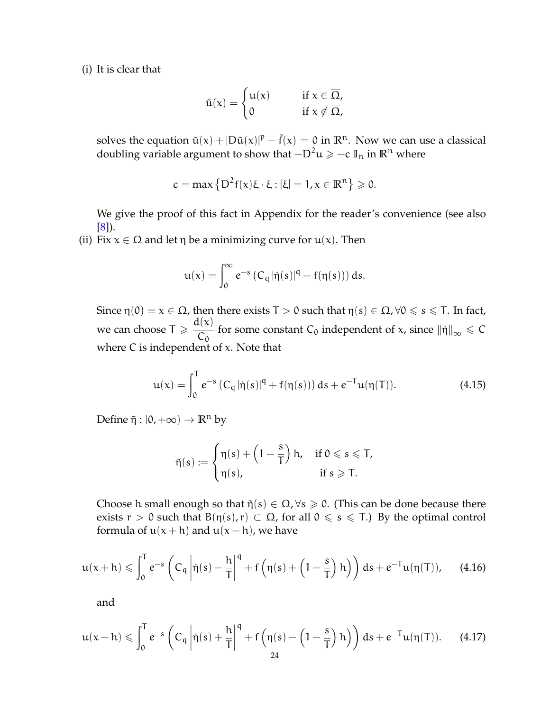(i) It is clear that

$$
\tilde{u}(x) = \begin{cases} u(x) & \text{if } x \in \overline{\Omega}, \\ 0 & \text{if } x \notin \overline{\Omega}, \end{cases}
$$

solves the equation  $\tilde{u}(x) + |D\tilde{u}(x)|^p - \tilde{f}(x) = 0$  in  $\mathbb{R}^n$ . Now we can use a classical doubling variable argument to show that  $-D^2u \ge -c \mathbb{I}_n$  in  $\mathbb{R}^n$  where

$$
c = \max\left\{D^2f(x)\xi \cdot \xi : |\xi| = 1, x \in \mathbb{R}^n\right\} \geqslant 0.
$$

We give the proof of this fact in Appendix for the reader's convenience (see also [\[8\]](#page-34-19)).

(ii) Fix  $x \in \Omega$  and let  $\eta$  be a minimizing curve for  $u(x)$ . Then

$$
u(x) = \int_0^\infty e^{-s} (C_q |\dot{\eta}(s)|^q + f(\eta(s))) ds.
$$

Since  $\eta(0) = x \in \Omega$ , then there exists  $T > 0$  such that  $\eta(s) \in \Omega$ ,  $\forall 0 \le s \le T$ . In fact, we can choose  $T \geq \frac{d(x)}{C}$  $\frac{f(x)}{C_0}$  for some constant  $C_0$  independent of x, since  $\|\eta\|_{\infty} \leq C_0$ where C is independent of x. Note that

<span id="page-23-0"></span>
$$
\mathfrak{u}(\mathfrak{x}) = \int_0^T e^{-s} \left( C_q |\dot{\eta}(s)|^q + f(\eta(s)) \right) ds + e^{-T} \mathfrak{u}(\eta(T)). \tag{4.15}
$$

Define  $\tilde{\eta}: [0, +\infty) \to \mathbb{R}^n$  by

$$
\tilde{\eta}(s) := \begin{cases} \eta(s) + \left(1 - \frac{s}{T}\right)h, & \text{if } 0 \leqslant s \leqslant T, \\ \eta(s), & \text{if } s \geqslant T. \end{cases}
$$

Choose h small enough so that  $\tilde{\eta}(s) \in \Omega$ ,  $\forall s \geq 0$ . (This can be done because there exists  $r > 0$  such that  $B(\eta(s), r) \subset \Omega$ , for all  $0 \le s \le T$ .) By the optimal control formula of  $u(x + h)$  and  $u(x - h)$ , we have

<span id="page-23-1"></span>
$$
u(x+h) \leqslant \int_0^T e^{-s} \left( C_q \left| \dot{\eta}(s) - \frac{h}{T} \right|^q + f \left( \eta(s) + \left( 1 - \frac{s}{T} \right) h \right) \right) ds + e^{-T} u(\eta(T)), \quad (4.16)
$$

and

<span id="page-23-2"></span>
$$
u(x-h)\leqslant \int_0^Te^{-s}\left(C_q\left|\dot{\eta}(s)+\frac{h}{T}\right|^q+f\left(\eta(s)-\left(1-\frac{s}{T}\right)h\right)\right)ds+e^{-T}u(\eta(T)).\quad \ \ (4.17)
$$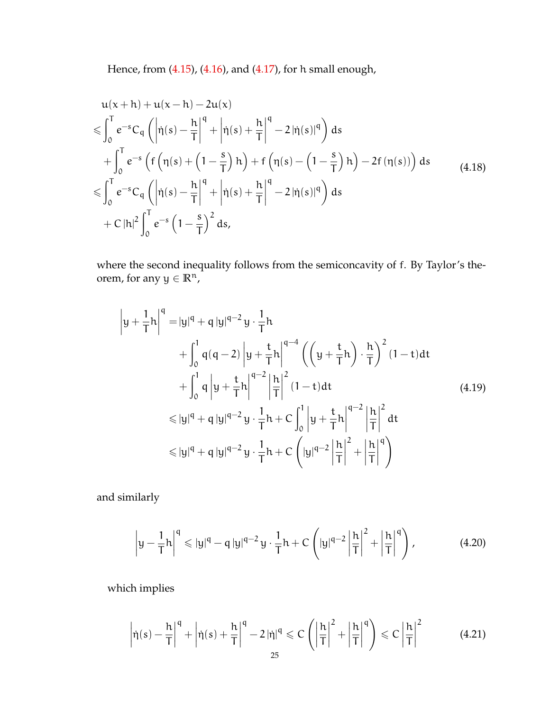Hence, from [\(4.15\)](#page-23-0), [\(4.16\)](#page-23-1), and [\(4.17\)](#page-23-2), for h small enough,

<span id="page-24-1"></span>
$$
u(x+h) + u(x-h) - 2u(x)
$$
  
\n
$$
\leqslant \int_0^T e^{-s} C_q \left( \left| \dot{\eta}(s) - \frac{h}{T} \right|^q + \left| \dot{\eta}(s) + \frac{h}{T} \right|^q - 2 \left| \dot{\eta}(s) \right|^q \right) ds
$$
  
\n
$$
+ \int_0^T e^{-s} \left( f \left( \eta(s) + \left( 1 - \frac{s}{T} \right) h \right) + f \left( \eta(s) - \left( 1 - \frac{s}{T} \right) h \right) - 2f \left( \eta(s) \right) \right) ds
$$
  
\n
$$
\leqslant \int_0^T e^{-s} C_q \left( \left| \dot{\eta}(s) - \frac{h}{T} \right|^q + \left| \dot{\eta}(s) + \frac{h}{T} \right|^q - 2 \left| \dot{\eta}(s) \right|^q \right) ds
$$
  
\n
$$
+ C \left| h \right|^2 \int_0^T e^{-s} \left( 1 - \frac{s}{T} \right)^2 ds,
$$
  
\n(4.18)

where the second inequality follows from the semiconcavity of f. By Taylor's theorem, for any  $y \in \mathbb{R}^n$ ,

$$
\left| y + \frac{1}{T} h \right|^q = |y|^q + q |y|^{q-2} y \cdot \frac{1}{T} h
$$
  
+ 
$$
\int_0^1 q(q-2) |y + \frac{t}{T} h|^{q-4} \left( \left( y + \frac{t}{T} h \right) \cdot \frac{h}{T} \right)^2 (1-t) dt
$$
  
+ 
$$
\int_0^1 q |y + \frac{t}{T} h|^{q-2} \left| \frac{h}{T} \right|^2 (1-t) dt
$$
  

$$
\leq |y|^q + q |y|^{q-2} y \cdot \frac{1}{T} h + C \int_0^1 |y + \frac{t}{T} h|^{q-2} \left| \frac{h}{T} \right|^2 dt
$$
  

$$
\leq |y|^q + q |y|^{q-2} y \cdot \frac{1}{T} h + C \left( |y|^{q-2} \left| \frac{h}{T} \right|^2 + \left| \frac{h}{T} \right|^q \right)
$$
  
(4.19)

and similarly

$$
\left|y - \frac{1}{T}h\right|^q \leqslant |y|^q - q\left|y\right|^{q-2}y \cdot \frac{1}{T}h + C\left(|y|^{q-2}\left|\frac{h}{T}\right|^2 + \left|\frac{h}{T}\right|^q\right),\tag{4.20}
$$

which implies

<span id="page-24-0"></span>
$$
\left|\dot{\eta}(s) - \frac{h}{T}\right|^q + \left|\dot{\eta}(s) + \frac{h}{T}\right|^q - 2\left|\dot{\eta}\right|^q \leqslant C\left(\left|\frac{h}{T}\right|^2 + \left|\frac{h}{T}\right|^q\right) \leqslant C\left|\frac{h}{T}\right|^2\tag{4.21}
$$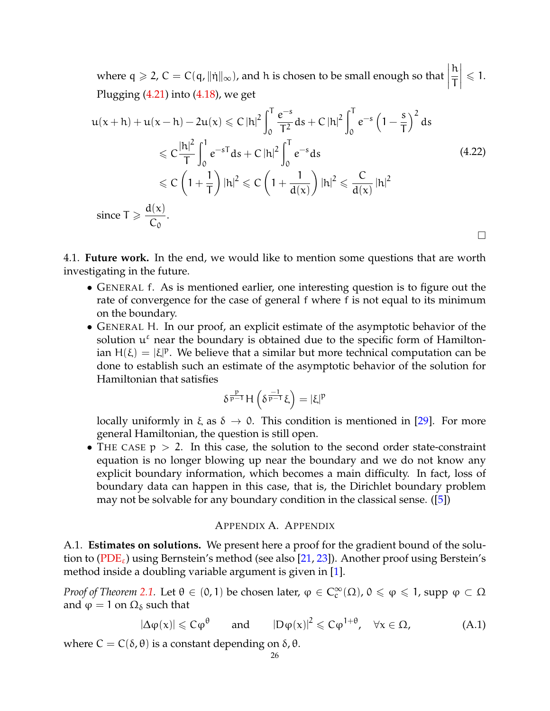where  $q \ge 2$ ,  $C = C(q, ||\eta||_{\infty})$ , and h is chosen to be small enough so that  $\Big|$ h T  $\begin{array}{c} \hline \end{array}$  $\leqslant$  1. Plugging  $(4.21)$  into  $(4.18)$ , we get

$$
u(x+h) + u(x-h) - 2u(x) \le C|h|^2 \int_0^T \frac{e^{-s}}{T^2} ds + C|h|^2 \int_0^T e^{-s} \left(1 - \frac{s}{T}\right)^2 ds
$$
  
\n
$$
\le C \frac{|h|^2}{T} \int_0^1 e^{-sT} ds + C|h|^2 \int_0^T e^{-s} ds
$$
  
\n
$$
\le C \left(1 + \frac{1}{T}\right)|h|^2 \le C \left(1 + \frac{1}{d(x)}\right)|h|^2 \le \frac{C}{d(x)}|h|^2
$$
  
\nsince  $T \ge \frac{d(x)}{C_0}.$ 

4.1. **Future work.** In the end, we would like to mention some questions that are worth investigating in the future.

- GENERAL f. As is mentioned earlier, one interesting question is to figure out the rate of convergence for the case of general f where f is not equal to its minimum on the boundary.
- GENERAL H. In our proof, an explicit estimate of the asymptotic behavior of the solution  $u^{\epsilon}$  near the boundary is obtained due to the specific form of Hamiltonian  $H(\xi) = |\xi|^p$ . We believe that a similar but more technical computation can be done to establish such an estimate of the asymptotic behavior of the solution for Hamiltonian that satisfies

$$
\delta^{\frac{p}{p-1}}H\left(\delta^{\frac{-1}{p-1}}\xi\right)=|\xi|^p
$$

locally uniformly in  $\xi$  as  $\delta \to 0$ . This condition is mentioned in [\[29\]](#page-35-8). For more general Hamiltonian, the question is still open.

• THE CASE  $p > 2$ . In this case, the solution to the second order state-constraint equation is no longer blowing up near the boundary and we do not know any explicit boundary information, which becomes a main difficulty. In fact, loss of boundary data can happen in this case, that is, the Dirichlet boundary problem may not be solvable for any boundary condition in the classical sense. ([\[5\]](#page-34-9))

### APPENDIX A. APPENDIX

A.1. **Estimates on solutions.** We present here a proof for the gradient bound of the solution to ( $PDE_{\varepsilon}$ ) using Bernstein's method (see also [\[21,](#page-34-0) [23\]](#page-34-23)). Another proof using Berstein's method inside a doubling variable argument is given in [\[1\]](#page-34-20).

*Proof of Theorem [2.1.](#page-5-1)* Let  $\theta \in (0,1)$  be chosen later,  $\varphi \in C_c^{\infty}(\Omega)$ ,  $0 \leq \varphi \leq 1$ , supp  $\varphi \subset \Omega$ and  $\varphi = 1$  on  $\Omega_{\delta}$  such that

<span id="page-25-0"></span>
$$
|\Delta \varphi(x)| \leqslant C\varphi^{\theta} \qquad \text{and} \qquad |D\varphi(x)|^2 \leqslant C\varphi^{1+\theta}, \quad \forall x \in \Omega,
$$
 (A.1)

where  $C = C(\delta, \theta)$  is a constant depending on  $\delta, \theta$ .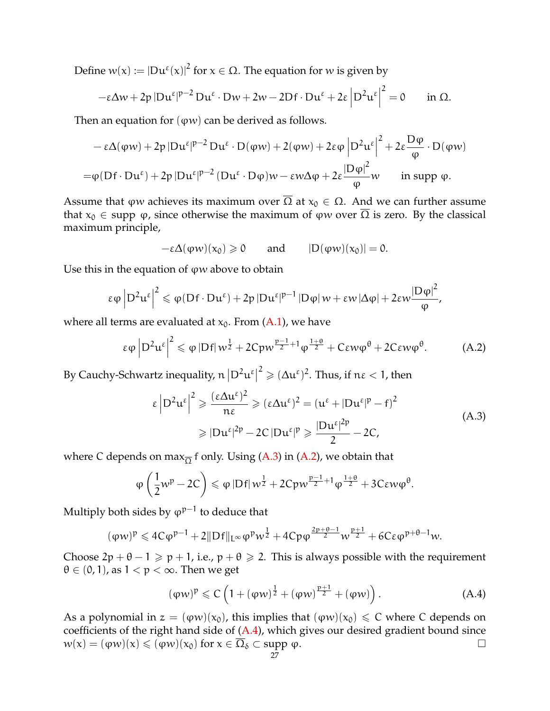Define  $w(x) := |Du^{\epsilon}(x)|^2$  for  $x \in \Omega$ . The equation for w is given by

$$
-\varepsilon \Delta w + 2p |Du^{\varepsilon}|^{p-2} Du^{\varepsilon} \cdot Du + 2w - 2Df \cdot Du^{\varepsilon} + 2\varepsilon |D^2 u^{\varepsilon}|^2 = 0 \quad \text{in } \Omega.
$$

Then an equation for  $(\varphi w)$  can be derived as follows.

$$
- \varepsilon \Delta(\varphi w) + 2p |Du^{\varepsilon}|^{p-2} Du^{\varepsilon} \cdot D(\varphi w) + 2(\varphi w) + 2\varepsilon \varphi |D^2 u^{\varepsilon}|^2 + 2\varepsilon \frac{D\varphi}{\varphi} \cdot D(\varphi w)
$$
  
=  $\varphi(Df \cdot Du^{\varepsilon}) + 2p |Du^{\varepsilon}|^{p-2} (Du^{\varepsilon} \cdot D\varphi)w - \varepsilon w \Delta \varphi + 2\varepsilon \frac{|D\varphi|^2}{\varphi} w$  in supp  $\varphi$ .

Assume that  $\varphi w$  achieves its maximum over  $\overline{\Omega}$  at  $x_0 \in \Omega$ . And we can further assume that  $x_0 \in \text{supp } \varphi$ , since otherwise the maximum of  $\varphi w$  over  $\overline{\Omega}$  is zero. By the classical maximum principle,

 $-\varepsilon\Delta(\varphi w)(x_0) \geq 0$  and  $|D(\varphi w)(x_0)| = 0.$ 

Use this in the equation of  $\varphi w$  above to obtain

$$
\epsilon\phi\left|D^2u^\epsilon\right|^2\leqslant \phi(Df\cdot Du^\epsilon)+2p\left|Du^\epsilon\right|^{p-1}|D\phi| \,w+\epsilon w\left|\Delta\phi\right|+2\epsilon w\frac{\left|D\phi\right|^2}{\phi},
$$

where all terms are evaluated at  $x_0$ . From  $(A.1)$ , we have

<span id="page-26-1"></span>
$$
\epsilon \varphi \left| D^2 u^{\epsilon} \right|^2 \leqslant \varphi \left| Df \right| w^{\frac{1}{2}} + 2Cpw^{\frac{p-1}{2}+1} \varphi^{\frac{1+\theta}{2}} + C\epsilon w \varphi^{\theta} + 2C\epsilon w \varphi^{\theta}.
$$
 (A.2)

By Cauchy-Schwartz inequality,  $n |D^2u^{\varepsilon}|$  $^2\geqslant (\Delta\mathfrak{u}^\varepsilon)^2.$  Thus, if  $\mathfrak{n}\varepsilon < 1$ , then

<span id="page-26-0"></span>
$$
\varepsilon \left| D^2 u^{\varepsilon} \right|^2 \geqslant \frac{(\varepsilon \Delta u^{\varepsilon})^2}{n\varepsilon} \geqslant (\varepsilon \Delta u^{\varepsilon})^2 = \left( u^{\varepsilon} + |Du^{\varepsilon}|^p - f \right)^2
$$
\n
$$
\geqslant |Du^{\varepsilon}|^{2p} - 2C|Du^{\varepsilon}|^p \geqslant \frac{|Du^{\varepsilon}|^{2p}}{2} - 2C,
$$
\n(A.3)

where C depends on max $_{\overline{O}}$  f only. Using [\(A.3\)](#page-26-0) in [\(A.2\)](#page-26-1), we obtain that

$$
\varphi\left(\frac{1}{2}w^{p}-2C\right) \leqslant \varphi\left|Df\right| w^{\frac{1}{2}}+2Cpw^{\frac{p-1}{2}+1}\varphi^{\frac{1+\theta}{2}}+3C\epsilon w\varphi^{\theta}.
$$

Multiply both sides by  $\phi^{p-1}$  to deduce that

$$
(\phi w)^p \leqslant 4C\phi^{p-1} + 2\|Df\|_{L^\infty}\phi^pw^{\frac{1}{2}} + 4Cp\phi^{\frac{2p+\theta-1}{2}}w^{\frac{p+1}{2}} + 6C\epsilon\phi^{p+\theta-1}w.
$$

Choose  $2p + \theta - 1 \geq p + 1$ , i.e.,  $p + \theta \geq 2$ . This is always possible with the requirement  $\theta \in (0, 1)$ , as  $1 < p < \infty$ . Then we get

<span id="page-26-2"></span>
$$
(\varphi w)^p \leq C \left( 1 + (\varphi w)^{\frac{1}{2}} + (\varphi w)^{\frac{p+1}{2}} + (\varphi w) \right). \tag{A.4}
$$

As a polynomial in  $z = (\varphi w)(x_0)$ , this implies that  $(\varphi w)(x_0) \leq C$  where C depends on coefficients of the right hand side of  $(A.4)$ , which gives our desired gradient bound since  $w(x) = (\varphi w)(x) \leq (\varphi w)(x_0)$  for  $x \in \overline{\Omega}_{\delta} \subset \text{supp } \varphi$ .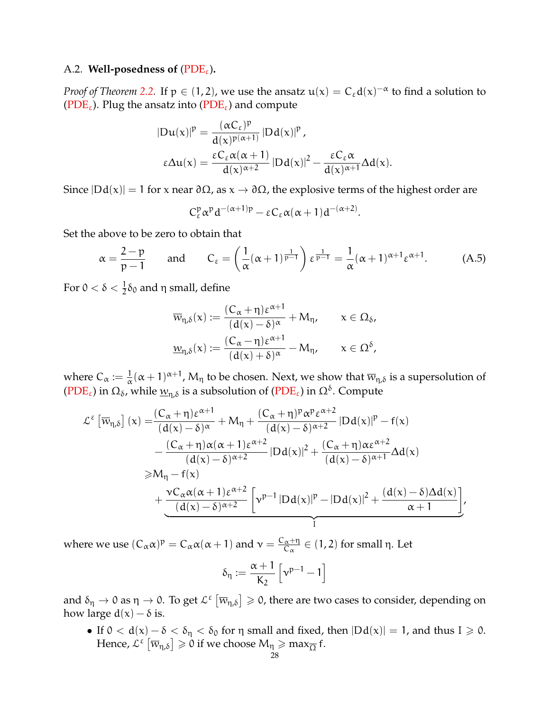# A.2. **Well-posedness of** ( $PDE_{\epsilon}$ ).

*Proof of Theorem [2.2.](#page-5-2)* If  $p \in (1,2)$ , we use the ansatz  $u(x) = C_{\epsilon} d(x)^{-\alpha}$  to find a solution to [\(PDE](#page-0-1)<sub>ε</sub>). Plug the ansatz into (PDE<sub>ε</sub>) and compute

$$
|Du(x)|^p = \frac{(\alpha C_{\epsilon})^p}{d(x)^{p(\alpha+1)}} |Dd(x)|^p,
$$
  

$$
\epsilon \Delta u(x) = \frac{\epsilon C_{\epsilon} \alpha (\alpha+1)}{d(x)^{\alpha+2}} |Dd(x)|^2 - \frac{\epsilon C_{\epsilon} \alpha}{d(x)^{\alpha+1}} \Delta d(x).
$$

Since  $|Dd(x)| = 1$  for x near  $\partial\Omega$ , as  $x \to \partial\Omega$ , the explosive terms of the highest order are

$$
C_{\varepsilon}^{\mathfrak{p}} \alpha^{\mathfrak{p}} d^{-(\alpha+1)\mathfrak{p}} - \varepsilon C_{\varepsilon} \alpha(\alpha+1) d^{-(\alpha+2)}.
$$

Set the above to be zero to obtain that

$$
\alpha = \frac{2-p}{p-1} \quad \text{and} \quad C_{\varepsilon} = \left(\frac{1}{\alpha}(\alpha+1)^{\frac{1}{p-1}}\right) \varepsilon^{\frac{1}{p-1}} = \frac{1}{\alpha}(\alpha+1)^{\alpha+1} \varepsilon^{\alpha+1}.
$$
 (A.5)

For 0  $< \delta < \frac{1}{2} \delta_0$  and η small, define

$$
\overline{w}_{\eta,\delta}(x) := \frac{(C_{\alpha} + \eta)\varepsilon^{\alpha+1}}{(d(x) - \delta)^{\alpha}} + M_{\eta}, \qquad x \in \Omega_{\delta},
$$

$$
\underline{w}_{\eta,\delta}(x) := \frac{(C_{\alpha} - \eta)\varepsilon^{\alpha+1}}{(d(x) + \delta)^{\alpha}} - M_{\eta}, \qquad x \in \Omega^{\delta},
$$

where  $C_{\alpha} := \frac{1}{\alpha} (\alpha + 1)^{\alpha+1}$ ,  $M_{\eta}$  to be chosen. Next, we show that  $\overline{w}_{\eta,\delta}$  is a supersolution of [\(PDE](#page-0-1)<sub>ε</sub>) in  $\Omega_{\delta}$ , while  $\underline{w}_{\eta,\delta}$  is a subsolution of (PDE<sub>ε</sub>) in  $\Omega^{\delta}$ . Compute

$$
\mathcal{L}^{\epsilon}\left[\overline{w}_{\eta,\delta}\right](x) = \frac{(C_{\alpha} + \eta)\epsilon^{\alpha+1}}{(d(x) - \delta)^{\alpha}} + M_{\eta} + \frac{(C_{\alpha} + \eta)^{p}\alpha^{p}\epsilon^{\alpha+2}}{(d(x) - \delta)^{\alpha+2}}|Dd(x)|^{p} - f(x) \n- \frac{(C_{\alpha} + \eta)\alpha(\alpha + 1)\epsilon^{\alpha+2}}{(d(x) - \delta)^{\alpha+2}}|Dd(x)|^{2} + \frac{(C_{\alpha} + \eta)\alpha\epsilon^{\alpha+2}}{(d(x) - \delta)^{\alpha+1}}\Delta d(x) \n\geq M_{\eta} - f(x) \n+ \frac{\nu C_{\alpha}\alpha(\alpha + 1)\epsilon^{\alpha+2}}{(d(x) - \delta)^{\alpha+2}}\left[\nu^{p-1}|Dd(x)|^{p} - |Dd(x)|^{2} + \frac{(d(x) - \delta)\Delta d(x)}{\alpha + 1}\right],
$$

where we use  $(C_{\alpha} \alpha)^p = C_{\alpha} \alpha (\alpha + 1)$  and  $v = \frac{C_{\alpha} + \eta}{C_{\alpha}}$  $\frac{\alpha + \eta}{C_{\alpha}} \in (1, 2)$  for small η. Let

$$
\delta_{\eta} := \frac{\alpha + 1}{K_2} \left[ \nu^{p-1} - 1 \right]
$$

and  $\delta_\eta\to 0$  as  $\eta\to 0$ . To get  $\mathcal{L}^\varepsilon\left[\overline{w}_{\eta,\delta}\right]\geqslant 0$ , there are two cases to consider, depending on how large  $d(x) - \delta$  is.

• If  $0 < d(x) - \delta < \delta_{\eta} < \delta_0$  for  $\eta$  small and fixed, then  $|Dd(x)| = 1$ , and thus  $I \ge 0$ . Hence,  $\mathcal{L}^{\varepsilon}\left[\overline{w}_{\eta,\delta}\right]\geqslant 0$  if we choose  $\mathsf{M}_{\eta}\geqslant\max_{\overline{\Omega}}\mathsf{f}.$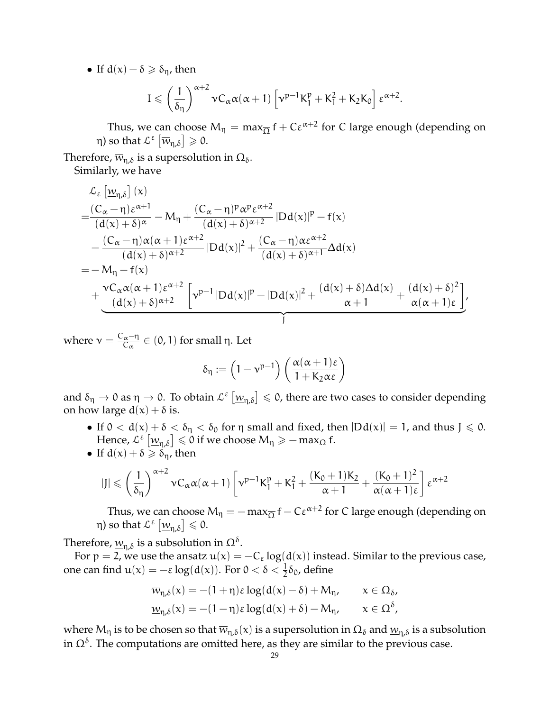• If  $d(x) - \delta \geq \delta_n$ , then

$$
I \leqslant \left(\frac{1}{\delta_\eta}\right)^{\alpha+2}\nu C_\alpha\alpha(\alpha+1)\left[\nu^{p-1}K_1^p+K_1^2+K_2K_0\right]\epsilon^{\alpha+2}.
$$

Thus, we can choose  $M_{\eta} = \max_{\overline{\Omega}} f + C \varepsilon^{\alpha+2}$  for C large enough (depending on η) so that  $\mathcal{L}^{\varepsilon} \left[ \overline{w}_{\eta, \delta} \right] \geqslant 0$ .

Therefore,  $\overline{w}_{n,\delta}$  is a supersolution in  $\Omega_{\delta}$ . Similarly, we have

$$
\begin{aligned} &\mathcal{L}_{\epsilon}\left[\underline{w}_{\eta,\delta}\right](x)\\ =&\frac{(C_{\alpha}-\eta)\epsilon^{\alpha+1}}{(d(x)+\delta)^{\alpha}}-M_{\eta}+\frac{(C_{\alpha}-\eta)^{p}\alpha^{p}\epsilon^{\alpha+2}}{(d(x)+\delta)^{\alpha+2}}|Dd(x)|^{p}-f(x)\\ &-\frac{(C_{\alpha}-\eta)\alpha(\alpha+1)\epsilon^{\alpha+2}}{(d(x)+\delta)^{\alpha+2}}|Dd(x)|^{2}+\frac{(C_{\alpha}-\eta)\alpha\epsilon^{\alpha+2}}{(d(x)+\delta)^{\alpha+1}}\Delta d(x)\\ =&-M_{\eta}-f(x)\\ &+\frac{\nu C_{\alpha}\alpha(\alpha+1)\epsilon^{\alpha+2}}{(d(x)+\delta)^{\alpha+2}}\left[\nu^{p-1}\left|Dd(x)\right|^{p}-\left|Dd(x)\right|^{2}+\frac{(d(x)+\delta)\Delta d(x)}{\alpha+1}+\frac{(d(x)+\delta)^{2}}{\alpha(\alpha+1)\epsilon}\right], \end{aligned}
$$

where  $v = \frac{C_{\alpha} - \eta}{C_{\alpha}}$  $\frac{\alpha - \eta}{C_{\alpha}} \in (0, 1)$  for small η. Let

$$
\delta_{\eta} := \left(1 - \nu^{p-1}\right) \left(\frac{\alpha(\alpha + 1)\varepsilon}{1 + K_2 \alpha \varepsilon}\right)
$$

and  $\delta_\eta\to 0$  as  $\eta\to 0$ . To obtain  $\mathcal{L}^\varepsilon\left[\underline{w}_{\eta,\delta}\right]\leqslant 0$ , there are two cases to consider depending on how large  $d(x) + \delta$  is.

- If  $0 < d(x) + \delta < \delta_{\eta} < \delta_0$  for  $\eta$  small and fixed, then  $|Dd(x)| = 1$ , and thus  $J \le 0$ . Hence,  $\mathcal{L}^{\varepsilon}\left[\underline{w}_{\eta,\delta}\right]\leqslant 0$  if we choose  $\mathsf{M}_{\eta}\geqslant-\max_{\Omega} \mathsf{f}.$
- If  $d(x) + \delta \geq \delta_n$ , then

$$
|J| \leqslant \left(\frac{1}{\delta_{\eta}}\right)^{\alpha+2} \nu C_{\alpha} \alpha(\alpha+1) \left[\nu^{p-1} K_{1}^{p} + K_{1}^{2} + \frac{(K_{0}+1)K_{2}}{\alpha+1} + \frac{(K_{0}+1)^{2}}{\alpha(\alpha+1)\epsilon}\right] \epsilon^{\alpha+2}
$$

Thus, we can choose  $M_{\eta} = -\max_{\overline{\Omega}} f - C \varepsilon^{\alpha+2}$  for C large enough (depending on η) so that  $\mathcal{L}^{\varepsilon}\left[\underline{w}_{\eta,\delta}\right] \leqslant 0$ .

Therefore,  $\underline{w}_{\eta,\delta}$  is a subsolution in  $\Omega^{\delta}$ .

For  $p = 2$ , we use the ansatz  $u(x) = -C_{\varepsilon} \log(d(x))$  instead. Similar to the previous case, one can find  $u(x) = -\varepsilon \log(d(x))$ . For  $0 < \delta < \frac{1}{2}\delta_0$ , define

$$
\begin{aligned} \overline{w}_{\eta,\delta}(x)=&-(1+\eta)\epsilon\log(d(x)-\delta)+M_{\eta},\qquad x\in\Omega_{\delta},\\ \underline{w}_{\eta,\delta}(x)=&-(1-\eta)\epsilon\log(d(x)+\delta)-M_{\eta},\qquad x\in\Omega^{\delta}, \end{aligned}
$$

where  $M_\eta$  is to be chosen so that  $\overline w_{\eta,\delta}(x)$  is a supersolution in  $\Omega_\delta$  and  $\underline w_{\eta,\delta}$  is a subsolution in  $\Omega^\delta.$  The computations are omitted here, as they are similar to the previous case.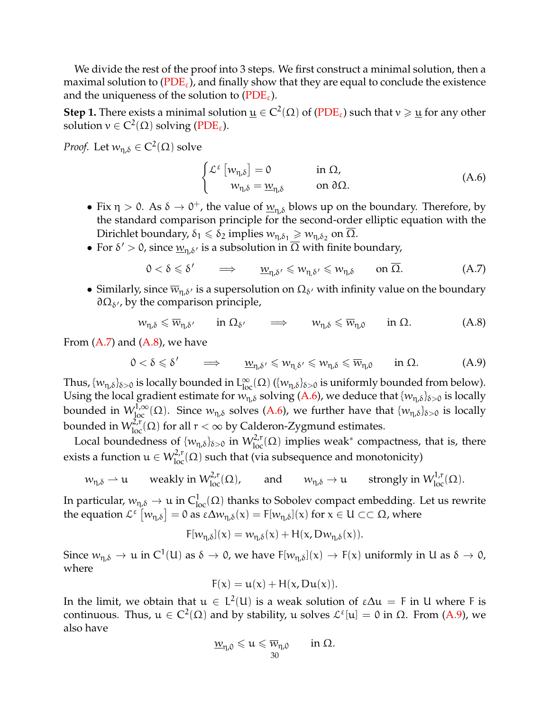We divide the rest of the proof into 3 steps. We first construct a minimal solution, then a maximal solution to  $(PDE_{\varepsilon})$  $(PDE_{\varepsilon})$ , and finally show that they are equal to conclude the existence and the uniqueness of the solution to ( $PDE_{\epsilon}$ ).

**Step 1.** There exists a minimal solution  $\underline{u} \in C^2(\Omega)$  of [\(PDE](#page-0-1)<sub>ε</sub>) such that  $v \geqslant \underline{u}$  for any other solution  $v \in C^2(\Omega)$  solving [\(PDE](#page-0-1)<sub>ε</sub>).

*Proof.* Let  $w_{\eta,\delta} \in C^2(\Omega)$  solve

<span id="page-29-2"></span>
$$
\begin{cases} \mathcal{L}^{\varepsilon} \left[ w_{\eta, \delta} \right] = 0 & \text{in } \Omega, \\ w_{\eta, \delta} = \underline{w}_{\eta, \delta} & \text{on } \partial \Omega. \end{cases}
$$
 (A.6)

- Fix  $\eta > 0$ . As  $\delta \to 0^+$ , the value of  $\underline{w}_{\eta,\delta}$  blows up on the boundary. Therefore, by the standard comparison principle for the second-order elliptic equation with the Dirichlet boundary,  $\delta_1 \leqslant \delta_2$  implies  $w_{\eta, \delta_1} \geqslant w_{\eta, \delta_2}$  on  $\overline{\Omega}$ .
- For  $\delta' > 0$ , since  $\underline{w}_{\eta, \delta'}$  is a subsolution in  $\overline{\Omega}$  with finite boundary,

<span id="page-29-0"></span>
$$
0 < \delta \leqslant \delta' \qquad \Longrightarrow \qquad \underline{w}_{\eta, \delta'} \leqslant w_{\eta, \delta'} \leqslant w_{\eta, \delta} \qquad \text{on } \overline{\Omega}. \tag{A.7}
$$

• Similarly, since  $\overline{w}_{\eta,\delta'}$  is a supersolution on  $\Omega_{\delta'}$  with infinity value on the boundary  $\partial \Omega_{\delta}$ , by the comparison principle,

<span id="page-29-1"></span>
$$
w_{\eta,\delta} \leq \overline{w}_{\eta,\delta'} \qquad \text{in } \Omega_{\delta'} \qquad \Longrightarrow \qquad w_{\eta,\delta} \leq \overline{w}_{\eta,0} \qquad \text{in } \Omega. \tag{A.8}
$$

From  $(A.7)$  and  $(A.8)$ , we have

<span id="page-29-3"></span>
$$
0 < \delta \leqslant \delta' \qquad \Longrightarrow \qquad \underline{w}_{\eta,\delta'} \leqslant w_{\eta,\delta'} \leqslant w_{\eta,\delta} \leqslant \overline{w}_{\eta,0} \qquad \text{in } \Omega. \tag{A.9}
$$

Thus,  $\{w_{\eta,\delta}\}_{\delta>0}$  is locally bounded in  $L^{\infty}_{loc}(\Omega)$   $(\{w_{\eta,\delta}\}_{\delta>0}$  is uniformly bounded from below). Using the local gradient estimate for  $\widetilde{w_{\eta,\delta}}$  solving [\(A.6\)](#page-29-2), we deduce that  $\{w_{\eta,\delta}\}_{\delta>0}$  is locally bounded in  $W_{\rm loc}^{1,\infty}(\Omega)$ . Since  $w_{\eta,\delta}$  solves [\(A.6\)](#page-29-2), we further have that  $\{w_{\eta,\delta}\}_{\delta>0}$  is locally bounded in  $W^{2,r}_{loc}(\Omega)$  for all  $r < \infty$  by Calderon-Zygmund estimates.

Local boundedness of  $\{w_{\eta,\delta}\}_{\delta>0}$  in  $W^{2,r}_{loc}(\Omega)$  implies weak<sup>\*</sup> compactness, that is, there exists a function  $u \in W^{2,r}_{loc}(\Omega)$  such that (via subsequence and monotonicity)

$$
w_{\eta,\delta} \rightharpoonup u
$$
 weakly in  $W_{loc}^{2,r}(\Omega)$ , and  $w_{\eta,\delta} \to u$  strongly in  $W_{loc}^{1,r}(\Omega)$ .

In particular,  $w_{\eta,\delta}\to u$  in  $C^1_{loc}(\Omega)$  thanks to Sobolev compact embedding. Let us rewrite the equation  $\mathcal{L}^{\varepsilon}[w_{\eta,\delta}] = 0$  as  $\varepsilon \Delta w_{\eta,\delta}(x) = F[w_{\eta,\delta}](x)$  for  $x \in U \subset\subset \Omega$ , where

$$
F[w_{\eta,\delta}](x) = w_{\eta,\delta}(x) + H(x, Dw_{\eta,\delta}(x)).
$$

Since  $w_{\eta,\delta} \to u$  in  $C^1(U)$  as  $\delta \to 0$ , we have  $F[w_{\eta,\delta}](x) \to F(x)$  uniformly in U as  $\delta \to 0$ , where

$$
F(x) = u(x) + H(x, Du(x)).
$$

In the limit, we obtain that  $u \in L^2(U)$  is a weak solution of  $\epsilon \Delta u = F$  in U where F is continuous. Thus,  $u \in C^2(\Omega)$  and by stability, u solves  $\mathcal{L}^{\varepsilon}[u] = 0$  in  $\Omega$ . From [\(A.9\)](#page-29-3), we also have

$$
\underline{w}_{\eta,0}\leqslant u\leqslant \overline{w}_{\eta,0}\qquad\text{in }\Omega.
$$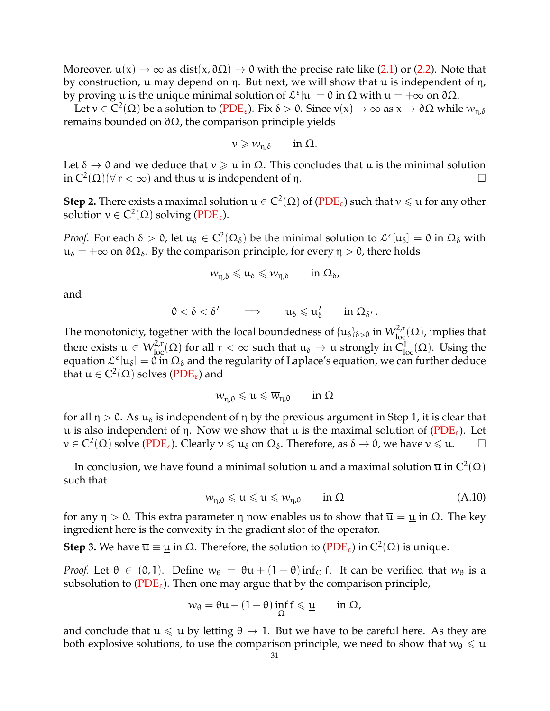Moreover,  $u(x) \to \infty$  as dist $(x, \partial \Omega) \to 0$  with the precise rate like [\(2.1\)](#page-5-3) or [\(2.2\)](#page-6-3). Note that by construction, u may depend on η. But next, we will show that u is independent of η, by proving u is the unique minimal solution of  $\mathcal{L}^{\varepsilon}[\mathbf{u}] = 0$  in  $\Omega$  with  $\mathbf{u} = +\infty$  on  $\partial\Omega$ .

Let  $v \in C^2(\Omega)$  be a solution to  $(PDE_{\varepsilon})$  $(PDE_{\varepsilon})$ . Fix  $\delta > 0$ . Since  $v(x) \to \infty$  as  $x \to \partial \Omega$  while  $w_{\eta,\delta}$ remains bounded on  $\partial Ω$ , the comparison principle yields

$$
\nu \geqslant w_{\eta,\delta} \qquad \text{in } \Omega.
$$

Let  $\delta \to 0$  and we deduce that  $\nu \geq \mu$  in  $\Omega$ . This concludes that  $\mu$  is the minimal solution in  $C^2(\Omega)(\forall r < \infty)$  and thus u is independent of  $\eta$ .

**Step 2.** There exists a maximal solution  $\overline{u} \in C^2(\Omega)$  of [\(PDE](#page-0-1)<sub>ε</sub>) such that  $v \leqslant \overline{u}$  for any other solution  $v \in C^2(\Omega)$  solving [\(PDE](#page-0-1)<sub>ε</sub>).

*Proof.* For each  $\delta > 0$ , let  $u_\delta \in C^2(\Omega_\delta)$  be the minimal solution to  $\mathcal{L}^\varepsilon[u_\delta] = 0$  in  $\Omega_\delta$  with  $u_{\delta} = +\infty$  on  $\partial \Omega_{\delta}$ . By the comparison principle, for every  $\eta > 0$ , there holds

$$
\underline{w}_{\eta,\delta} \leqslant u_\delta \leqslant \overline{w}_{\eta,\delta} \qquad \text{in} \ \Omega_\delta,
$$

and

$$
0<\delta<\delta'\qquad\Longrightarrow\qquad u_\delta\leqslant u'_\delta\qquad\text{in }\Omega_{\delta'}\,.
$$

The monotoniciy, together with the local boundedness of  $\{u_\delta\}_{\delta>0}$  in  $W^{2,r}_{loc}(\Omega)$ , implies that there exists  $u \in W^{2,r}_{loc}(\Omega)$  for all  $r < \infty$  such that  $u_{\delta} \to u$  strongly in  $C^{1}_{loc}(\Omega)$ . Using the equation  $\mathcal{L}^{\varepsilon}[\mathfrak{u}_{\delta}] = 0$  in  $\Omega_{\delta}$  and the regularity of Laplace's equation, we can further deduce that  $\mathfrak{u}\in C^2(\Omega)$  solves ( $PDE_\varepsilon$ ) and

$$
\underline{w}_{\eta,0}\leqslant u\leqslant \overline{w}_{\eta,0}\qquad\text{in }\Omega
$$

for all  $\eta > 0$ . As  $u_{\delta}$  is independent of  $\eta$  by the previous argument in Step 1, it is clear that u is also independent of η. Now we show that u is the maximal solution of  $(PDE_{\epsilon})$  $(PDE_{\epsilon})$ . Let  $v \in C^2(\Omega)$  solve [\(PDE](#page-0-1)<sub>ε</sub>). Clearly  $v \leqslant u_\delta$  on  $\Omega_\delta$ . Therefore, as  $\delta \to 0$ , we have  $v \leqslant u$ .

In conclusion, we have found a minimal solution  $\underline{u}$  and a maximal solution  $\overline{u}$  in  $C^2(\Omega)$ such that

<span id="page-30-0"></span>
$$
\underline{w}_{\eta,0} \leqslant \underline{u} \leqslant \overline{u} \leqslant \overline{w}_{\eta,0} \qquad \text{in } \Omega \tag{A.10}
$$

for any  $η > 0$ . This extra parameter η now enables us to show that  $\overline{u} = \underline{u}$  in  $Ω$ . The key ingredient here is the convexity in the gradient slot of the operator.

**Step 3.** We have  $\overline{u} \equiv \underline{u}$  in  $\Omega$ . Therefore, the solution to [\(PDE](#page-0-1)<sub>ε</sub>) in  $C^2(\Omega)$  is unique.

*Proof.* Let  $\theta \in (0, 1)$ . Define  $w_{\theta} = \theta \overline{u} + (1 - \theta) \inf_{\Omega} f$ . It can be verified that  $w_{\theta}$  is a subsolution to ( $PDE_{\varepsilon}$ ). Then one may argue that by the comparison principle,

$$
w_\theta = \theta \overline{u} + (1-\theta) \inf_\Omega f \leqslant \underline{u} \qquad \text{in } \Omega,
$$

and conclude that  $\overline{u} \leq \underline{u}$  by letting  $\theta \to 1$ . But we have to be careful here. As they are both explosive solutions, to use the comparison principle, we need to show that  $w_{\theta} \leqslant \underline{u}$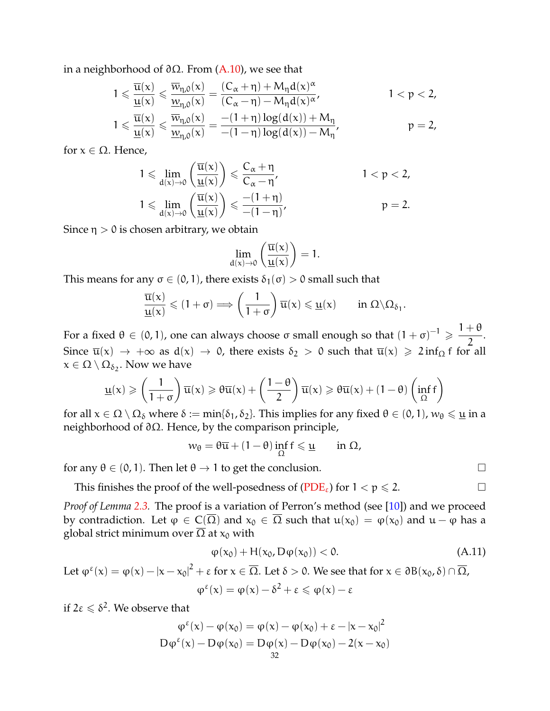in a neighborhood of  $\partial \Omega$ . From [\(A.10\)](#page-30-0), we see that

$$
\begin{aligned}1 &\leqslant \frac{\overline{u}(x)}{\underline{u}(x)} \leqslant \frac{\overline{w}_{\eta,0}(x)}{\underline{w}_{\eta,0}(x)} = \frac{(C_{\alpha}+\eta)+M_{\eta}d(x)^{\alpha}}{(C_{\alpha}-\eta)-M_{\eta}d(x)^{\alpha}}, \qquad & 1 < p < 2,\\1 &\leqslant \frac{\overline{u}(x)}{\underline{u}(x)} \leqslant \frac{\overline{w}_{\eta,0}(x)}{\underline{w}_{\eta,0}(x)} = \frac{-(1+\eta)\log(d(x))+M_{\eta}}{-(1-\eta)\log(d(x))-M_{\eta}}, \qquad & p = 2,\end{aligned}
$$

for  $x \in \Omega$ . Hence,

$$
1 \leqslant \lim_{d(x) \to 0} \left( \frac{\overline{u}(x)}{\underline{u}(x)} \right) \leqslant \frac{C_{\alpha} + \eta}{C_{\alpha} - \eta'}, \qquad 1 < p < 2,
$$
  

$$
1 \leqslant \lim_{d(x) \to 0} \left( \frac{\overline{u}(x)}{\underline{u}(x)} \right) \leqslant \frac{-(1 + \eta)}{-(1 - \eta)}, \qquad p = 2.
$$

Since  $\eta > 0$  is chosen arbitrary, we obtain

$$
\lim_{d(x)\to 0}\left(\frac{\overline{u}(x)}{\underline{u}(x)}\right)=1.
$$

This means for any  $\sigma \in (0, 1)$ , there exists  $\delta_1(\sigma) > 0$  small such that

$$
\frac{\overline{u}(x)}{\underline{u}(x)} \leqslant (1+\sigma) \Longrightarrow \left(\frac{1}{1+\sigma}\right) \overline{u}(x) \leqslant \underline{u}(x) \qquad \text{in } \Omega \setminus \Omega_{\delta_1}.
$$

For a fixed θ  $\in$  (0,1), one can always choose σ small enough so that  $(1 + σ)^{-1} \geqslant \frac{1 + θ}{2}$  $\frac{1}{2}$ . Since  $\overline{u}(x) \rightarrow +\infty$  as  $d(x) \rightarrow 0$ , there exists  $\delta_2 > 0$  such that  $\overline{u}(x) \geq 2$  inf<sub>Ω</sub> f for all  $\mathsf{x} \in \Omega \setminus \Omega_{\delta_2}.$  Now we have

$$
\underline{u}(x) \geqslant \left(\frac{1}{1+\sigma}\right)\overline{u}(x) \geqslant \theta\overline{u}(x) + \left(\frac{1-\theta}{2}\right)\overline{u}(x) \geqslant \theta\overline{u}(x) + (1-\theta)\left(\inf_{\Omega}f\right)
$$

for all  $x \in \Omega \setminus \Omega_\delta$  where  $\delta := \min{\delta_1, \delta_2}$ . This implies for any fixed  $\theta \in (0, 1)$ ,  $w_\theta \leq \underline{u}$  in a neighborhood of ∂Ω. Hence, by the comparison principle,

$$
w_\theta = \theta \overline{u} + (1-\theta) \inf_\Omega f \leqslant \underline{u} \qquad \text{in } \Omega,
$$

for any  $\theta \in (0, 1)$ . Then let  $\theta \to 1$  to get the conclusion.

This finishes the proof of the well-posedness of  $(PDE_{\varepsilon})$  $(PDE_{\varepsilon})$  for  $1 < p \le 2$ .

*Proof of Lemma [2.3.](#page-6-0)* The proof is a variation of Perron's method (see [\[10\]](#page-34-2)) and we proceed by contradiction. Let  $\varphi \in C(\overline{\Omega})$  and  $x_0 \in \overline{\Omega}$  such that  $u(x_0) = \varphi(x_0)$  and  $u - \varphi$  has a global strict minimum over  $\overline{\Omega}$  at  $x_0$  with

<span id="page-31-0"></span>
$$
\varphi(x_0) + H(x_0, D\varphi(x_0)) < 0. \tag{A.11}
$$

Let 
$$
\varphi^{\epsilon}(x) = \varphi(x) - |x - x_0|^2 + \epsilon
$$
 for  $x \in \overline{\Omega}$ . Let  $\delta > 0$ . We see that for  $x \in \partial B(x_0, \delta) \cap \overline{\Omega}$ ,  

$$
\varphi^{\epsilon}(x) = \varphi(x) - \delta^2 + \epsilon \leq \varphi(x) - \epsilon
$$

if  $2\varepsilon \leqslant \delta^2$ . We observe that

$$
\varphi^{\epsilon}(x) - \varphi(x_0) = \varphi(x) - \varphi(x_0) + \epsilon - |x - x_0|^2
$$
  

$$
D\varphi^{\epsilon}(x) - D\varphi(x_0) = D\varphi(x) - D\varphi(x_0) - 2(x - x_0)
$$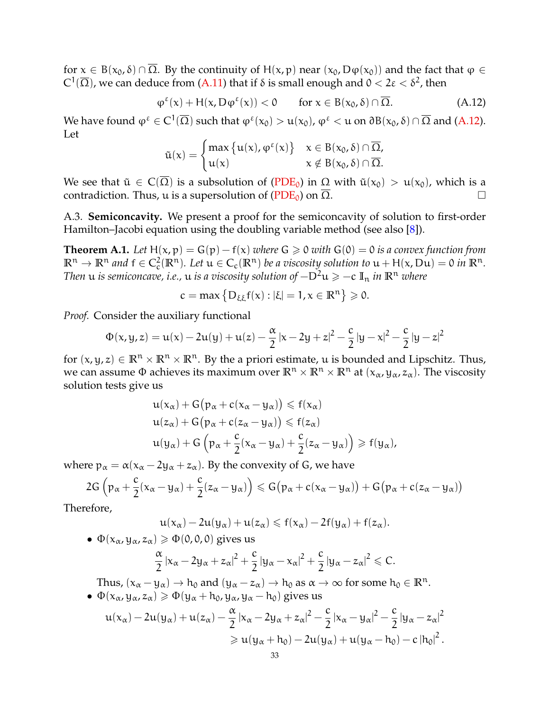for  $x \in B(x_0, \delta) \cap \overline{\Omega}$ . By the continuity of H(x, p) near  $(x_0, D\varphi(x_0))$  and the fact that  $\varphi \in$  $\mathsf{C}^1(\overline{\Omega})$ , we can deduce from [\(A.11\)](#page-31-0) that if δ is small enough and  $0 < 2\epsilon < \delta^2$ , then

<span id="page-32-1"></span>
$$
\varphi^{\varepsilon}(x) + H(x, D\varphi^{\varepsilon}(x)) < 0 \quad \text{for } x \in B(x_0, \delta) \cap \overline{\Omega}. \tag{A.12}
$$

We have found  $\phi^{\epsilon} \in C^1(\overline{\Omega})$  such that  $\phi^{\epsilon}(x_0) > u(x_0)$ ,  $\phi^{\epsilon} < u$  on  $\partial B(x_0, \delta) \cap \overline{\Omega}$  and [\(A.12\)](#page-32-1). Let

$$
\tilde{u}(x) = \begin{cases} \max \{u(x), \phi^{\epsilon}(x)\} & x \in B(x_0, \delta) \cap \overline{\Omega}, \\ u(x) & x \notin B(x_0, \delta) \cap \overline{\Omega}. \end{cases}
$$

We see that  $\tilde{u} \in C(\overline{\Omega})$  is a subsolution of [\(PDE](#page-1-1)<sub>0</sub>) in  $\Omega$  with  $\tilde{u}(x_0) > u(x_0)$ , which is a contradiction. Thus, u is a supersolution of ( $PDE_0$ ) on  $\overline{\Omega}$ .

A.3. **Semiconcavity.** We present a proof for the semiconcavity of solution to first-order Hamilton–Jacobi equation using the doubling variable method (see also [\[8\]](#page-34-19)).

<span id="page-32-0"></span>**Theorem A.1.** *Let*  $H(x, p) = G(p) - f(x)$  *where*  $G \ge 0$  *with*  $G(0) = 0$  *is a convex function from*  $\mathbb{R}^n \to \mathbb{R}^n$  and  $f \in C_c^2(\mathbb{R}^n)$ . Let  $u \in C_c(\mathbb{R}^n)$  be a viscosity solution to  $u + H(x, Du) = 0$  in  $\mathbb{R}^n$ . *Then u is semiconcave, i.e., <i>u is a viscosity solution of*  $-D^2u \ge -c \mathbb{I}_n$  *in*  $\mathbb{R}^n$  *where* 

$$
c=max\left\{D_{\xi\xi}f(x):|\xi|=1, x\in\mathbb{R}^n\right\}\geqslant 0.
$$

*Proof.* Consider the auxiliary functional

$$
\Phi(x,y,z)=u(x)-2u(y)+u(z)-\frac{\alpha}{2}\left|x-2y+z\right|^2-\frac{c}{2}\left|y-x\right|^2-\frac{c}{2}\left|y-z\right|^2
$$

for  $(x, y, z) \in \mathbb{R}^n \times \mathbb{R}^n \times \mathbb{R}^n$ . By the a priori estimate, u is bounded and Lipschitz. Thus, we can assume  $\Phi$  achieves its maximum over  $\mathbb{R}^n \times \mathbb{R}^n \times \mathbb{R}^n$  at  $(x_\alpha, y_\alpha, z_\alpha)$ . The viscosity solution tests give us

$$
u(x_{\alpha}) + G(p_{\alpha} + c(x_{\alpha} - y_{\alpha})) \leq f(x_{\alpha})
$$
  
\n
$$
u(z_{\alpha}) + G(p_{\alpha} + c(z_{\alpha} - y_{\alpha})) \leq f(z_{\alpha})
$$
  
\n
$$
u(y_{\alpha}) + G(p_{\alpha} + \frac{c}{2}(x_{\alpha} - y_{\alpha}) + \frac{c}{2}(z_{\alpha} - y_{\alpha})) \geq f(y_{\alpha}),
$$

where  $p_{\alpha} = \alpha(x_{\alpha} - 2y_{\alpha} + z_{\alpha})$ . By the convexity of G, we have

$$
2G\left(p_\alpha+\frac{c}{2}(x_\alpha-y_\alpha)+\frac{c}{2}(z_\alpha-y_\alpha)\right)\leqslant G\big(p_\alpha+c(x_\alpha-y_\alpha)\big)+G\big(p_\alpha+c(z_\alpha-y_\alpha)\big)
$$

Therefore,

$$
u(x_{\alpha})-2u(y_{\alpha})+u(z_{\alpha})\leqslant f(x_{\alpha})-2f(y_{\alpha})+f(z_{\alpha}).
$$

•  $\Phi(x_\alpha, y_\alpha, z_\alpha) \geq \Phi(0, 0, 0)$  gives us

$$
\frac{\alpha}{2}|x_{\alpha}-2y_{\alpha}+z_{\alpha}|^2+\frac{c}{2}|y_{\alpha}-x_{\alpha}|^2+\frac{c}{2}|y_{\alpha}-z_{\alpha}|^2\leqslant C.
$$

Thus,  $(x_{\alpha}-y_{\alpha}) \to h_0$  and  $(y_{\alpha}-z_{\alpha}) \to h_0$  as  $\alpha \to \infty$  for some  $h_0 \in \mathbb{R}^n$ . •  $\Phi(x_\alpha, y_\alpha, z_\alpha) \geq \Phi(y_\alpha + h_0, y_\alpha, y_\alpha - h_0)$  gives us

$$
\begin{aligned} u(x_\alpha)-2u(y_\alpha)+u(z_\alpha)-\frac{\alpha}{2}\left|x_\alpha-2y_\alpha+z_\alpha\right|^2-\frac{c}{2}\left|x_\alpha-y_\alpha\right|^2-\frac{c}{2}\left|y_\alpha-z_\alpha\right|^2\\ \geqslant u(y_\alpha+h_0)-2u(y_\alpha)+u(y_\alpha-h_0)-c\left|h_0\right|^2. \end{aligned}
$$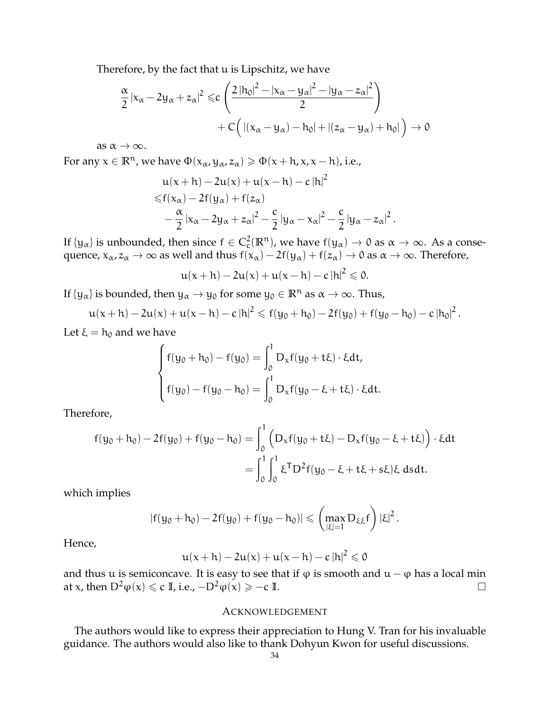Therefore, by the fact that u is Lipschitz, we have

$$
\frac{\alpha}{2} |x_{\alpha} - 2y_{\alpha} + z_{\alpha}|^2 \leqslant c \left( \frac{2 |h_0|^2 - |x_{\alpha} - y_{\alpha}|^2 - |y_{\alpha} - z_{\alpha}|^2}{2} \right) + C \left( |(x_{\alpha} - y_{\alpha}) - h_0| + |(z_{\alpha} - y_{\alpha}) + h_0| \right) \to 0
$$

as  $\alpha \rightarrow \infty$ .

For any  $x \in \mathbb{R}^n$ , we have  $\Phi(x_\alpha, y_\alpha, z_\alpha) \geq \Phi(x + h, x, x - h)$ , i.e.,

$$
u(x+h) - 2u(x) + u(x-h) - c|h|^2
$$
  
\n
$$
\leq f(x_\alpha) - 2f(y_\alpha) + f(z_\alpha)
$$
  
\n
$$
-\frac{\alpha}{2}|x_\alpha - 2y_\alpha + z_\alpha|^2 - \frac{c}{2}|y_\alpha - x_\alpha|^2 - \frac{c}{2}|y_\alpha - z_\alpha|^2.
$$

If  $\{y_\alpha\}$  is unbounded, then since  $f \in C_c^2(\mathbb{R}^n)$ , we have  $f(y_\alpha) \to 0$  as  $\alpha \to \infty$ . As a consequence,  $x_{\alpha}, z_{\alpha} \to \infty$  as well and thus  $f(x_{\alpha}) - 2f(y_{\alpha}) + f(z_{\alpha}) \to 0$  as  $\alpha \to \infty$ . Therefore,

$$
u(x+h)-2u(x)+u(x-h)-c\left|h\right|^2\leqslant 0.
$$

If  $\{y_\alpha\}$  is bounded, then  $y_\alpha \to y_0$  for some  $y_0 \in \mathbb{R}^n$  as  $\alpha \to \infty$ . Thus,

$$
u(x+h)-2u(x)+u(x-h)-c|h|^2 \leqslant f(y_0+h_0)-2f(y_0)+f(y_0-h_0)-c|h_0|^2.
$$

Let  $\xi = h_0$  and we have

$$
\begin{cases} f(y_0 + h_0) - f(y_0) = \int_0^1 D_x f(y_0 + t\xi) \cdot \xi dt, \\ f(y_0) - f(y_0 - h_0) = \int_0^1 D_x f(y_0 - \xi + t\xi) \cdot \xi dt. \end{cases}
$$

Therefore,

$$
f(y_0 + h_0) - 2f(y_0) + f(y_0 - h_0) = \int_0^1 (D_x f(y_0 + t\xi) - D_x f(y_0 - \xi + t\xi)) \cdot \xi dt
$$
  
= 
$$
\int_0^1 \int_0^1 \xi^T D^2 f(y_0 - \xi + t\xi + s\xi) \xi \, ds dt.
$$

which implies

$$
|f(y_0+h_0)-2f(y_0)+f(y_0-h_0)|\leqslant \left(\max_{|\xi|=1}D_{\xi\xi}f\right)|\xi|^2.
$$

Hence,

$$
u(x+h)-2u(x)+u(x-h)-c\left|h\right|^2\leqslant 0
$$

and thus u is semiconcave. It is easy to see that if  $\varphi$  is smooth and  $u - \varphi$  has a local min at x, then D<sup>2</sup> $\varphi(x) \leq c \mathbb{I}$ , i.e.,  $-\mathbb{D}^2 \varphi(x) \geq -c \mathbb{I}$ .  $\Box$ 

#### ACKNOWLEDGEMENT

The authors would like to express their appreciation to Hung V. Tran for his invaluable guidance. The authors would also like to thank Dohyun Kwon for useful discussions.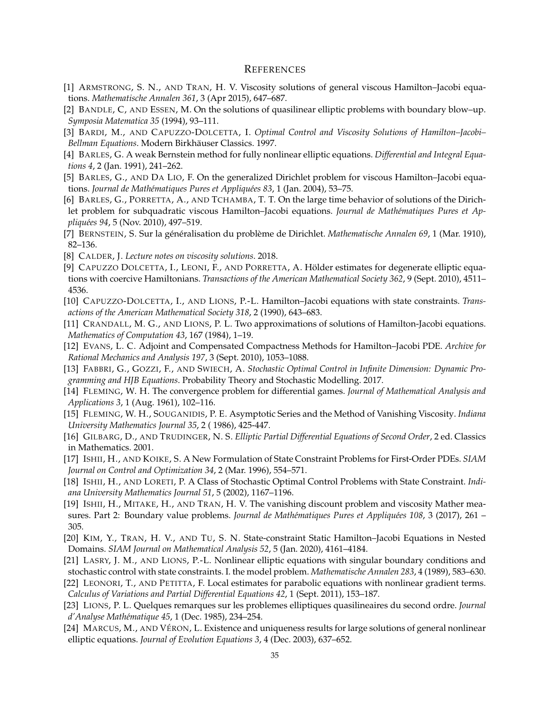### **REFERENCES**

- <span id="page-34-20"></span>[1] ARMSTRONG, S. N., AND TRAN, H. V. Viscosity solutions of general viscous Hamilton–Jacobi equations. *Mathematische Annalen 361*, 3 (Apr 2015), 647–687.
- <span id="page-34-7"></span>[2] BANDLE, C, AND ESSEN, M. On the solutions of quasilinear elliptic problems with boundary blow–up. *Symposia Matematica 35* (1994), 93–111.
- <span id="page-34-12"></span>[3] BARDI, M., AND CAPUZZO-DOLCETTA, I. *Optimal Control and Viscosity Solutions of Hamilton–Jacobi– Bellman Equations*. Modern Birkhauser Classics. 1997. ¨
- <span id="page-34-21"></span>[4] BARLES, G. A weak Bernstein method for fully nonlinear elliptic equations. *Differential and Integral Equations 4*, 2 (Jan. 1991), 241–262.
- <span id="page-34-9"></span>[5] BARLES, G., AND DA LIO, F. On the generalized Dirichlet problem for viscous Hamilton–Jacobi equations. *Journal de Mathématiques Pures et Appliquées 83*, 1 (Jan. 2004), 53–75.
- <span id="page-34-10"></span>[6] BARLES, G., PORRETTA, A., AND TCHAMBA, T. T. On the large time behavior of solutions of the Dirichlet problem for subquadratic viscous Hamilton-Jacobi equations. *Journal de Mathématiques Pures et Appliqu´ees 94*, 5 (Nov. 2010), 497–519.
- <span id="page-34-15"></span>[7] BERNSTEIN, S. Sur la généralisation du problème de Dirichlet. *Mathematische Annalen 69*, 1 (Mar. 1910), 82–136.
- <span id="page-34-19"></span>[8] CALDER, J. *Lecture notes on viscosity solutions*. 2018.
- <span id="page-34-22"></span>[9] CAPUZZO DOLCETTA, I., LEONI, F., AND PORRETTA, A. Hölder estimates for degenerate elliptic equations with coercive Hamiltonians. *Transactions of the American Mathematical Society 362*, 9 (Sept. 2010), 4511– 4536.
- <span id="page-34-2"></span>[10] CAPUZZO-DOLCETTA, I., AND LIONS, P.-L. Hamilton–Jacobi equations with state constraints. *Transactions of the American Mathematical Society 318*, 2 (1990), 643–683.
- <span id="page-34-13"></span>[11] CRANDALL, M. G., AND LIONS, P. L. Two approximations of solutions of Hamilton-Jacobi equations. *Mathematics of Computation 43*, 167 (1984), 1–19.
- <span id="page-34-17"></span>[12] EVANS, L. C. Adjoint and Compensated Compactness Methods for Hamilton–Jacobi PDE. *Archive for Rational Mechanics and Analysis 197*, 3 (Sept. 2010), 1053–1088.
- <span id="page-34-1"></span>[13] FABBRI, G., GOZZI, F., AND SWIECH, A. *Stochastic Optimal Control in Infinite Dimension: Dynamic Programming and HJB Equations*. Probability Theory and Stochastic Modelling. 2017.
- <span id="page-34-18"></span>[14] FLEMING, W. H. The convergence problem for differential games. *Journal of Mathematical Analysis and Applications 3*, 1 (Aug. 1961), 102–116.
- <span id="page-34-16"></span>[15] FLEMING, W. H., SOUGANIDIS, P. E. Asymptotic Series and the Method of Vanishing Viscosity. *Indiana University Mathematics Journal 35*, 2 ( 1986), 425-447.
- <span id="page-34-14"></span>[16] GILBARG, D., AND TRUDINGER, N. S. *Elliptic Partial Differential Equations of Second Order*, 2 ed. Classics in Mathematics. 2001.
- <span id="page-34-3"></span>[17] ISHII, H., AND KOIKE, S. A New Formulation of State Constraint Problems for First-Order PDEs. *SIAM Journal on Control and Optimization 34*, 2 (Mar. 1996), 554–571.
- <span id="page-34-4"></span>[18] ISHII, H., AND LORETI, P. A Class of Stochastic Optimal Control Problems with State Constraint. *Indiana University Mathematics Journal 51*, 5 (2002), 1167–1196.
- <span id="page-34-5"></span>[19] ISHII, H., MITAKE, H., AND TRAN, H. V. The vanishing discount problem and viscosity Mather measures. Part 2: Boundary value problems. *Journal de Mathématiques Pures et Appliquées 108*, 3 (2017), 261 – 305.
- <span id="page-34-6"></span>[20] KIM, Y., TRAN, H. V., AND TU, S. N. State-constraint Static Hamilton–Jacobi Equations in Nested Domains. *SIAM Journal on Mathematical Analysis 52*, 5 (Jan. 2020), 4161–4184.
- <span id="page-34-0"></span>[21] LASRY, J. M., AND LIONS, P.-L. Nonlinear elliptic equations with singular boundary conditions and stochastic control with state constraints. I. the model problem. *Mathematische Annalen 283*, 4 (1989), 583–630.
- <span id="page-34-11"></span>[22] LEONORI, T., AND PETITTA, F. Local estimates for parabolic equations with nonlinear gradient terms. *Calculus of Variations and Partial Differential Equations 42*, 1 (Sept. 2011), 153–187.
- <span id="page-34-23"></span>[23] LIONS, P. L. Quelques remarques sur les problemes elliptiques quasilineaires du second ordre. *Journal d'Analyse Math´ematique 45*, 1 (Dec. 1985), 234–254.
- <span id="page-34-8"></span>[24] MARCUS, M., AND VÉRON, L. Existence and uniqueness results for large solutions of general nonlinear elliptic equations. *Journal of Evolution Equations 3*, 4 (Dec. 2003), 637–652.